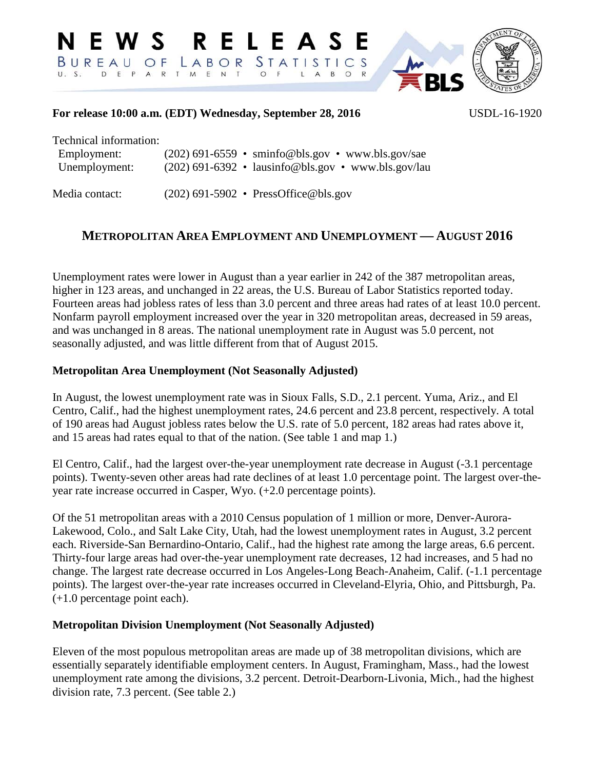

## **For release 10:00 a.m. (EDT) Wednesday, September 28, 2016** USDL-16-1920

Technical information:

| Employment:   | $(202)$ 691-6559 • sminfo@bls.gov • www.bls.gov/sae   |
|---------------|-------------------------------------------------------|
| Unemployment: | $(202)$ 691-6392 • lausinfo@bls.gov • www.bls.gov/lau |
|               |                                                       |

Media contact: (202) 691-5902 • PressOffice@bls.gov

# **METROPOLITAN AREA EMPLOYMENT AND UNEMPLOYMENT — AUGUST 2016**

Unemployment rates were lower in August than a year earlier in 242 of the 387 metropolitan areas, higher in 123 areas, and unchanged in 22 areas, the U.S. Bureau of Labor Statistics reported today. Fourteen areas had jobless rates of less than 3.0 percent and three areas had rates of at least 10.0 percent. Nonfarm payroll employment increased over the year in 320 metropolitan areas, decreased in 59 areas, and was unchanged in 8 areas. The national unemployment rate in August was 5.0 percent, not seasonally adjusted, and was little different from that of August 2015.

# **Metropolitan Area Unemployment (Not Seasonally Adjusted)**

In August, the lowest unemployment rate was in Sioux Falls, S.D., 2.1 percent. Yuma, Ariz., and El Centro, Calif., had the highest unemployment rates, 24.6 percent and 23.8 percent, respectively. A total of 190 areas had August jobless rates below the U.S. rate of 5.0 percent, 182 areas had rates above it, and 15 areas had rates equal to that of the nation. (See table 1 and map 1.)

El Centro, Calif., had the largest over-the-year unemployment rate decrease in August (-3.1 percentage points). Twenty-seven other areas had rate declines of at least 1.0 percentage point. The largest over-theyear rate increase occurred in Casper, Wyo. (+2.0 percentage points).

Of the 51 metropolitan areas with a 2010 Census population of 1 million or more, Denver-Aurora-Lakewood, Colo., and Salt Lake City, Utah, had the lowest unemployment rates in August, 3.2 percent each. Riverside-San Bernardino-Ontario, Calif., had the highest rate among the large areas, 6.6 percent. Thirty-four large areas had over-the-year unemployment rate decreases, 12 had increases, and 5 had no change. The largest rate decrease occurred in Los Angeles-Long Beach-Anaheim, Calif. (-1.1 percentage points). The largest over-the-year rate increases occurred in Cleveland-Elyria, Ohio, and Pittsburgh, Pa. (+1.0 percentage point each).

# **Metropolitan Division Unemployment (Not Seasonally Adjusted)**

Eleven of the most populous metropolitan areas are made up of 38 metropolitan divisions, which are essentially separately identifiable employment centers. In August, Framingham, Mass., had the lowest unemployment rate among the divisions, 3.2 percent. Detroit-Dearborn-Livonia, Mich., had the highest division rate, 7.3 percent. (See table 2.)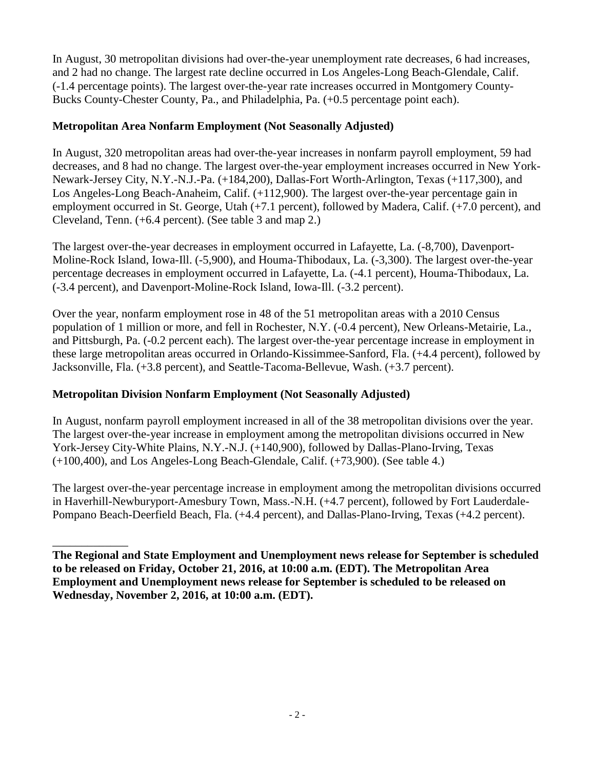In August, 30 metropolitan divisions had over-the-year unemployment rate decreases, 6 had increases, and 2 had no change. The largest rate decline occurred in Los Angeles-Long Beach-Glendale, Calif. (-1.4 percentage points). The largest over-the-year rate increases occurred in Montgomery County-Bucks County-Chester County, Pa., and Philadelphia, Pa. (+0.5 percentage point each).

# **Metropolitan Area Nonfarm Employment (Not Seasonally Adjusted)**

In August, 320 metropolitan areas had over-the-year increases in nonfarm payroll employment, 59 had decreases, and 8 had no change. The largest over-the-year employment increases occurred in New York-Newark-Jersey City, N.Y.-N.J.-Pa. (+184,200), Dallas-Fort Worth-Arlington, Texas (+117,300), and Los Angeles-Long Beach-Anaheim, Calif. (+112,900). The largest over-the-year percentage gain in employment occurred in St. George, Utah (+7.1 percent), followed by Madera, Calif. (+7.0 percent), and Cleveland, Tenn. (+6.4 percent). (See table 3 and map 2.)

The largest over-the-year decreases in employment occurred in Lafayette, La. (-8,700), Davenport-Moline-Rock Island, Iowa-Ill. (-5,900), and Houma-Thibodaux, La. (-3,300). The largest over-the-year percentage decreases in employment occurred in Lafayette, La. (-4.1 percent), Houma-Thibodaux, La. (-3.4 percent), and Davenport-Moline-Rock Island, Iowa-Ill. (-3.2 percent).

Over the year, nonfarm employment rose in 48 of the 51 metropolitan areas with a 2010 Census population of 1 million or more, and fell in Rochester, N.Y. (-0.4 percent), New Orleans-Metairie, La., and Pittsburgh, Pa. (-0.2 percent each). The largest over-the-year percentage increase in employment in these large metropolitan areas occurred in Orlando-Kissimmee-Sanford, Fla. (+4.4 percent), followed by Jacksonville, Fla. (+3.8 percent), and Seattle-Tacoma-Bellevue, Wash. (+3.7 percent).

# **Metropolitan Division Nonfarm Employment (Not Seasonally Adjusted)**

In August, nonfarm payroll employment increased in all of the 38 metropolitan divisions over the year. The largest over-the-year increase in employment among the metropolitan divisions occurred in New York-Jersey City-White Plains, N.Y.-N.J. (+140,900), followed by Dallas-Plano-Irving, Texas (+100,400), and Los Angeles-Long Beach-Glendale, Calif. (+73,900). (See table 4.)

The largest over-the-year percentage increase in employment among the metropolitan divisions occurred in Haverhill-Newburyport-Amesbury Town, Mass.-N.H. (+4.7 percent), followed by Fort Lauderdale-Pompano Beach-Deerfield Beach, Fla. (+4.4 percent), and Dallas-Plano-Irving, Texas (+4.2 percent).

\_\_\_\_\_\_\_\_\_\_\_\_\_ **The Regional and State Employment and Unemployment news release for September is scheduled to be released on Friday, October 21, 2016, at 10:00 a.m. (EDT). The Metropolitan Area Employment and Unemployment news release for September is scheduled to be released on Wednesday, November 2, 2016, at 10:00 a.m. (EDT).**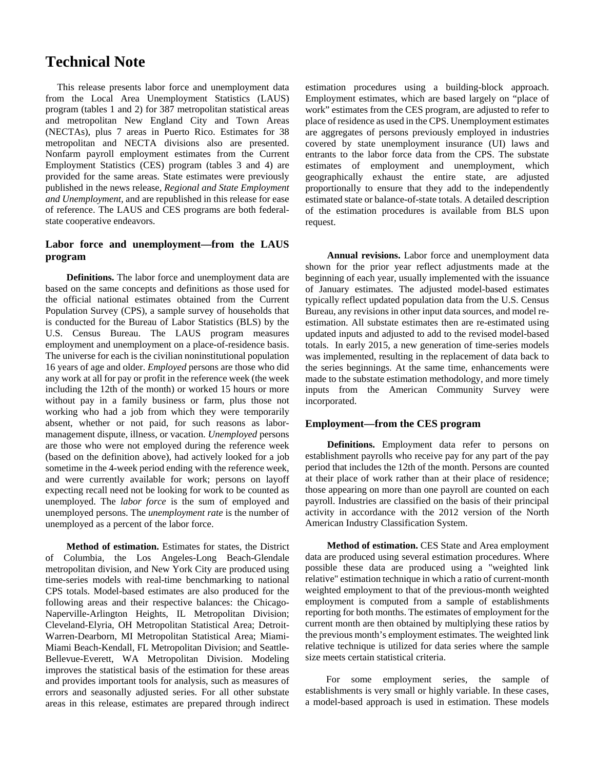# **Technical Note**

This release presents labor force and unemployment data from the Local Area Unemployment Statistics (LAUS) program (tables 1 and 2) for 387 metropolitan statistical areas and metropolitan New England City and Town Areas (NECTAs), plus 7 areas in Puerto Rico. Estimates for 38 metropolitan and NECTA divisions also are presented. Nonfarm payroll employment estimates from the Current Employment Statistics (CES) program (tables 3 and 4) are provided for the same areas. State estimates were previously published in the news release, *Regional and State Employment and Unemployment,* and are republished in this release for ease of reference. The LAUS and CES programs are both federalstate cooperative endeavors.

#### **Labor force and unemployment—from the LAUS program**

**Definitions.** The labor force and unemployment data are based on the same concepts and definitions as those used for the official national estimates obtained from the Current Population Survey (CPS), a sample survey of households that is conducted for the Bureau of Labor Statistics (BLS) by the U.S. Census Bureau. The LAUS program measures employment and unemployment on a place-of-residence basis. The universe for each is the civilian noninstitutional population 16 years of age and older. *Employed* persons are those who did any work at all for pay or profit in the reference week (the week including the 12th of the month) or worked 15 hours or more without pay in a family business or farm, plus those not working who had a job from which they were temporarily absent, whether or not paid, for such reasons as labormanagement dispute, illness, or vacation. *Unemployed* persons are those who were not employed during the reference week (based on the definition above), had actively looked for a job sometime in the 4-week period ending with the reference week, and were currently available for work; persons on layoff expecting recall need not be looking for work to be counted as unemployed. The *labor force* is the sum of employed and unemployed persons. The *unemployment rate* is the number of unemployed as a percent of the labor force.

**Method of estimation.** Estimates for states, the District of Columbia, the Los Angeles-Long Beach-Glendale metropolitan division, and New York City are produced using time-series models with real-time benchmarking to national CPS totals. Model-based estimates are also produced for the following areas and their respective balances: the Chicago-Naperville-Arlington Heights, IL Metropolitan Division; Cleveland-Elyria, OH Metropolitan Statistical Area; Detroit-Warren-Dearborn, MI Metropolitan Statistical Area; Miami-Miami Beach-Kendall, FL Metropolitan Division; and Seattle-Bellevue-Everett, WA Metropolitan Division. Modeling improves the statistical basis of the estimation for these areas and provides important tools for analysis, such as measures of errors and seasonally adjusted series. For all other substate areas in this release, estimates are prepared through indirect estimation procedures using a building-block approach. Employment estimates, which are based largely on "place of work" estimates from the CES program, are adjusted to refer to place of residence as used in the CPS. Unemployment estimates are aggregates of persons previously employed in industries covered by state unemployment insurance (UI) laws and entrants to the labor force data from the CPS. The substate estimates of employment and unemployment, which geographically exhaust the entire state, are adjusted proportionally to ensure that they add to the independently estimated state or balance-of-state totals. A detailed description of the estimation procedures is available from BLS upon request.

**Annual revisions.** Labor force and unemployment data shown for the prior year reflect adjustments made at the beginning of each year, usually implemented with the issuance of January estimates. The adjusted model-based estimates typically reflect updated population data from the U.S. Census Bureau, any revisions in other input data sources, and model reestimation. All substate estimates then are re-estimated using updated inputs and adjusted to add to the revised model-based totals. In early 2015, a new generation of time-series models was implemented, resulting in the replacement of data back to the series beginnings. At the same time, enhancements were made to the substate estimation methodology, and more timely inputs from the American Community Survey were incorporated.

#### **Employment—from the CES program**

**Definitions.** Employment data refer to persons on establishment payrolls who receive pay for any part of the pay period that includes the 12th of the month. Persons are counted at their place of work rather than at their place of residence; those appearing on more than one payroll are counted on each payroll. Industries are classified on the basis of their principal activity in accordance with the 2012 version of the North American Industry Classification System.

**Method of estimation.** CES State and Area employment data are produced using several estimation procedures. Where possible these data are produced using a "weighted link relative" estimation technique in which a ratio of current-month weighted employment to that of the previous-month weighted employment is computed from a sample of establishments reporting for both months. The estimates of employment for the current month are then obtained by multiplying these ratios by the previous month's employment estimates. The weighted link relative technique is utilized for data series where the sample size meets certain statistical criteria.

For some employment series, the sample of establishments is very small or highly variable. In these cases, a model-based approach is used in estimation. These models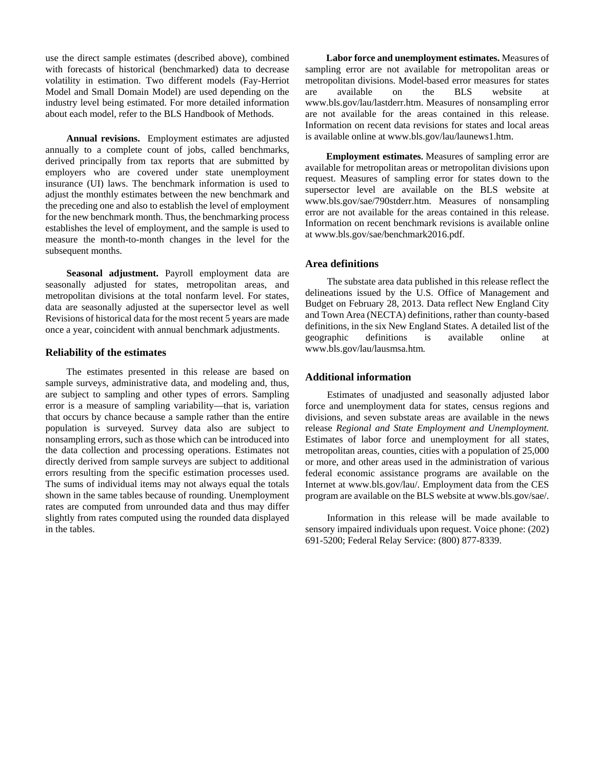use the direct sample estimates (described above), combined with forecasts of historical (benchmarked) data to decrease volatility in estimation. Two different models (Fay-Herriot Model and Small Domain Model) are used depending on the industry level being estimated. For more detailed information about each model, refer to the BLS Handbook of Methods.

**Annual revisions.** Employment estimates are adjusted annually to a complete count of jobs, called benchmarks, derived principally from tax reports that are submitted by employers who are covered under state unemployment insurance (UI) laws. The benchmark information is used to adjust the monthly estimates between the new benchmark and the preceding one and also to establish the level of employment for the new benchmark month. Thus, the benchmarking process establishes the level of employment, and the sample is used to measure the month-to-month changes in the level for the subsequent months.

**Seasonal adjustment.** Payroll employment data are seasonally adjusted for states, metropolitan areas, and metropolitan divisions at the total nonfarm level. For states, data are seasonally adjusted at the supersector level as well Revisions of historical data for the most recent 5 years are made once a year, coincident with annual benchmark adjustments.

#### **Reliability of the estimates**

The estimates presented in this release are based on sample surveys, administrative data, and modeling and, thus, are subject to sampling and other types of errors. Sampling error is a measure of sampling variability—that is, variation that occurs by chance because a sample rather than the entire population is surveyed. Survey data also are subject to nonsampling errors, such as those which can be introduced into the data collection and processing operations. Estimates not directly derived from sample surveys are subject to additional errors resulting from the specific estimation processes used. The sums of individual items may not always equal the totals shown in the same tables because of rounding. Unemployment rates are computed from unrounded data and thus may differ slightly from rates computed using the rounded data displayed in the tables.

**Labor force and unemployment estimates.** Measures of sampling error are not available for metropolitan areas or metropolitan divisions. Model-based error measures for states are available on the BLS website at www.bls.gov/lau/lastderr.htm. Measures of nonsampling error are not available for the areas contained in this release. Information on recent data revisions for states and local areas is available online at www.bls.gov/lau/launews1.htm.

**Employment estimates.** Measures of sampling error are available for metropolitan areas or metropolitan divisions upon request. Measures of sampling error for states down to the supersector level are available on the BLS website at www.bls.gov/sae/790stderr.htm. Measures of nonsampling error are not available for the areas contained in this release. Information on recent benchmark revisions is available online at www.bls.gov/sae/benchmark2016.pdf.

#### **Area definitions**

The substate area data published in this release reflect the delineations issued by the U.S. Office of Management and Budget on February 28, 2013. Data reflect New England City and Town Area (NECTA) definitions, rather than county-based definitions, in the six New England States. A detailed list of the geographic definitions is available online at www.bls.gov/lau/lausmsa.htm*.* 

#### **Additional information**

Estimates of unadjusted and seasonally adjusted labor force and unemployment data for states, census regions and divisions, and seven substate areas are available in the news release *Regional and State Employment and Unemployment.*  Estimates of labor force and unemployment for all states, metropolitan areas, counties, cities with a population of 25,000 or more, and other areas used in the administration of various federal economic assistance programs are available on the Internet at www.bls.gov/lau/. Employment data from the CES program are available on the BLS website at www.bls.gov/sae/.

Information in this release will be made available to sensory impaired individuals upon request. Voice phone: (202) 691-5200; Federal Relay Service: (800) 877-8339.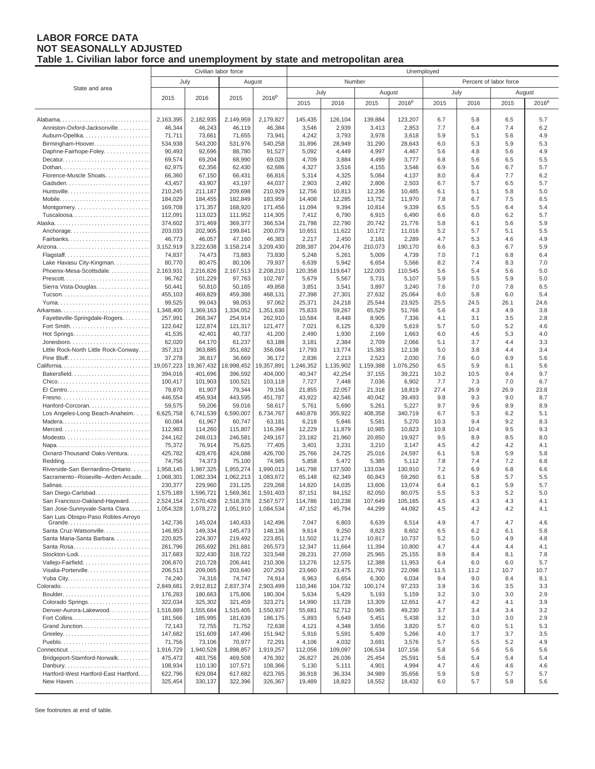|                                                                      |            | <u>wing mindin</u> |                      |                   | 3.441     |           |           |                   |            |      |                        |                   |
|----------------------------------------------------------------------|------------|--------------------|----------------------|-------------------|-----------|-----------|-----------|-------------------|------------|------|------------------------|-------------------|
|                                                                      |            |                    | Civilian labor force |                   |           |           |           |                   | Unemployed |      |                        |                   |
|                                                                      | July       |                    |                      | August            |           | Number    |           |                   |            |      | Percent of labor force |                   |
| State and area                                                       |            |                    |                      |                   | July      |           | August    |                   |            | July |                        | August            |
|                                                                      | 2015       | 2016               | 2015                 | 2016 <sup>p</sup> |           |           |           |                   |            |      |                        |                   |
|                                                                      |            |                    |                      |                   | 2015      | 2016      | 2015      | 2016 <sup>p</sup> | 2015       | 2016 | 2015                   | 2016 <sup>p</sup> |
|                                                                      |            |                    |                      |                   |           |           |           |                   |            |      |                        |                   |
|                                                                      | 2,163,395  | 2,182,935          | 2,149,959            | 2,179,827         | 145,435   | 126,104   | 139,884   | 123,207           | 6.7        | 5.8  | 6.5                    | 5.7               |
| Anniston-Oxford-Jacksonville                                         | 46,344     | 46,243             | 46,119               | 46,384            | 3,546     | 2,939     | 3,413     | 2,853             | 7.7        | 6.4  | 7.4                    | 6.2               |
|                                                                      | 71,711     | 73,661             | 71,655               | 73,941            | 4,242     | 3,793     | 3,978     | 3,618             | 5.9        | 5.1  | 5.6                    | 4.9               |
| Birmingham-Hoover                                                    | 534,938    | 543,200            | 531,976              | 540,258           | 31,896    | 28,949    | 31,290    | 28,643            | 6.0        | 5.3  | 5.9                    | 5.3               |
| Daphne-Fairhope-Foley                                                | 90,493     | 92,696             | 88,780               | 91,527            | 5,092     | 4,449     | 4,997     | 4,467             | 5.6        | 4.8  | 5.6                    | 4.9               |
|                                                                      | 69,574     | 69,204             | 68,990               | 69,028            | 4,709     | 3,884     | 4,499     | 3,777             | 6.8        | 5.6  | 6.5                    | 5.5               |
|                                                                      | 62,975     | 62,356             | 62,430               | 62,686            | 4,327     | 3,516     | 4,155     | 3,546             | 6.9        | 5.6  | 6.7                    | 5.7               |
| Florence-Muscle Shoals                                               | 66,360     | 67,150             | 66,431               | 66,816            | 5,314     | 4,325     | 5,084     | 4,137             | 8.0        | 6.4  | 7.7                    | 6.2               |
|                                                                      | 43,457     | 43,907             | 43,197               | 44,037            | 2,903     | 2,492     | 2,806     | 2,503             | 6.7        | 5.7  | 6.5                    | 5.7               |
|                                                                      | 210,245    | 211,187            | 209,698              | 210,929           | 12,756    | 10,813    | 12,236    | 10,485            | 6.1        | 5.1  | 5.8                    | 5.0               |
|                                                                      | 184,029    | 184,455            | 182,849              | 183,959           | 14,408    | 12,285    | 13,752    | 11,970            | 7.8        | 6.7  | 7.5                    | 6.5               |
| Montgomery                                                           | 169,708    | 171,357            | 168,920              | 171,456           | 11,094    | 9,394     | 10,814    | 9,339             | 6.5        | 5.5  | 6.4                    | 5.4               |
|                                                                      | 112,091    | 113,023            | 111,952              | 114,305           | 7,412     | 6,790     | 6,915     | 6,490             | 6.6        | 6.0  | 6.2                    | 5.7               |
|                                                                      | 374,602    | 371,469            | 369,377              | 366,534           | 21,798    | 22,790    | 20,742    | 21,776            | 5.8        | 6.1  | 5.6                    | 5.9               |
| Anchorage                                                            | 203,033    | 202,905            | 199,841              | 200,079           | 10,651    | 11,622    | 10,172    | 11,016            | 5.2        | 5.7  | 5.1                    | 5.5               |
|                                                                      | 46,773     | 46,057             | 47,160               | 46,383            | 2,217     | 2,450     | 2,181     | 2,289             | 4.7        | 5.3  | 4.6                    | 4.9               |
|                                                                      | 3,152,919  | 3,222,638          | 3,158,214            | 3,209,430         | 208,387   | 204,476   | 210,073   | 190,170           | 6.6        | 6.3  | 6.7                    | 5.9               |
| Flagstaff                                                            | 74,837     | 74,473             | 73,883               | 73,830            | 5,248     | 5,261     | 5,009     | 4,739             | 7.0        | 7.1  | 6.8                    | 6.4               |
| Lake Havasu City-Kingman.                                            | 80,770     | 80,475             | 80,106               | 79,937            | 6,639     | 5,942     | 6,654     | 5,566             | 8.2        | 7.4  | 8.3                    | 7.0               |
| Phoenix-Mesa-Scottsdale                                              | 2,163,931  | 2,216,826          | 2,167,513            | 2.208.210         | 120,358   | 119,647   | 122,003   | 110,545           | 5.6        | 5.4  | 5.6                    | 5.0               |
|                                                                      | 96,762     | 101,229            | 97,763               | 102,787           | 5,679     | 5,567     | 5,731     | 5,107             | 5.9        | 5.5  | 5.9                    | 5.0               |
| Sierra Vista-Douglas                                                 | 50,441     | 50,810             | 50,165               | 49,858            | 3,851     | 3,541     | 3,897     | 3,240             | 7.6        | 7.0  | 7.8                    | 6.5               |
|                                                                      | 455,103    | 469,829            | 459,388              | 468,131           | 27,398    | 27,301    | 27,632    | 25,064            | 6.0        | 5.8  | 6.0                    | 5.4               |
|                                                                      | 99,525     | 99,043             | 98,053               | 97,062            | 25,371    | 24,218    | 25,544    | 23,925            | 25.5       | 24.5 | 26.1                   | 24.6              |
|                                                                      | 1,348,400  | 1,369,163          | 1,334,052            | 1,351,630         | 75,833    | 59,267    | 65,529    | 51,766            | 5.6        | 4.3  | 4.9                    | 3.8               |
| Fayetteville-Springdale-Rogers.                                      |            |                    |                      |                   |           |           |           |                   |            |      | 3.5                    |                   |
|                                                                      | 257,991    | 268,347            | 254,914              | 262,910           | 10,584    | 8,448     | 8,905     | 7,336             | 4.1        | 3.1  |                        | 2.8               |
|                                                                      | 122,642    | 122,874            | 121,317              | 121,477           | 7,021     | 6,125     | 6,329     | 5,619             | 5.7        | 5.0  | 5.2                    | 4.6               |
|                                                                      | 41,535     | 42,401             | 40,737               | 41,200            | 2,490     | 1,930     | 2,169     | 1,663             | 6.0        | 4.6  | 5.3                    | 4.0               |
| $Jonesboro. \ldots \ldots \ldots \ldots \ldots \ldots \ldots \ldots$ | 62,020     | 64,170             | 61,237               | 63,188            | 3,181     | 2,384     | 2,709     | 2,066             | 5.1        | 3.7  | 4.4                    | 3.3               |
| Little Rock-North Little Rock-Conway                                 | 357,313    | 363,885            | 351,682              | 356,084           | 17,793    | 13,774    | 15,383    | 12,138            | 5.0        | 3.8  | 4.4                    | 3.4               |
|                                                                      | 37,278     | 36,817             | 36,669               | 36,172            | 2,836     | 2,213     | 2,523     | 2,030             | 7.6        | 6.0  | 6.9                    | 5.6               |
|                                                                      | 19,057,223 | 19,367,432         | 18,998,452           | 19,357,891        | 1,246,352 | 1,135,902 | 1,159,388 | 1,076,250         | 6.5        | 5.9  | 6.1                    | 5.6               |
| Bakersfield                                                          | 394,016    | 401,696            | 396,592              | 404,000           | 40,347    | 42,254    | 37,155    | 39,221            | 10.2       | 10.5 | 9.4                    | 9.7               |
|                                                                      | 100,417    | 101,903            | 100,521              | 103,118           | 7,727     | 7,448     | 7,036     | 6,902             | 7.7        | 7.3  | 7.0                    | 6.7               |
|                                                                      | 79,870     | 81,907             | 79,344               | 79,156            | 21,855    | 22,057    | 21,318    | 18,819            | 27.4       | 26.9 | 26.9                   | 23.8              |
|                                                                      | 446,554    | 456,934            | 443,595              | 451,787           | 43,922    | 42,546    | 40,042    | 39,493            | 9.8        | 9.3  | 9.0                    | 8.7               |
| Hanford-Corcoran                                                     | 59,575     | 59,206             | 59,016               | 58,617            | 5,761     | 5,690     | 5,261     | 5,227             | 9.7        | 9.6  | 8.9                    | 8.9               |
| Los Angeles-Long Beach-Anaheim.                                      | 6,625,758  | 6,741,539          | 6,590,007            | 6,734,767         | 440,878   | 355,922   | 408,358   | 340,719           | 6.7        | 5.3  | 6.2                    | 5.1               |
|                                                                      | 60,084     | 61,967             | 60,747               | 63,181            | 6,218     | 5,846     | 5,581     | 5,270             | 10.3       | 9.4  | 9.2                    | 8.3               |
|                                                                      | 112,983    | 114,260            | 115,807              | 116,394           | 12,229    | 11,879    | 10,985    | 10,823            | 10.8       | 10.4 | 9.5                    | 9.3               |
|                                                                      | 244,162    | 248,013            | 246,581              | 249,167           | 23,182    | 21,960    | 20,850    | 19,927            | 9.5        | 8.9  | 8.5                    | 8.0               |
| Napa                                                                 | 75,372     | 76,914             | 75,625               | 77,405            | 3,401     | 3,231     | 3,210     | 3,147             | 4.5        | 4.2  | 4.2                    | 4.1               |
| Oxnard-Thousand Oaks-Ventura.                                        | 425,782    | 428,476            | 424,088              | 426,700           | 25,766    | 24,725    | 25,016    | 24,597            | 6.1        | 5.8  | 5.9                    | 5.8               |
|                                                                      | 74,756     | 74,373             | 75,100               | 74,985            | 5,858     | 5,472     | 5,385     | 5,112             | 7.8        | 7.4  | 7.2                    | 6.8               |
| Riverside-San Bernardino-Ontario.                                    | 1,958,145  | 1,987,325          | 1,955,274            | 1,990,013         | 141,798   | 137,500   | 133,034   | 130,910           | 7.2        | 6.9  | 6.8                    | 6.6               |
| Sacramento--Roseville--Arden-Arcade                                  | 1,068,301  | 1,082,334          | 1,062,213            | 1,083,672         | 65,148    | 62,349    | 60,843    | 59,260            | 6.1        | 5.8  | 5.7                    | 5.5               |
| Salinas                                                              | 230,377    | 229,960            | 231,125              | 229,268           | 14,820    | 14,035    | 13,606    | 13,074            | 6.4        | 6.1  | 5.9                    | 5.7               |
| San Diego-Carlsbad                                                   | 1,575,189  | 1,596,721          | 1,569,361            | 1,591,403         | 87,151    | 84,152    | 82,050    | 80,075            | 5.5        | 5.3  | 5.2                    | 5.0               |
| San Francisco-Oakland-Hayward                                        | 2,524,154  | 2,570,428          | 2,518,378            | 2,567,577         | 114,786   | 110,238   | 107,649   | 105,165           | 4.5        | 4.3  | 4.3                    | 4.1               |
| San Jose-Sunnyvale-Santa Clara                                       | 1,054,328  | 1,078,272          | 1,051,910            | 1,084,534         | 47,152    | 45,794    | 44,299    | 44,082            | 4.5        | 4.2  | 4.2                    | 4.1               |
| San Luis Obispo-Paso Robles-Arrovo                                   |            |                    |                      |                   |           |           |           |                   |            |      |                        |                   |
| Grande                                                               | 142,736    | 145,024            | 140.433              | 142,496           | 7,047     | 6,803     | 6,639     | 6,514             | 4.9        | 4.7  | 4.7                    | 4.6               |
| Santa Cruz-Watsonville                                               | 146,953    | 149,334            | 145,473              | 148,136           | 9,614     | 9,250     | 8,823     | 8,602             | 6.5        | 6.2  | 6.1                    | 5.8               |
| Santa Maria-Santa Barbara                                            | 220,825    | 224,307            | 219.492              | 223,851           | 11,502    | 11,274    | 10,817    | 10,737            | 5.2        | 5.0  | 4.9                    | 4.8               |
| Santa Rosa                                                           | 261,796    | 265,692            | 261,681              | 265,573           | 12,347    | 11,664    | 11,394    | 10,800            | 4.7        | 4.4  | 4.4                    | 4.1               |
|                                                                      | 317,683    | 322,430            | 318,722              | 323,548           | 28,231    | 27,059    | 25,965    | 25,155            | 8.9        | 8.4  | 8.1                    | 7.8               |
|                                                                      | 206,870    | 210,728            | 206,441              | 210,306           | 13,276    | 12,575    | 12,388    | 11,953            | 6.4        | 6.0  | 6.0                    | 5.7               |
| Visalia-Porterville                                                  | 206,513    | 209,065            | 203,640              | 207,293           | 23,660    | 23,475    | 21,793    | 22,098            | 11.5       | 11.2 | 10.7                   | 10.7              |
| Yuba City                                                            | 74,240     | 74,316             | 74,747               | 74,914            | 6,963     | 6,654     | 6,300     | 6,034             | 9.4        | 9.0  | 8.4                    | 8.1               |
|                                                                      | 2,849,681  | 2,912,812          | 2,837,374            | 2,903,499         | 110,346   | 104,732   | 100,174   | 97,233            | 3.9        | 3.6  | 3.5                    | 3.3               |
|                                                                      | 176,283    | 180,663            | 175,806              | 180,304           | 5,634     | 5,429     | 5,193     | 5,159             | 3.2        | 3.0  | 3.0                    | 2.9               |
| Colorado Springs                                                     | 322,034    | 325,302            | 321,459              | 323,271           | 14,990    | 13,728    | 13,309    | 12,651            | 4.7        | 4.2  | 4.1                    | 3.9               |
| Denver-Aurora-Lakewood                                               | 1,516,889  | 1,555,684          | 1,515,405            | 1,550,937         | 55,681    | 52,712    | 50,965    | 49,230            | 3.7        | 3.4  | 3.4                    | 3.2               |
|                                                                      | 181,566    | 185,995            | 181,639              | 186,175           | 5,893     | 5,649     | 5,451     | 5,438             | 3.2        | 3.0  | 3.0                    | 2.9               |
|                                                                      | 72,143     | 72,755             | 71,752               | 72,638            | 4,121     | 4,348     | 3,656     | 3,820             | 5.7        | 6.0  | 5.1                    | 5.3               |
|                                                                      | 147,682    | 151,609            | 147,496              | 151,942           | 5,916     | 5,591     | 5,409     | 5,266             | 4.0        | 3.7  | 3.7                    | 3.5               |
|                                                                      | 71,756     | 73,106             | 70,977               | 72,291            | 4,106     | 4,032     | 3,691     | 3,576             | 5.7        | 5.5  | 5.2                    | 4.9               |
|                                                                      | 1,916,729  | 1,940,528          | 1,898,857            | 1,919,257         | 112,056   | 109,097   | 106,534   | 107,156           | 5.8        | 5.6  | 5.6                    | 5.6               |
| Bridgeport-Stamford-Norwalk                                          | 475,473    | 483,756            | 469,508              | 476,392           | 26,827    | 26,036    | 25,454    | 25,591            | 5.6        | 5.4  | 5.4                    | 5.4               |
| Danbury                                                              | 108,934    | 110,130            | 107,571              | 108,366           | 5,130     | 5,111     | 4,901     | 4,994             | 4.7        | 4.6  | 4.6                    | 4.6               |
| Hartford-West Hartford-East Hartford.                                | 622,796    | 629,084            | 617,682              | 623,765           | 36,918    | 36,334    | 34,989    | 35,656            | 5.9        | 5.8  | 5.7                    | 5.7               |
| New Haven                                                            | 325,454    | 330,137            | 322,396              | 326,367           | 19,489    | 18,823    | 18,552    | 18,432            | 6.0        | 5.7  | 5.8                    | 5.6               |
|                                                                      |            |                    |                      |                   |           |           |           |                   |            |      |                        |                   |
|                                                                      |            |                    |                      |                   |           |           |           |                   |            |      |                        |                   |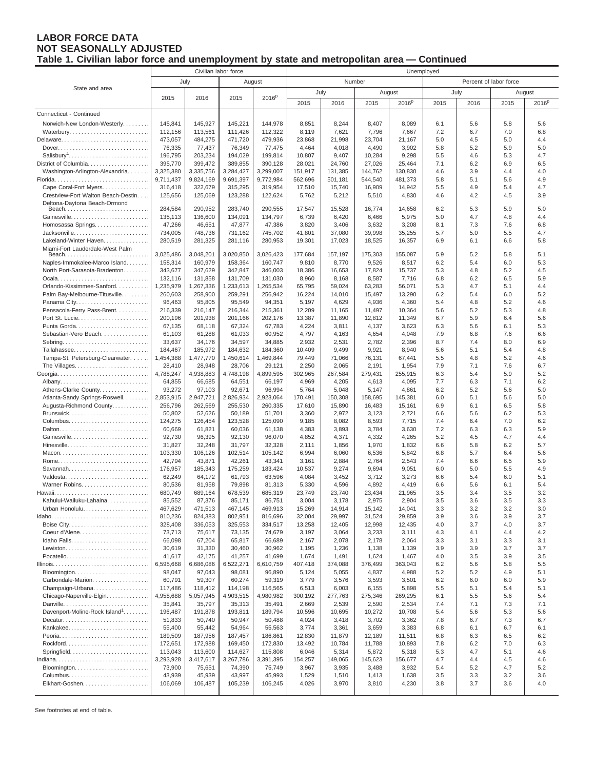|                                           |                     | Civilian labor force |                     |                     |                  |                  |                  |                   | Unemployed |                        |            |                   |
|-------------------------------------------|---------------------|----------------------|---------------------|---------------------|------------------|------------------|------------------|-------------------|------------|------------------------|------------|-------------------|
|                                           | July                |                      |                     | August              |                  | Number           |                  |                   |            | Percent of labor force |            |                   |
| State and area                            |                     |                      |                     |                     | July             |                  | August           |                   |            | July                   |            | August            |
|                                           | 2015                | 2016                 | 2015                | 2016 <sup>p</sup>   | 2015             | 2016             | 2015             | 2016 <sup>p</sup> | 2015       | 2016                   | 2015       | 2016 <sup>p</sup> |
|                                           |                     |                      |                     |                     |                  |                  |                  |                   |            |                        |            |                   |
| Connecticut - Continued                   |                     |                      |                     |                     |                  |                  |                  |                   |            |                        |            |                   |
| Norwich-New London-Westerly               | 145,841             | 145,927              | 145.221             | 144,978             | 8,851            | 8,244            | 8,407            | 8,089             | 6.1        | 5.6                    | 5.8        | 5.6               |
| Waterbury                                 | 112,156             | 113,561              | 111,426             | 112,322             | 8,119            | 7,621            | 7,796            | 7,667<br>21,167   | 7.2<br>5.0 | 6.7<br>4.5             | 7.0<br>5.0 | 6.8<br>4.4        |
| Delaware                                  | 473,057<br>76,335   | 484,275<br>77,437    | 471,720<br>76,349   | 479,936<br>77,475   | 23,868<br>4,464  | 21,998<br>4,018  | 23,704<br>4,490  | 3,902             | 5.8        | 5.2                    | 5.9        | 5.0               |
| Salisbury <sup>1</sup>                    | 196,795             | 203,234              | 194,029             | 199,814             | 10,807           | 9,407            | 10,284           | 9,298             | 5.5        | 4.6                    | 5.3        | 4.7               |
| District of Columbia                      | 395,770             | 399,472              | 389,855             | 390.128             | 28,021           | 24,760           | 27,026           | 25,464            | 7.1        | 6.2                    | 6.9        | 6.5               |
| Washington-Arlington-Alexandria           | 3,325,380           | 3,335,756            | 3,284,427           | 3,299,007           | 151,917          | 131,385          | 144,762          | 130,830           | 4.6        | 3.9                    | 4.4        | 4.0               |
|                                           | 9,711,437           | 9,824,169            | 9,691,397           | 9,772,984           | 562,696          | 501,181          | 544,540          | 481,373           | 5.8        | 5.1                    | 5.6        | 4.9               |
| Cape Coral-Fort Myers                     | 316,418             | 322,679              | 315,295             | 319,954             | 17,510           | 15,740           | 16,909           | 14,942            | 5.5        | 4.9                    | 5.4        | 4.7               |
| Crestview-Fort Walton Beach-Destin.       | 125,656             | 125,069              | 123,288             | 122,624             | 5,762            | 5,212            | 5,510            | 4,830             | 4.6        | 4.2                    | 4.5        | 3.9               |
| Deltona-Daytona Beach-Ormond              |                     |                      |                     |                     |                  |                  |                  |                   |            |                        |            |                   |
|                                           | 284,584             | 290,952              | 283,740             | 290,555             | 17,547           | 15,528           | 16,774           | 14,658            | 6.2        | 5.3                    | 5.9        | 5.0               |
| Gainesville                               | 135,113             | 136,600              | 134,091             | 134,797             | 6,739            | 6,420            | 6,466            | 5,975             | 5.0        | 4.7                    | 4.8        | 4.4               |
| Homosassa Springs<br>Jacksonville         | 47,266<br>734,005   | 46,651<br>748,736    | 47,877<br>731,162   | 47,386<br>745,702   | 3,820<br>41,801  | 3,406<br>37,080  | 3,632<br>39,998  | 3,208<br>35,255   | 8.1<br>5.7 | 7.3<br>5.0             | 7.6<br>5.5 | 6.8<br>4.7        |
| Lakeland-Winter Haven                     | 280,519             | 281,325              | 281,116             | 280,953             | 19,301           | 17,023           | 18,525           | 16,357            | 6.9        | 6.1                    | 6.6        | 5.8               |
| Miami-Fort Lauderdale-West Palm           |                     |                      |                     |                     |                  |                  |                  |                   |            |                        |            |                   |
|                                           | 3,025,486           | 3,048,201            | 3,020,850           | 3,026,423           | 177,684          | 157,197          | 175,303          | 155,087           | 5.9        | 5.2                    | 5.8        | 5.1               |
| Naples-Immokalee-Marco Island             | 158,314             | 160,979              | 158.364             | 160,747             | 9,810            | 8,770            | 9,526            | 8,517             | 6.2        | 5.4                    | 6.0        | 5.3               |
| North Port-Sarasota-Bradenton.            | 343,677             | 347,629              | 342,847             | 346,003             | 18,386           | 16,653           | 17,824           | 15,737            | 5.3        | 4.8                    | 5.2        | 4.5               |
|                                           | 132,116             | 131,858              | 131,709             | 131,030             | 8,960            | 8,168            | 8,587            | 7,716             | 6.8        | 6.2                    | 6.5        | 5.9               |
| Orlando-Kissimmee-Sanford                 | 1,235,979           | 1,267,336            | 1,233,613           | 1,265,534           | 65,795           | 59,024           | 63,283           | 56,071            | 5.3        | 4.7                    | 5.1        | 4.4               |
| Palm Bay-Melbourne-Titusville.            | 260,603             | 258,900              | 259,291             | 256,942             | 16,224           | 14,010           | 15,497           | 13,290            | 6.2        | 5.4                    | 6.0        | 5.2               |
|                                           | 96,463              | 95,805               | 95,549              | 94,351              | 5,197            | 4,629            | 4,936            | 4,360             | 5.4        | 4.8                    | 5.2        | 4.6               |
| Pensacola-Ferry Pass-Brent.               | 216,339             | 216,147              | 216,344             | 215,361             | 12,209           | 11,165           | 11,497           | 10,364            | 5.6        | 5.2                    | 5.3        | 4.8               |
|                                           | 200,196<br>67,135   | 201,938<br>68,118    | 201,166<br>67,324   | 202,176<br>67,783   | 13,387<br>4,224  | 11,890<br>3,811  | 12,812<br>4,137  | 11,349<br>3,623   | 6.7<br>6.3 | 5.9<br>5.6             | 6.4<br>6.1 | 5.6<br>5.3        |
| Sebastian-Vero Beach.                     | 61,103              | 61,288               | 61,033              | 60,952              | 4,797            | 4,163            | 4,654            | 4,048             | 7.9        | 6.8                    | 7.6        | 6.6               |
| Sebring                                   | 33,637              | 34,176               | 34,597              | 34,885              | 2,932            | 2,531            | 2,782            | 2,396             | 8.7        | 7.4                    | 8.0        | 6.9               |
| Tallahassee                               | 184,467             | 185,972              | 184,632             | 184,360             | 10,409           | 9,499            | 9,921            | 8,940             | 5.6        | 5.1                    | 5.4        | 4.8               |
| Tampa-St. Petersburg-Clearwater.          | 1,454,388           | 1,477,770            | 1,450,614           | 1,469,844           | 79,449           | 71,066           | 76,131           | 67,441            | 5.5        | 4.8                    | 5.2        | 4.6               |
|                                           | 28,410              | 28,948               | 28,706              | 29,121              | 2,250            | 2,065            | 2,191            | 1,954             | 7.9        | 7.1                    | 7.6        | 6.7               |
|                                           | 4,788,247           | 4,938,883            | 4,748,198           | 4,899,595           | 302,965          | 267,584          | 279,431          | 255,915           | 6.3        | 5.4                    | 5.9        | 5.2               |
| Albany                                    | 64,855              | 66,685               | 64,551              | 66,197              | 4,969            | 4,205            | 4,613            | 4,095             | 7.7        | 6.3                    | 7.1        | 6.2               |
| Athens-Clarke County                      | 93,272              | 97,103               | 92,671              | 96,994              | 5,764            | 5,048            | 5,147            | 4,861             | 6.2        | 5.2                    | 5.6        | 5.0               |
| Atlanta-Sandy Springs-Roswell.            | 2,853,915           | 2,947,721            | 2,826,934           | 2,923,064           | 170,491          | 150,308          | 158,695          | 145,381           | 6.0        | 5.1                    | 5.6        | 5.0               |
| Augusta-Richmond County                   | 256,796             | 262,569              | 255,530             | 260,335             | 17,610           | 15,890           | 16,483           | 15,161            | 6.9        | 6.1                    | 6.5        | 5.8               |
| Brunswick                                 | 50,802              | 52,626               | 50,189              | 51,701              | 3,360            | 2,972            | 3,123            | 2,721             | 6.6        | 5.6                    | 6.2        | 5.3               |
|                                           | 124,275             | 126,454              | 123,528             | 125,090             | 9,185            | 8,082            | 8,593            | 7,715             | 7.4        | 6.4                    | 7.0        | 6.2               |
|                                           | 60,669              | 61,821               | 60,036              | 61,138              | 4,383            | 3,893            | 3,784            | 3,630             | 7.2        | 6.3                    | 6.3        | 5.9               |
|                                           | 92,730              | 96,395               | 92,130              | 96,070              | 4,852            | 4,371            | 4,332            | 4,265             | 5.2        | 4.5                    | 4.7        | 4.4               |
|                                           | 31,827<br>103,330   | 32,248<br>106,126    | 31,797<br>102,514   | 32,328<br>105,142   | 2,111<br>6,994   | 1,856<br>6,060   | 1,970<br>6,536   | 1,832<br>5,842    | 6.6<br>6.8 | 5.8<br>5.7             | 6.2<br>6.4 | 5.7<br>5.6        |
|                                           | 42,794              | 43,871               | 42,261              | 43,341              | 3,161            | 2,884            | 2,764            | 2,543             | 7.4        | 6.6                    | 6.5        | 5.9               |
| Savannah                                  | 176,957             | 185,343              | 175,259             | 183,424             | 10,537           | 9,274            | 9,694            | 9,051             | 6.0        | 5.0                    | 5.5        | 4.9               |
| Valdosta                                  | 62,249              | 64,172               | 61,793              | 63,596              | 4,084            | 3,452            | 3,712            | 3,273             | 6.6        | 5.4                    | 6.0        | 5.1               |
|                                           | 80,536              | 81,958               | 79,898              | 81,313              | 5,330            | 4,596            | 4,892            | 4,419             | 6.6        | 5.6                    | 6.1        | 5.4               |
|                                           | 680,749             | 689,164              | 678,539             | 685,319             | 23,749           | 23,740           | 23,434           | 21,965            | 3.5        | 3.4                    | 3.5        | 3.2               |
| Kahului-Wailuku-Lahaina                   | 85,552              | 87,376               | 85,171              | 86,751              | 3,004            | 3,178            | 2,975            | 2,904             | 3.5        | 3.6                    | 3.5        | 3.3               |
| Urban Honolulu                            | 467,629             | 471,513              | 467,145             | 469,913             | 15,269           | 14,914           | 15,142           | 14,041            | 3.3        | 3.2                    | 3.2        | 3.0               |
|                                           | 810,236             | 824,383              | 802,951             | 816,696             | 32,004           | 29,997           | 31,524           | 29,859            | 3.9        | 3.6                    | 3.9        | 3.7               |
|                                           | 328,408             | 336,053              | 325,553             | 334,517             | 13,258           | 12,405           | 12,998           | 12,435            | 4.0        | 3.7                    | 4.0        | 3.7               |
| Coeur d'Alene                             | 73,713              | 75,617               | 73,135              | 74,679              | 3,197            | 3,064            | 3,233            | 3,111             | 4.3        | 4.1                    | 4.4        | 4.2               |
|                                           | 66,098              | 67,204               | 65,817              | 66,689              | 2,167            | 2,078            | 2,178            | 2,064             | 3.3        | 3.1                    | 3.3        | 3.1               |
|                                           | 30,619              | 31,330               | 30,460              | 30,962              | 1,195            | 1,236            | 1,138            | 1,139             | 3.9        | 3.9                    | 3.7<br>3.9 | 3.7               |
|                                           | 41,617<br>6,595,668 | 42,175<br>6,686,086  | 41,257<br>6,522,271 | 41,699<br>6,610,759 | 1,674<br>407,418 | 1,491<br>374,088 | 1,624<br>376,499 | 1,467<br>363,043  | 4.0<br>6.2 | 3.5<br>5.6             | 5.8        | 3.5<br>5.5        |
|                                           | 98,047              | 97,043               | 98,081              | 96,890              | 5,124            | 5,055            | 4,837            | 4,988             | 5.2        | 5.2                    | 4.9        | 5.1               |
| Carbondale-Marion.                        | 60,791              | 59,307               | 60,274              | 59,319              | 3,779            | 3,576            | 3,593            | 3,501             | 6.2        | 6.0                    | 6.0        | 5.9               |
| Champaign-Urbana                          | 117,486             | 118,412              | 114,198             | 116,565             | 6,513            | 6,003            | 6,155            | 5,898             | 5.5        | 5.1                    | 5.4        | 5.1               |
| Chicago-Naperville-Elgin                  | 4,958,688           | 5,057,945            | 4,903,515           | 4,980,982           | 300,192          | 277,763          | 275,346          | 269,295           | 6.1        | 5.5                    | 5.6        | 5.4               |
| Danville                                  | 35,841              | 35,797               | 35,313              | 35,491              | 2,669            | 2,539            | 2,590            | 2,534             | 7.4        | 7.1                    | 7.3        | 7.1               |
| Davenport-Moline-Rock Island <sup>1</sup> | 196,487             | 191,878              | 193.811             | 189,794             | 10,596           | 10,695           | 10,272           | 10,708            | 5.4        | 5.6                    | 5.3        | 5.6               |
| Decatur                                   | 51,833              | 50,740               | 50,947              | 50,488              | 4,024            | 3,418            | 3,702            | 3,362             | 7.8        | 6.7                    | 7.3        | 6.7               |
| Kankakee                                  | 55,400              | 55,442               | 54,964              | 55,563              | 3,774            | 3,361            | 3,659            | 3,383             | 6.8        | 6.1                    | 6.7        | 6.1               |
| Peoria                                    | 189,509             | 187,956              | 187,457             | 186,861             | 12,830           | 11,879           | 12,189           | 11,511            | 6.8        | 6.3                    | 6.5        | 6.2               |
|                                           | 172,651             | 172,988              | 169,450             | 172,830             | 13,492           | 10,784           | 11,788           | 10,893            | 7.8        | 6.2                    | 7.0        | 6.3               |
|                                           | 113,043             | 113,600              | 114,627             | 115,808             | 6,046            | 5,314            | 5,872            | 5,318             | 5.3        | 4.7                    | 5.1        | 4.6               |
|                                           | 3,293,928           | 3,417,617            | 3,267,786           | 3,391,395           | 154,257          | 149,065          | 145,623          | 156,677           | 4.7        | 4.4                    | 4.5        | 4.6               |
|                                           | 73,900              | 75,651               | 74,390              | 75,749              | 3,967            | 3,935            | 3,488            | 3,932             | 5.4        | 5.2                    | 4.7        | 5.2               |
|                                           | 43,939<br>106,069   | 45,939<br>106,487    | 43,997<br>105,239   | 45,993<br>106,245   | 1,529<br>4,026   | 1,510<br>3,970   | 1,413<br>3,810   | 1,638<br>4,230    | 3.5<br>3.8 | 3.3<br>3.7             | 3.2<br>3.6 | 3.6<br>4.0        |
|                                           |                     |                      |                     |                     |                  |                  |                  |                   |            |                        |            |                   |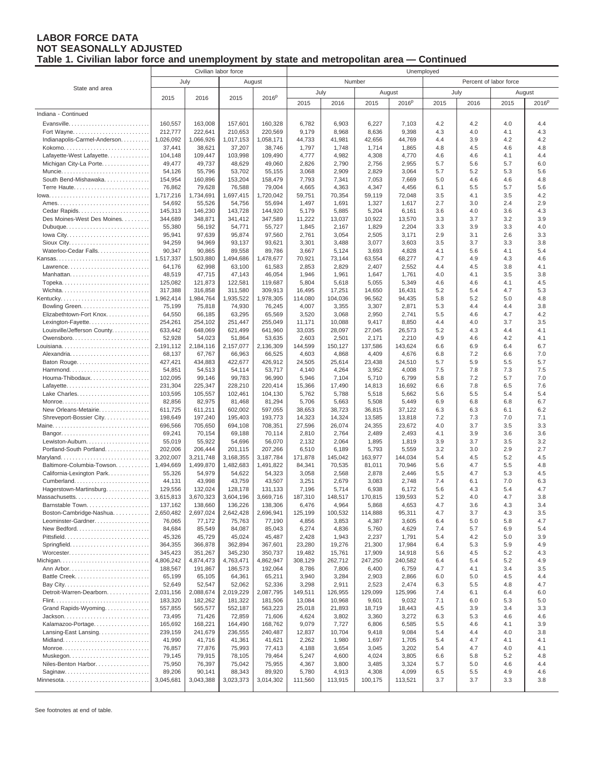|                                                                     |                   |                   | Civilian labor force |                   |                |                |                | Unemployed        |            |            |                        |                   |
|---------------------------------------------------------------------|-------------------|-------------------|----------------------|-------------------|----------------|----------------|----------------|-------------------|------------|------------|------------------------|-------------------|
|                                                                     |                   | July              |                      | August            |                |                | Number         |                   |            |            | Percent of labor force |                   |
| State and area                                                      |                   |                   |                      |                   |                | July           |                | August            | July       |            |                        | August            |
|                                                                     | 2015              | 2016              | 2015                 | 2016 <sup>p</sup> | 2015           | 2016           | 2015           | 2016 <sup>p</sup> | 2015       | 2016       | 2015                   | 2016 <sup>p</sup> |
|                                                                     |                   |                   |                      |                   |                |                |                |                   |            |            |                        |                   |
| Indiana - Continued                                                 |                   |                   |                      |                   |                |                |                |                   |            |            |                        |                   |
| Evansville                                                          | 160,557           | 163,008           | 157,601              | 160,328           | 6,782          | 6,903          | 6,227          | 7,103             | 4.2        | 4.2        | 4.0                    | 4.4               |
|                                                                     | 212,777           | 222,641           | 210,653              | 220,569           | 9,179          | 8,968          | 8,636          | 9,398             | 4.3        | 4.0        | 4.1                    | 4.3               |
| Indianapolis-Carmel-Anderson                                        | 1,026,092         | 1,066,926         | 1,017,153            | 1,058,171         | 44,733         | 41,981         | 42,656         | 44,769            | 4.4        | 3.9        | 4.2                    | 4.2               |
|                                                                     | 37,441            | 38,621            | 37,207               | 38,746            | 1,797          | 1,748          | 1,714          | 1,865             | 4.8        | 4.5        | 4.6                    | 4.8               |
| Lafayette-West Lafayette.                                           | 104,148           | 109,447           | 103,998              | 109,490           | 4,777          | 4,982          | 4,308          | 4,770             | 4.6        | 4.6        | 4.1                    | 4.4               |
| Michigan City-La Porte                                              | 49,477            | 49,737            | 48,629               | 49,060            | 2,826          | 2,790          | 2,756          | 2,955             | 5.7        | 5.6        | 5.7                    | 6.0               |
| Muncie<br>South Bend-Mishawaka                                      | 54,126<br>154,954 | 55,796<br>160,896 | 53,702<br>153,204    | 55,155<br>158,479 | 3,068<br>7,793 | 2,909<br>7,341 | 2,829<br>7,053 | 3,064<br>7,669    | 5.7<br>5.0 | 5.2<br>4.6 | 5.3<br>4.6             | 5.6<br>4.8        |
|                                                                     | 76,862            | 79,628            | 76,588               | 79,004            | 4,665          | 4,363          | 4,347          | 4,456             | 6.1        | 5.5        | 5.7                    | 5.6               |
|                                                                     | 1,717,216         | 1,734,691         | 1,697,415            | 1.720.042         | 59,751         | 70,354         | 59,119         | 72,048            | 3.5        | 4.1        | 3.5                    | 4.2               |
|                                                                     | 54,692            | 55,526            | 54,756               | 55,694            | 1,497          | 1,691          | 1,327          | 1,617             | 2.7        | 3.0        | 2.4                    | 2.9               |
|                                                                     | 145,313           | 146,230           | 143,728              | 144,920           | 5,179          | 5,885          | 5,204          | 6,161             | 3.6        | 4.0        | 3.6                    | 4.3               |
| Des Moines-West Des Moines                                          | 344,689           | 348,871           | 341,412              | 347,589           | 11,222         | 13,037         | 10,922         | 13,570            | 3.3        | 3.7        | 3.2                    | 3.9               |
|                                                                     | 55,380            | 56,192            | 54,771               | 55,727            | 1,845          | 2,167          | 1,829          | 2,204             | 3.3        | 3.9        | 3.3                    | 4.0               |
|                                                                     | 95,941            | 97,639            | 95,874               | 97,560            | 2,761          | 3,054          | 2,505          | 3,171             | 2.9        | 3.1        | 2.6                    | 3.3               |
| Sioux City. $\dots \dots \dots \dots \dots \dots \dots \dots \dots$ | 94,259            | 94,969            | 93,137               | 93,621            | 3,301          | 3,488          | 3,077          | 3,603             | 3.5        | 3.7        | 3.3                    | 3.8               |
| Waterloo-Cedar Falls.                                               | 90,347            | 90,865            | 89,558               | 89,786            | 3,667          | 5,124          | 3,693          | 4,828             | 4.1        | 5.6        | 4.1                    | 5.4               |
| Kansas                                                              | 1,517,337         | 1,503,880         | 1.494.686            | 1,478,677         | 70,921         | 73,144         | 63,554         | 68,277            | 4.7        | 4.9        | 4.3                    | 4.6               |
|                                                                     | 64,176            | 62,998            | 63,100               | 61,583            | 2,853          | 2,829          | 2,407          | 2,552             | 4.4        | 4.5        | 3.8                    | 4.1               |
|                                                                     | 48,519            | 47,715            | 47,143               | 46,054            | 1,946          | 1,961          | 1,647          | 1,761             | 4.0        | 4.1        | 3.5                    | 3.8               |
|                                                                     | 125,082           | 121,873           | 122,581              | 119,687           | 5,804          | 5,618          | 5,055          | 5,349             | 4.6        | 4.6        | 4.1                    | 4.5               |
| Wichita                                                             | 317,388           | 316,858           | 311,580              | 309,913           | 16,495         | 17,251         | 14,650         | 16,431            | 5.2        | 5.4        | 4.7                    | 5.3               |
|                                                                     | 1,962,414         | 1,984,764         | 1,935,522            | 1,978,305         | 114,080        | 104,036        | 96,562         | 94,435            | 5.8        | 5.2        | 5.0                    | 4.8               |
|                                                                     | 75,199            | 75,818            | 74,930               | 76,245            | 4,007          | 3,355          | 3,307          | 2,871             | 5.3        | 4.4        | 4.4                    | 3.8               |
| Elizabethtown-Fort Knox                                             | 64,550            | 66,185            | 63,295               | 65,569            | 3,520          | 3,068          | 2,950          | 2,741             | 5.5        | 4.6        | 4.7                    | 4.2               |
| Lexington-Fayette                                                   | 254,261           | 254,102           | 251,447              | 255,049           | 11,171         | 10,088         | 9,417          | 8,850             | 4.4        | 4.0        | 3.7                    | 3.5               |
| Louisville/Jefferson County.                                        | 633,442           | 648,069           | 621,499              | 641,960           | 33,035         | 28,097         | 27,045         | 26,573            | 5.2        | 4.3        | 4.4                    | 4.1               |
| Owensboro                                                           | 52,928            | 54,023            | 51,864               | 53,635            | 2,603          | 2,501          | 2,171          | 2,210             | 4.9        | 4.6        | 4.2                    | 4.1               |
|                                                                     | 2,191,112         | 2,184,116         | 2,157,077            | 2,136,309         | 144,599        | 150,127        | 137,586        | 143,624           | 6.6        | 6.9        | 6.4                    | 6.7               |
|                                                                     | 68,137            | 67,767            | 66,963               | 66,525            | 4,603          | 4,868          | 4,409          | 4,676             | 6.8        | 7.2        | 6.6                    | 7.0               |
| Baton Rouge                                                         | 427,421           | 434,883           | 422,677              | 426,912           | 24,505         | 25,614         | 23,438         | 24,510            | 5.7        | 5.9        | 5.5                    | 5.7               |
| Hammond                                                             | 54,851            | 54,513            | 54,114               | 53,717            | 4,140          | 4,264          | 3,952          | 4,008             | 7.5        | 7.8        | 7.3                    | 7.5               |
| Houma-Thibodaux                                                     | 102,095           | 99,146            | 99,783               | 96,990            | 5,946          | 7,104          | 5,710          | 6,799             | 5.8        | 7.2        | 5.7                    | 7.0               |
| Lafayette                                                           | 231,304           | 225,347           | 228,210              | 220,414           | 15,366         | 17,490         | 14,813         | 16,692            | 6.6        | 7.8        | 6.5                    | 7.6               |
| Lake Charles                                                        | 103,595           | 105,557           | 102,461              | 104,130           | 5,762          | 5,788          | 5,518          | 5,662             | 5.6        | 5.5        | 5.4                    | 5.4               |
| Monroe                                                              | 82,856            | 82,975            | 81,468               | 81,294            | 5,706          | 5,663          | 5,508          | 5,449             | 6.9        | 6.8        | 6.8                    | 6.7               |
| New Orleans-Metairie.                                               | 611,725           | 611,211           | 602,002              | 597,055           | 38,653         | 38,723         | 36,815         | 37,122            | 6.3        | 6.3        | 6.1                    | 6.2               |
| Shreveport-Bossier City.                                            | 198,649           | 197,240           | 195,403              | 193,773           | 14,323         | 14,324         | 13,585         | 13,818            | 7.2        | 7.3        | 7.0                    | 7.1               |
|                                                                     | 696,566           | 705,650           | 694,108              | 708,351           | 27,596         | 26,074         | 24,355         | 23,672            | 4.0        | 3.7        | 3.5                    | 3.3               |
|                                                                     | 69,241            | 70,154            | 69,188               | 70,114            | 2,810          | 2,764          | 2,489          | 2,493             | 4.1        | 3.9        | 3.6                    | 3.6               |
|                                                                     | 55,019            | 55,922            | 54,696               | 56,070            | 2,132          | 2,064          | 1,895          | 1,819             | 3.9        | 3.7        | 3.5                    | 3.2               |
| Portland-South Portland                                             | 202,006           | 206,444           | 201,115              | 207,266           | 6,510          | 6,189          | 5,793          | 5,559             | 3.2        | 3.0        | 2.9                    | 2.7               |
| Maryland                                                            | 3,202,007         | 3,211,748         | 3,168,355            | 3,187,784         | 171,878        | 145,042        | 163,977        | 144,034           | 5.4        | 4.5        | 5.2                    | 4.5               |
| Baltimore-Columbia-Towson.                                          | 1,494,669         | 1,499,870         | 1,482,683            | 1,491,822         | 84,341         | 70,535         | 81,011         | 70,946            | 5.6        | 4.7        | 5.5                    | 4.8               |
| California-Lexington Park                                           | 55,326            | 54,979            | 54,622               | 54,323            | 3,058          | 2,568          | 2,878          | 2,446             | 5.5        | 4.7        | 5.3                    | 4.5               |
| Cumberland<br>Hagerstown-Martinsburg                                | 44,131<br>129,556 | 43,998<br>132,024 | 43,759<br>128,178    | 43,507<br>131,133 | 3,251<br>7,196 | 2,679<br>5,714 | 3,083<br>6,938 | 2,748<br>6,172    | 7.4<br>5.6 | 6.1<br>4.3 | 7.0<br>5.4             | 6.3<br>4.7        |
|                                                                     | 3,615,813         | 3,670,323         | 3,604,196            | 3,669,716         | 187,310        | 148,517        | 170,815        | 139,593           | 5.2        | 4.0        | 4.7                    | 3.8               |
| Barnstable Town                                                     | 137,162           | 138,660           | 136,226              | 138,306           | 6,476          | 4,964          | 5,868          | 4,653             | 4.7        | 3.6        | 4.3                    | 3.4               |
| Boston-Cambridge-Nashua                                             | 2,650,482         | 2,697,024         | 2,642,428            | 2,696,941         | 125,199        | 100,532        | 114,888        | 95,311            | 4.7        | 3.7        | 4.3                    | 3.5               |
| Leominster-Gardner                                                  | 76,065            | 77,172            | 75,763               | 77,190            | 4,856          | 3,853          | 4,387          | 3,605             | 6.4        | 5.0        | 5.8                    | 4.7               |
|                                                                     | 84,684            | 85,549            | 84,087               | 85,043            | 6,274          | 4,836          | 5,760          | 4,629             | 7.4        | 5.7        | 6.9                    | 5.4               |
|                                                                     | 45,326            | 45,729            | 45,024               | 45,487            | 2,428          | 1,943          | 2,237          | 1,791             | 5.4        | 4.2        | 5.0                    | 3.9               |
|                                                                     | 364,355           | 366,878           | 362,894              | 367,601           | 23,280         | 19,276         | 21,300         | 17,984            | 6.4        | 5.3        | 5.9                    | 4.9               |
|                                                                     | 345,423           | 351,267           | 345,230              | 350,737           | 19,482         | 15,761         | 17,909         | 14,918            | 5.6        | 4.5        | 5.2                    | 4.3               |
| Michigan                                                            | 4,806,242         | 4,874,473         | 4,763,471            | 4,862,947         | 308,129        | 262,712        | 247,250        | 240,582           | 6.4        | 5.4        | 5.2                    | 4.9               |
|                                                                     | 188,567           | 191,867           | 186,573              | 192,064           | 8,786          | 7,806          | 6,400          | 6,759             | 4.7        | 4.1        | 3.4                    | 3.5               |
|                                                                     | 65,199            | 65,105            | 64,361               | 65,211            | 3,940          | 3,284          | 2,903          | 2,866             | 6.0        | 5.0        | 4.5                    | 4.4               |
|                                                                     | 52,649            | 52,547            | 52,062               | 52,336            | 3,298          | 2,911          | 2,523          | 2,474             | 6.3        | 5.5        | 4.8                    | 4.7               |
| Detroit-Warren-Dearborn.                                            | 2,031,156         | 2,088,674         | 2,019,229            | 2,087,795         | 149,511        | 126,955        | 129,099        | 125,996           | 7.4        | 6.1        | 6.4                    | 6.0               |
|                                                                     | 183,320           | 182,262           | 181,322              | 181,506           | 13,084         | 10,968         | 9,601          | 9,032             | 7.1        | 6.0        | 5.3                    | 5.0               |
| Grand Rapids-Wyoming                                                | 557,855           | 565,577           | 552,187              | 563,223           | 25,018         | 21,893         | 18,719         | 18,443            | 4.5        | 3.9        | 3.4                    | 3.3               |
|                                                                     | 73,495            | 71,426            | 72,859               | 71,606            | 4,624          | 3,802          | 3,360          | 3,272             | 6.3        | 5.3        | 4.6                    | 4.6               |
| Kalamazoo-Portage                                                   | 165,692           | 168,221           | 164,490              | 168,762           | 9,079          | 7,727          | 6,806          | 6,585             | 5.5        | 4.6        | 4.1                    | 3.9               |
| Lansing-East Lansing                                                | 239,159           | 241,679           | 236,555              | 240,487           | 12,837         | 10,704         | 9,418          | 9,084             | 5.4        | 4.4        | 4.0                    | 3.8               |
|                                                                     | 41,990            | 41,716            | 41,361               | 41,621            | 2,262          | 1,980          | 1,697          | 1,705             | 5.4        | 4.7        | 4.1                    | 4.1               |
|                                                                     | 76,857            | 77,876            | 75,993               | 77,413            | 4,188          | 3,654          | 3,045          | 3,202             | 5.4        | 4.7        | 4.0                    | 4.1               |
|                                                                     | 79,145            | 79,915            | 78,105               | 79,464            | 5,247          | 4,600          | 4,024          | 3,805             | 6.6        | 5.8        | 5.2                    | 4.8               |
| Niles-Benton Harbor.                                                | 75,950            | 76,397            | 75,042               | 75,955            | 4,367          | 3,800          | 3,485          | 3,324             | 5.7        | 5.0        | 4.6                    | 4.4               |
| Saginaw                                                             | 89,206            | 90,141            | 88,343               | 89,920            | 5,780          | 4,913          | 4,308          | 4,099             | 6.5        | 5.5        | 4.9                    | 4.6               |
|                                                                     | 3,045,681         | 3,043,388         | 3,023,373            | 3,014,302         | 111,560        | 113,915        | 100,175        | 113,521           | 3.7        | 3.7        | 3.3                    | 3.8               |
|                                                                     |                   |                   |                      |                   |                |                |                |                   |            |            |                        |                   |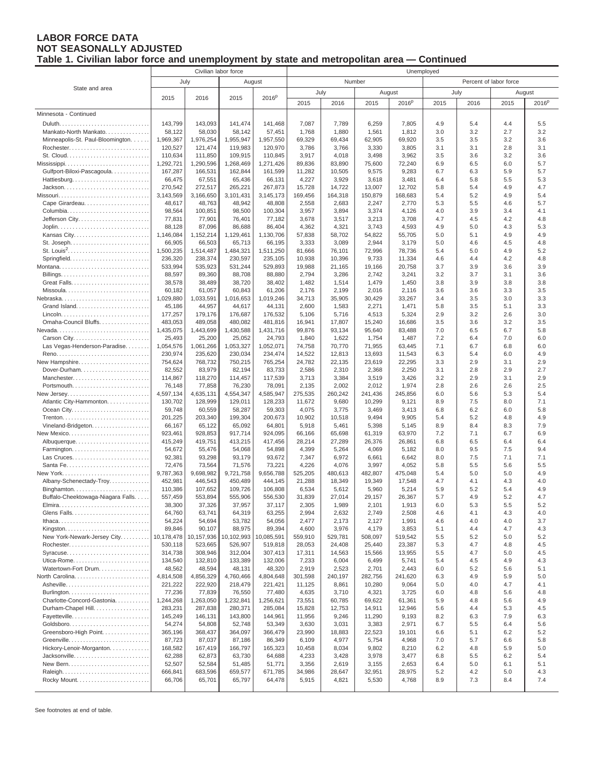|                                        |                     | Civilian labor force |                     |                      |                  |                  |                  | Unemployed        |            |            |                        |                   |
|----------------------------------------|---------------------|----------------------|---------------------|----------------------|------------------|------------------|------------------|-------------------|------------|------------|------------------------|-------------------|
|                                        | July                |                      | August              |                      |                  |                  | Number           |                   |            |            | Percent of labor force |                   |
| State and area                         |                     |                      |                     |                      | July             |                  |                  | August            |            | July       |                        | August            |
|                                        | 2015                | 2016                 | 2015                | 2016 <sup>p</sup>    | 2015             | 2016             | 2015             | 2016 <sup>p</sup> | 2015       | 2016       | 2015                   | 2016 <sup>p</sup> |
| Minnesota - Continued                  |                     |                      |                     |                      |                  |                  |                  |                   |            |            |                        |                   |
|                                        |                     |                      |                     |                      |                  |                  |                  |                   |            |            |                        |                   |
| Mankato-North Mankato                  | 143,799<br>58,122   | 143,093<br>58,030    | 141,474<br>58,142   | 141,468<br>57,451    | 7,087<br>1,768   | 7,789<br>1,880   | 6,259<br>1,561   | 7,805<br>1,812    | 4.9<br>3.0 | 5.4<br>3.2 | 4.4<br>2.7             | 5.5<br>3.2        |
| Minneapolis-St. Paul-Bloomington.      | 1,969,367           | 1,976,254            | 1,955,947           | 1,957,550            | 69,329           | 69,434           | 62,905           | 69,920            | 3.5        | 3.5        | 3.2                    | 3.6               |
|                                        | 120,527             | 121,474              | 119,983             | 120,970              | 3,786            | 3,766            | 3,330            | 3,805             | 3.1        | 3.1        | 2.8                    | 3.1               |
|                                        | 110,634             | 111,850              | 109,915             | 110,845              | 3,917            | 4,018            | 3,498            | 3,962             | 3.5        | 3.6        | 3.2                    | 3.6               |
| Mississippi                            | 1,292,721           | 1,290,596            | 1,268,469           | 1,271,426            | 89,836           | 83,890           | 75,600           | 72,240            | 6.9        | 6.5        | 6.0                    | 5.7               |
| Gulfport-Biloxi-Pascagoula             | 167,287             | 166.531              | 162,844             | 161,599              | 11,282           | 10,505           | 9,575            | 9,283             | 6.7        | 6.3        | 5.9                    | 5.7               |
| Hattiesburg                            | 66,475              | 67,551               | 65,436              | 66,131               | 4,227            | 3,929            | 3,618            | 3,481             | 6.4        | 5.8        | 5.5                    | 5.3               |
|                                        | 270,542             | 272,517              | 265,221             | 267,873              | 15,728           | 14,722           | 13,007           | 12,702            | 5.8        | 5.4        | 4.9                    | 4.7               |
|                                        | 3,143,569           | 3,166,650            | 3,101,431           | 3,145,173            | 169,456          | 164,318          | 150,879          | 168,683           | 5.4        | 5.2        | 4.9                    | 5.4               |
| Cape Girardeau                         | 48,617<br>98,564    | 48,763<br>100,851    | 48,942<br>98,500    | 48,808<br>100,304    | 2,558<br>3,957   | 2,683<br>3,894   | 2,247<br>3,374   | 2,770<br>4,126    | 5.3<br>4.0 | 5.5<br>3.9 | 4.6<br>3.4             | 5.7<br>4.1        |
|                                        | 77,831              | 77,901               | 76,401              | 77,182               | 3,678            | 3,517            | 3,213            | 3,708             | 4.7        | 4.5        | 4.2                    | 4.8               |
|                                        | 88,128              | 87,096               | 86,688              | 86,404               | 4,362            | 4,321            | 3,743            | 4,593             | 4.9        | 5.0        | 4.3                    | 5.3               |
|                                        | 1,146,084           | 1,152,214            | 1,129,461           | 1,130,706            | 57,838           | 58,702           | 54,822           | 55,705            | 5.0        | 5.1        | 4.9                    | 4.9               |
|                                        | 66,905              | 66,503               | 65,713              | 66,195               | 3,333            | 3,089            | 2,944            | 3,179             | 5.0        | 4.6        | 4.5                    | 4.8               |
|                                        | 1,500,235           | 1,514,487            | 1,484,321           | 1,511,250            | 81,666           | 76,101           | 72,996           | 78,736            | 5.4        | 5.0        | 4.9                    | 5.2               |
|                                        | 236,320             | 238,374              | 230,597             | 235,105              | 10,938           | 10,396           | 9,733            | 11,334            | 4.6        | 4.4        | 4.2                    | 4.8               |
|                                        | 533,994             | 535,923              | 531,244             | 529,893              | 19,988           | 21,165           | 19,166           | 20,758            | 3.7        | 3.9        | 3.6                    | 3.9               |
|                                        | 88,597              | 89,360               | 88,708              | 88,880               | 2,794            | 3,286            | 2,742            | 3,241             | 3.2        | 3.7        | 3.1                    | 3.6               |
|                                        | 38,578              | 38,489               | 38,720              | 38,402               | 1,482            | 1,514            | 1,479            | 1,450             | 3.8        | 3.9        | 3.8                    | 3.8               |
| Missoula<br>Nebraska                   | 60,182<br>1,029,880 | 61,057               | 60,843              | 61,206               | 2,176            | 2,199            | 2,016            | 2,116             | 3.6<br>3.4 | 3.6<br>3.5 | 3.3<br>3.0             | 3.5               |
| Grand Island                           | 45,186              | 1,033,591<br>44,957  | 1,016,653<br>44,617 | 1,019,246<br>44,131  | 34,713<br>2,600  | 35,905<br>1,583  | 30,429<br>2,271  | 33,267<br>1,471   | 5.8        | 3.5        | 5.1                    | 3.3<br>3.3        |
|                                        | 177,257             | 179,176              | 176,687             | 176,532              | 5,106            | 5,716            | 4,513            | 5,324             | 2.9        | 3.2        | 2.6                    | 3.0               |
| Omaha-Council Bluffs.                  | 483,053             | 489,058              | 480,082             | 481,816              | 16,941           | 17,807           | 15,240           | 16,686            | 3.5        | 3.6        | 3.2                    | 3.5               |
| Nevada                                 | 1,435,075           | 1,443,699            | 1,430,588           | 1,431,716            | 99,876           | 93,134           | 95,640           | 83,488            | 7.0        | 6.5        | 6.7                    | 5.8               |
|                                        | 25,493              | 25,200               | 25,052              | 24,793               | 1,840            | 1,622            | 1,754            | 1,487             | 7.2        | 6.4        | 7.0                    | 6.0               |
| Las Vegas-Henderson-Paradise           | 1,054,576           | 1,061,266            | 1.053.327           | 1,052,071            | 74,758           | 70,770           | 71,955           | 63,445            | 7.1        | 6.7        | 6.8                    | 6.0               |
|                                        | 230,974             | 235,620              | 230,034             | 234,474              | 14,522           | 12,813           | 13,693           | 11,543            | 6.3        | 5.4        | 6.0                    | 4.9               |
| New Hampshire                          | 754,624             | 768,732              | 750,215             | 765,254              | 24,782           | 22,135           | 23,619           | 22,295            | 3.3        | 2.9        | 3.1                    | 2.9               |
| Dover-Durham                           | 82,552              | 83,979               | 82,194              | 83,733               | 2,586            | 2,310            | 2,368            | 2,250             | 3.1        | 2.8        | 2.9                    | 2.7<br>2.9        |
|                                        | 114,867<br>76,148   | 118,270<br>77,858    | 114,457<br>76,230   | 117,539<br>78,091    | 3,713<br>2,135   | 3,384<br>2,002   | 3,519<br>2,012   | 3,426<br>1,974    | 3.2<br>2.8 | 2.9<br>2.6 | 3.1<br>2.6             | 2.5               |
| New Jersey                             | 4,597,134           | 4,635,131            | 4,554,347           | 4,585,947            | 275,535          | 260,242          | 241,436          | 245,856           | 6.0        | 5.6        | 5.3                    | 5.4               |
| Atlantic City-Hammonton.               | 130,702             | 128,999              | 129,011             | 128,233              | 11,672           | 9,680            | 10,299           | 9,121             | 8.9        | 7.5        | 8.0                    | 7.1               |
| Ocean City                             | 59,748              | 60,559               | 58,287              | 59,303               | 4,075            | 3,775            | 3,469            | 3,413             | 6.8        | 6.2        | 6.0                    | 5.8               |
|                                        | 201,225             | 203,340              | 199,304             | 200,673              | 10,902           | 10,518           | 9,494            | 9,905             | 5.4        | 5.2        | 4.8                    | 4.9               |
|                                        | 66,167              | 65,122               | 65,092              | 64,801               | 5,918            | 5,461            | 5,398            | 5,145             | 8.9        | 8.4        | 8.3                    | 7.9               |
|                                        | 923,461             | 928,853              | 917,714             | 924,095              | 66,166           | 65,698           | 61,319           | 63,970            | 7.2        | 7.1        | 6.7                    | 6.9               |
|                                        | 415,249             | 419,751              | 413,215             | 417,456              | 28,214           | 27,289           | 26,376           | 26,861            | 6.8        | 6.5        | 6.4                    | 6.4               |
| Farmington                             | 54,672              | 55,476               | 54,068              | 54,898               | 4,399            | 5,264            | 4,069            | 5,182             | 8.0        | 9.5        | 7.5                    | 9.4               |
| Las Cruces                             | 92,381<br>72,476    | 93,298<br>73,564     | 93,179<br>71,576    | 93,672<br>73,221     | 7,347<br>4,226   | 6,972<br>4,076   | 6,661<br>3,997   | 6,642<br>4,052    | 8.0<br>5.8 | 7.5<br>5.5 | 7.1<br>5.6             | 7.1<br>5.5        |
| New York                               | 9,787,363           | 9,698,982            | 9,721,758           | 9,656,788            | 525,205          | 480,613          | 482,807          | 475,048           | 5.4        | 5.0        | 5.0                    | 4.9               |
| Albany-Schenectady-Troy                | 452,981             | 446,543              | 450,489             | 444,145              | 21,288           | 18,349           | 19,349           | 17,548            | 4.7        | 4.1        | 4.3                    | 4.0               |
|                                        | 110,386             | 107,652              | 109,726             | 106,808              | 6,534            | 5,612            | 5,960            | 5,214             | 5.9        | 5.2        | 5.4                    | 4.9               |
| Buffalo-Cheektowaga-Niagara Falls.     | 557,459             | 553,894              | 555,906             | 556,530              | 31,839           | 27,014           | 29,157           | 26,367            | 5.7        | 4.9        | 5.2                    | 4.7               |
|                                        | 38,300              | 37,326               | 37,957              | 37,117               | 2,305            | 1,989            | 2,101            | 1,913             | 6.0        | 5.3        | 5.5                    | 5.2               |
|                                        | 64,760              | 63,741               | 64,319              | 63,255               | 2,994            | 2,632            | 2,749            | 2,508             | 4.6        | 4.1        | 4.3                    | 4.0               |
| Ithaca                                 | 54,224<br>89,846    | 54,694               | 53,782<br>88,975    | 54,056               | 2,477            | 2,173            | 2,127            | 1,991             | 4.6        | 4.0        | 4.0                    | 3.7<br>4.3        |
| New York-Newark-Jersey City 10,178,478 |                     | 90,107<br>10,157,936 | 10,102,993          | 89,394<br>10,085,591 | 4,600<br>559,910 | 3,976<br>529,781 | 4,179<br>508,097 | 3,853<br>519,542  | 5.1<br>5.5 | 4.4<br>5.2 | 4.7<br>5.0             | 5.2               |
|                                        | 530,118             | 523,665              | 526,907             | 519,818              | 28,053           | 24,408           | 25,440           | 23,387            | 5.3        | 4.7        | 4.8                    | 4.5               |
| Syracuse                               | 314,738             | 308,946              | 312,004             | 307,413              | 17,311           | 14,563           | 15,566           | 13,955            | 5.5        | 4.7        | 5.0                    | 4.5               |
| Utica-Rome                             | 134,540             | 132,810              | 133,389             | 132,006              | 7,233            | 6,004            | 6,499            | 5,741             | 5.4        | 4.5        | 4.9                    | 4.3               |
| Watertown-Fort Drum.                   | 48,562              | 48,594               | 48,131              | 48,320               | 2,919            | 2,523            | 2,701            | 2,443             | 6.0        | 5.2        | 5.6                    | 5.1               |
|                                        | 4,814,508           | 4,856,329            | 4,760,466           | 4,804,648            | 301,598          | 240,197          | 282,756          | 241,620           | 6.3        | 4.9        | 5.9                    | 5.0               |
|                                        | 221,222             | 222,920              | 218,479             | 221,421              | 11,125           | 8,861            | 10,280           | 9,064             | 5.0        | 4.0        | 4.7                    | 4.1               |
|                                        | 77,236              | 77,839               | 76,550              | 77,480               | 4,635            | 3,710            | 4,321            | 3,725             | 6.0        | 4.8        | 5.6                    | 4.8               |
| Charlotte-Concord-Gastonia             | 1,244,268           | 1,263,050            | 1,232,841           | 1,256,621            | 73,551           | 60,785           | 69,622           | 61,361            | 5.9        | 4.8        | 5.6                    | 4.9               |
|                                        | 283,231<br>145,249  | 287,838              | 280,371<br>143,800  | 285,084<br>144,961   | 15,828<br>11,956 | 12,753<br>9,246  | 14,911           | 12,946<br>9,193   | 5.6<br>8.2 | 4.4<br>6.3 | 5.3<br>7.9             | 4.5<br>6.3        |
|                                        | 54,274              | 146,131<br>54,808    | 52,748              | 53,349               | 3,630            | 3,031            | 11,290<br>3,383  | 2,971             | 6.7        | 5.5        | 6.4                    | 5.6               |
| Greensboro-High Point.                 | 365,196             | 368,437              | 364,097             | 366,479              | 23,990           | 18,883           | 22,523           | 19,101            | 6.6        | 5.1        | 6.2                    | 5.2               |
|                                        | 87,723              | 87,037               | 87,186              | 86,349               | 6,109            | 4,977            | 5,754            | 4,968             | 7.0        | 5.7        | 6.6                    | 5.8               |
| Hickory-Lenoir-Morganton.              | 168,582             | 167,419              | 166,797             | 165,323              | 10,458           | 8,034            | 9,802            | 8,210             | 6.2        | 4.8        | 5.9                    | 5.0               |
| Jacksonville                           | 62,288              | 62,873               | 63,730              | 64,688               | 4,233            | 3,428            | 3,978            | 3,477             | 6.8        | 5.5        | 6.2                    | 5.4               |
|                                        | 52,507              | 52,584               | 51,485              | 51,771               | 3,356            | 2,619            | 3,155            | 2,653             | 6.4        | 5.0        | 6.1                    | 5.1               |
|                                        | 666,841             | 683,596              | 659,577             | 671,785              | 34,986           | 28,647           | 32,951           | 28,975            | 5.2        | 4.2        | 5.0                    | 4.3               |
|                                        | 66,706              | 65,701               | 65,797              | 64,478               | 5,915            | 4,821            | 5,530            | 4,768             | 8.9        | 7.3        | 8.4                    | 7.4               |
|                                        |                     |                      |                     |                      |                  |                  |                  |                   |            |            |                        |                   |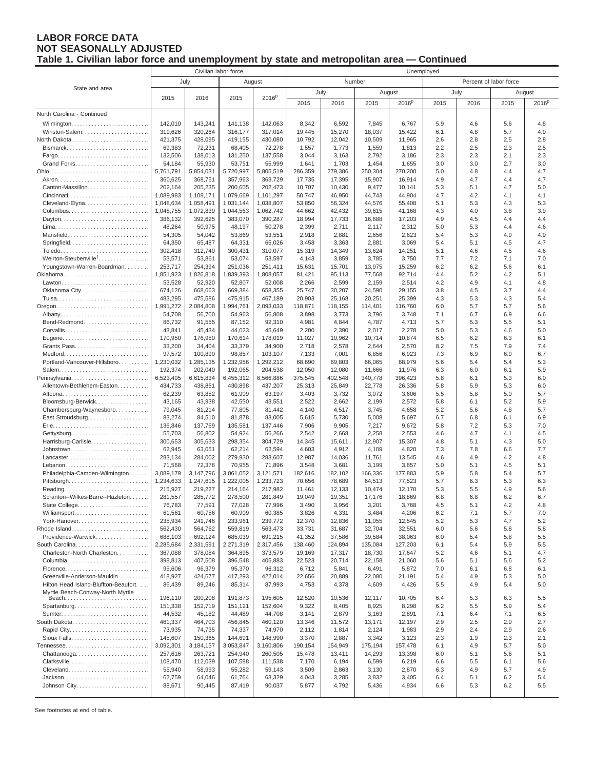|                                      |                      |                      | Civilian labor force |                      |                   |                   |                   | Unemployed        |            |            |                        |                   |
|--------------------------------------|----------------------|----------------------|----------------------|----------------------|-------------------|-------------------|-------------------|-------------------|------------|------------|------------------------|-------------------|
|                                      |                      | July                 |                      | August               |                   |                   | Number            |                   |            |            | Percent of labor force |                   |
| State and area                       |                      |                      |                      |                      |                   | July              |                   | August            |            | July       |                        | August            |
|                                      | 2015                 | 2016                 | 2015                 | 2016 <sup>p</sup>    | 2015              | 2016              | 2015              | 2016 <sup>p</sup> | 2015       | 2016       | 2015                   | 2016 <sup>p</sup> |
| North Carolina - Continued           |                      |                      |                      |                      |                   |                   |                   |                   |            |            |                        |                   |
|                                      |                      |                      |                      |                      |                   |                   |                   |                   |            |            |                        |                   |
|                                      | 142,010              | 143,241              | 141,138              | 142,063              | 8,342             | 6,592             | 7,845             | 6,767             | 5.9        | 4.6        | 5.6                    | 4.8               |
| Winston-Salem                        | 319,626<br>421,375   | 320,264<br>428,095   | 316,177<br>419,155   | 317,014<br>430,080   | 19,445<br>10,792  | 15,270<br>12,042  | 18,037<br>10,509  | 15,422<br>11,965  | 6.1<br>2.6 | 4.8<br>2.8 | 5.7<br>2.5             | 4.9<br>2.8        |
| Bismarck                             | 69,383               | 72,231               | 68,405               | 72,278               | 1,557             | 1,773             | 1,559             | 1,813             | 2.2        | 2.5        | 2.3                    | 2.5               |
|                                      | 132,506              | 138,013              | 131,250              | 137,558              | 3,044             | 3,163             | 2,792             | 3,186             | 2.3        | 2.3        | 2.1                    | 2.3               |
|                                      | 54,184               | 55,930               | 53,751               | 55,999               | 1,641             | 1,703             | 1,454             | 1,655             | 3.0        | 3.0        | 2.7                    | 3.0               |
|                                      | 5,761,791            | 5,854,031            | 5,720,997            | 5.805.519            | 286,359           | 279,386           | 250,304           | 270,200           | 5.0        | 4.8        | 4.4                    | 4.7               |
|                                      | 360,625              | 368,751              | 357,963              | 363,729              | 17,735            | 17,395            | 15,907            | 16,914            | 4.9        | 4.7        | 4.4                    | 4.7               |
| Canton-Massillon                     | 202,164              | 205,235              | 200,605              | 202,473              | 10,707            | 10,430            | 9,477             | 10,141            | 5.3        | 5.1        | 4.7                    | 5.0               |
| Cincinnati                           | 1,089,983            | 1,108,171            | 1,079,669            | 1,101,297            | 50,747            | 46,950            | 44,743            | 44,904            | 4.7        | 4.2        | 4.1                    | 4.1               |
| Cleveland-Elvria                     | 1,048,634            | 1,058,491            | 1,031,144            | 1,038,807            | 53,850            | 56,324            | 44,576            | 55,408            | 5.1        | 5.3        | 4.3                    | 5.3               |
|                                      | 1,048,755            | 1,072,839            | 1,044,563            | 1,062,742            | 44,662            | 42,432            | 39,615            | 41,168            | 4.3        | 4.0        | 3.8                    | 3.9               |
|                                      | 386,132              | 392,625              | 383,070              | 390,287              | 18,994            | 17,733            | 16,688            | 17,203            | 4.9        | 4.5        | 4.4                    | 4.4               |
|                                      | 48,264               | 50,975               | 48,197               | 50,278               | 2,399             | 2,711             | 2,117             | 2,312             | 5.0        | 5.3        | 4.4                    | 4.6               |
| Mansfield                            | 54,305               | 54,042               | 53,869               | 53,551               | 2,918             | 2,881             | 2,656             | 2,623             | 5.4        | 5.3        | 4.9                    | 4.9               |
|                                      | 64,350               | 65,487               | 64,331               | 65,026               | 3,458             | 3,363             | 2,881             | 3,069             | 5.4        | 5.1        | 4.5                    | 4.7               |
|                                      | 302,418              | 312,740              | 300,431              | 310,077              | 15,319            | 14,349            | 13,624            | 14,251            | 5.1        | 4.6        | 4.5                    | 4.6               |
| Weirton-Steubenville <sup>1</sup>    | 53,571               | 53,861               | 53,074               | 53,597               | 4,143             | 3,859             | 3,785             | 3,750             | 7.7        | 7.2        | 7.1                    | 7.0               |
| Youngstown-Warren-Boardman.          | 253,717              | 254,394              | 251,036              | 251,411              | 15,631            | 15,701            | 13,975            | 15,259            | 6.2        | 6.2        | 5.6                    | 6.1               |
| Oklahoma                             | 1,851,923            | 1,826,818            | 1,839,393            | 1,808,057            | 81,421            | 95,113            | 77,568            | 92,714            | 4.4        | 5.2        | 4.2                    | 5.1               |
|                                      | 53,528               | 52,920               | 52,807               | 52,008               | 2,266             | 2,599             | 2,159             | 2,514             | 4.2        | 4.9        | 4.1                    | 4.8               |
|                                      | 674,126              | 668,663              | 669,384              | 658,355              | 25,747            | 30,207            | 24,590            | 29,155            | 3.8        | 4.5        | 3.7                    | 4.4               |
|                                      | 483,295<br>1,991,272 | 475,586<br>2,084,808 | 475,915<br>1,994,761 | 467,189<br>2,093,033 | 20,903<br>118,871 | 25,168<br>118,155 | 20,251<br>114,401 | 25,399<br>116,760 | 4.3<br>6.0 | 5.3<br>5.7 | 4.3<br>5.7             | 5.4<br>5.6        |
| Albany                               | 54,708               | 56,700               | 54,963               | 56,808               | 3,898             | 3,773             | 3,796             | 3,748             | 7.1        | 6.7        | 6.9                    | 6.6               |
| Bend-Redmond                         | 86,732               | 91,555               | 87,152               | 92,310               | 4,981             | 4,844             | 4,787             | 4,713             | 5.7        | 5.3        | 5.5                    | 5.1               |
|                                      | 43,841               | 45,434               | 44,023               | 45,649               | 2,200             | 2,390             | 2,017             | 2,278             | 5.0        | 5.3        | 4.6                    | 5.0               |
|                                      | 170,950              | 176,950              | 170,614              | 178,019              | 11,027            | 10,962            | 10,714            | 10,874            | 6.5        | 6.2        | 6.3                    | 6.1               |
| Grants Pass                          | 33,200               | 34,404               | 33,379               | 34,900               | 2,718             | 2,578             | 2,644             | 2,570             | 8.2        | 7.5        | 7.9                    | 7.4               |
|                                      | 97,572               | 100,890              | 98,857               | 103,107              | 7,133             | 7,001             | 6,856             | 6,923             | 7.3        | 6.9        | 6.9                    | 6.7               |
| Portland-Vancouver-Hillsboro.        | 1,230,032            | 1,285,135            | 1,232,956            | 1,292,212            | 68,690            | 69,803            | 66,065            | 68,979            | 5.6        | 5.4        | 5.4                    | 5.3               |
|                                      | 192,374              | 202,040              | 192,065              | 204,538              | 12,050            | 12,080            | 11,666            | 11,976            | 6.3        | 6.0        | 6.1                    | 5.9               |
| Pennsylvania                         | 6,523,495            | 6,615,834            | 6,455,312            | 6,566,886            | 375,545           | 402,548           | 340,778           | 396,423           | 5.8        | 6.1        | 5.3                    | 6.0               |
| Allentown-Bethlehem-Easton.          | 434,733              | 438,861              | 430,898              | 437,207              | 25,313            | 25,849            | 22,778            | 26,336            | 5.8        | 5.9        | 5.3                    | 6.0               |
|                                      | 62,239               | 63,852               | 61,909               | 63,197               | 3,403             | 3,732             | 3,072             | 3,606             | 5.5        | 5.8        | 5.0                    | 5.7               |
| Bloomsburg-Berwick                   | 43,165               | 43,938               | 42,550               | 43,551               | 2,522             | 2,662             | 2,199             | 2,572             | 5.8        | 6.1        | 5.2                    | 5.9               |
| Chambersburg-Waynesboro.             | 79,045               | 81,214               | 77,805               | 81,442               | 4,140             | 4,517             | 3,745             | 4,658             | 5.2        | 5.6        | 4.8                    | 5.7               |
| East Stroudsburg                     | 83,274               | 84,510               | 81,878               | 83,005               | 5,615             | 5,730             | 5,008             | 5,697             | 6.7        | 6.8        | 6.1                    | 6.9               |
|                                      | 136,846              | 137,769              | 135,581              | 137,446              | 7,906             | 9,905             | 7,217             | 9,672             | 5.8        | 7.2        | 5.3                    | 7.0               |
|                                      | 55,703               | 56,802               | 54,924               | 56,266               | 2,542             | 2,668             | 2,258             | 2,553             | 4.6        | 4.7        | 4.1                    | 4.5               |
| Harrisburg-Carlisle                  | 300,653              | 305,633              | 298,354              | 304,729              | 14,345            | 15,611            | 12,907            | 15,307            | 4.8        | 5.1        | 4.3                    | 5.0               |
|                                      | 62,945               | 63,051               | 62,214               | 62,594               | 4,603             | 4,912             | 4,109             | 4,820             | 7.3        | 7.8        | 6.6                    | 7.7               |
| Lancaster                            | 283,134<br>71,568    | 284,002<br>72,376    | 279,930<br>70,955    | 283,607<br>71,896    | 12,987<br>3,548   | 14,036<br>3,681   | 11,761<br>3,199   | 13,545<br>3,657   | 4.6<br>5.0 | 4.9<br>5.1 | 4.2<br>4.5             | 4.8<br>5.1        |
| Philadelphia-Camden-Wilmington.      | 3,089,179            | 3,147,796            | 3,061,052            | 3,121,571            | 182,616           | 182,102           | 166,336           | 177,883           | 5.9        | 5.8        | 5.4                    | 5.7               |
| Pittsburgh                           | 1,234,633            | 1,247,615            | 1,222,005            | 1,233,723            | 70,656            | 78,689            | 64,513            | 77,523            | 5.7        | 6.3        | 5.3                    | 6.3               |
|                                      | 215,927              | 219,227              | 214,164              | 217,982              | 11,461            | 12,133            | 10,474            | 12,170            | 5.3        | 5.5        | 4.9                    | 5.6               |
| Scranton--Wilkes-Barre--Hazleton     | 281,557              | 285,772              | 278,500              | 281,849              | 19,049            | 19,351            | 17,176            | 18,869            | 6.8        | 6.8        | 6.2                    | 6.7               |
| State College                        | 76,783               | 77,591               | 77,028               | 77,996               | 3,490             | 3,956             | 3,201             | 3,768             | 4.5        | 5.1        | 4.2                    | 4.8               |
| Williamsport                         | 61,561               | 60,756               | 60,909               | 60,385               | 3,826             | 4,331             | 3,484             | 4,206             | 6.2        | 7.1        | 5.7                    | 7.0               |
| York-Hanover                         | 235,934              | 241,746              | 233,961              | 239,772              | 12,370            | 12,836            | 11,055            | 12,545            | 5.2        | 5.3        | 4.7                    | 5.2               |
| Rhode Island                         | 562,430              | 564,762              | 559,819              | 563,473              | 33,731            | 31,687            | 32,704            | 32,551            | 6.0        | 5.6        | 5.8                    | 5.8               |
| Providence-Warwick                   | 688,103              | 692,124              | 685,039              | 691,215              | 41,352            | 37,586            | 39,584            | 38,063            | 6.0        | 5.4        | 5.8                    | 5.5               |
|                                      | 2,285,684            | 2,331,591            | 2,271,319            | 2,317,456            | 138,460           | 124,894           | 135,084           | 127,203           | 6.1        | 5.4        | 5.9                    | 5.5               |
| Charleston-North Charleston.         | 367,088              | 378,084              | 364,895              | 373,579              | 19,169            | 17,317            | 18,730            | 17,647            | 5.2        | 4.6        | 5.1                    | 4.7               |
|                                      | 398,813              | 407,508              | 396,548              | 405,883              | 22,523            | 20,714            | 22,158            | 21,060            | 5.6        | 5.1        | 5.6                    | 5.2               |
|                                      | 95,606               | 96,379               | 95,370               | 96,312               | 6,712             | 5,841             | 6,491             | 5,872             | 7.0        | 6.1        | 6.8                    | 6.1               |
| Greenville-Anderson-Mauldin.         | 418,927              | 424,677              | 417,293              | 422,014              | 22,656            | 20,889            | 22,080            | 21,191            | 5.4        | 4.9        | 5.3                    | 5.0               |
| Hilton Head Island-Bluffton-Beaufort | 86,439               | 89,246               | 85,314               | 87,993               | 4,753             | 4,378             | 4,609             | 4,426             | 5.5        | 4.9        | 5.4                    | 5.0               |
| Myrtle Beach-Conway-North Myrtle     | 196,110              | 200,208              | 191,873              | 195,605              | 12,520            | 10,536            | 12,117            | 10,705            | 6.4        | 5.3        | 6.3                    | 5.5               |
| Spartanburg                          | 151,338              | 152,719              | 151,121              | 152,604              | 9,322             | 8,405             | 8,925             | 8,298             | 6.2        | 5.5        | 5.9                    | 5.4               |
|                                      | 44,532               | 45,182               | 44,489               | 44,708               | 3,141             | 2,879             | 3,163             | 2,891             | 7.1        | 6.4        | 7.1                    | 6.5               |
|                                      | 461,337              | 464,703              | 456,845              | 460,120              | 13,346            | 11,572            | 13,171            | 12,197            | 2.9        | 2.5        | 2.9                    | 2.7               |
|                                      | 73,935               | 74,735               | 74,337               | 74,970               | 2,112             | 1,814             | 2,124             | 1,983             | 2.9        | 2.4        | 2.9                    | 2.6               |
|                                      | 145,607              | 150,365              | 144,691              | 148,990              | 3,370             | 2,887             | 3,342             | 3,123             | 2.3        | 1.9        | 2.3                    | 2.1               |
|                                      | 3,092,301            | 3,184,157            | 3,053,847            | 3,160,806            | 190,154           | 154,949           | 175,194           | 157,478           | 6.1        | 4.9        | 5.7                    | 5.0               |
| Chattanooga                          | 257,616              | 263,721              | 254,940              | 260,505              | 15,478            | 13,411            | 14,293            | 13,398            | 6.0        | 5.1        | 5.6                    | 5.1               |
|                                      | 108,470              | 112,039              | 107,588              | 111,538              | 7,170             | 6,194             | 6,599             | 6,219             | 6.6        | 5.5        | 6.1                    | 5.6               |
| Cleveland                            | 55,940               | 58,993               | 55,282               | 59,143               | 3,509             | 2,863             | 3,130             | 2,870             | 6.3        | 4.9        | 5.7                    | 4.9               |
|                                      | 62,759               | 64,046               | 61,764               | 63,329               | 4,043             | 3,285             | 3,832             | 3,405             | 6.4        | 5.1        | 6.2                    | 5.4               |
|                                      | 88,671               | 90,445               | 87,419               | 90,037               | 5,877             | 4,792             | 5,436             | 4,934             | 6.6        | 5.3        | 6.2                    | 5.5               |
|                                      |                      |                      |                      |                      |                   |                   |                   |                   |            |            |                        |                   |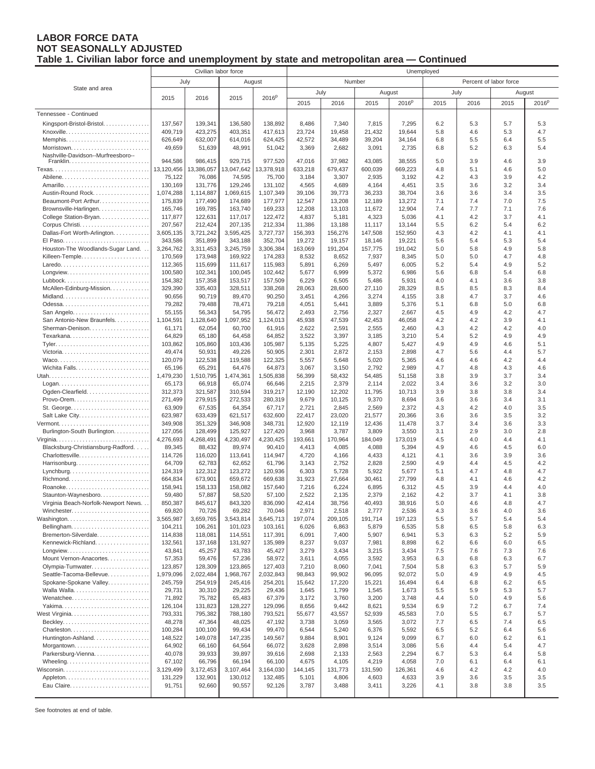|                                                     |                       | Civilian labor force  |                      |                      |                  |                  |                   |                   | Unemployed |                        |            |                   |
|-----------------------------------------------------|-----------------------|-----------------------|----------------------|----------------------|------------------|------------------|-------------------|-------------------|------------|------------------------|------------|-------------------|
|                                                     | July                  |                       |                      | August               |                  |                  | Number            |                   |            | Percent of labor force |            |                   |
| State and area                                      |                       |                       |                      |                      |                  | July             | August            |                   |            | July                   |            | August            |
|                                                     | 2015                  | 2016                  | 2015                 | 2016 <sup>p</sup>    | 2015             | 2016             | 2015              | 2016 <sup>p</sup> | 2015       | 2016                   | 2015       | 2016 <sup>p</sup> |
| Tennessee - Continued                               |                       |                       |                      |                      |                  |                  |                   |                   |            |                        |            |                   |
| Kingsport-Bristol-Bristol                           | 137,567               | 139,341               | 136,580              | 138,892              | 8,486            | 7,340            | 7,815             | 7,295             | 6.2        | 5.3                    | 5.7        | 5.3               |
|                                                     | 409,719               | 423,275               | 403,351              | 417,613              | 23,724           | 19,458           | 21,432            | 19,644            | 5.8        | 4.6                    | 5.3        | 4.7               |
|                                                     | 626,649               | 632,007               | 614,016              | 624,425              | 42,572           | 34,489           | 39,204            | 34,164            | 6.8        | 5.5                    | 6.4        | 5.5               |
|                                                     | 49,659                | 51,639                | 48,991               | 51,042               | 3,369            | 2,682            | 3,091             | 2,735             | 6.8        | 5.2                    | 6.3        | 5.4               |
| Nashville-Davidson--Murfreesboro--                  |                       |                       |                      |                      |                  |                  |                   |                   |            |                        |            |                   |
|                                                     | 944,586<br>13,120,456 | 986,415<br>13,386,057 | 929,715              | 977,520              | 47,016           | 37,982           | 43,085<br>600,039 | 38,555<br>669,223 | 5.0<br>4.8 | 3.9<br>5.1             | 4.6<br>4.6 | 3.9<br>5.0        |
|                                                     | 75,122                | 76,086                | 13,047,642<br>74,595 | 13,378,918<br>75,700 | 633,218<br>3,184 | 679,437<br>3,307 | 2,935             | 3,192             | 4.2        | 4.3                    | 3.9        | 4.2               |
|                                                     | 130,169               | 131,776               | 129,246              | 131,102              | 4,565            | 4,689            | 4,164             | 4,451             | 3.5        | 3.6                    | 3.2        | 3.4               |
| Austin-Round Rock.                                  | 1,074,288             | 1,114,887             | 1,069,615            | 1,107,349            | 39,106           | 39,773           | 36,233            | 38,704            | 3.6        | 3.6                    | 3.4        | 3.5               |
| Beaumont-Port Arthur                                | 175,839               | 177,490               | 174,689              | 177,977              | 12,547           | 13,208           | 12,189            | 13,272            | 7.1        | 7.4                    | 7.0        | 7.5               |
| Brownsville-Harlingen.                              | 165,746               | 169,785               | 163,740              | 169,233              | 12,208           | 13,103           | 11,672            | 12,904            | 7.4        | 7.7                    | 7.1        | 7.6               |
| College Station-Bryan.                              | 117,877               | 122,631               | 117,017              | 122,472              | 4,837            | 5,181            | 4,323             | 5,036             | 4.1        | 4.2                    | 3.7        | 4.1               |
|                                                     | 207,567               | 212,424               | 207,135              | 212,334              | 11,386           | 13,188           | 11,117            | 13,144            | 5.5        | 6.2                    | 5.4        | 6.2               |
| Dallas-Fort Worth-Arlington.                        | 3,605,135             | 3,721,242             | 3,595,425            | 3,727,737            | 156,393          | 156,276          | 147,508           | 152,950           | 4.3        | 4.2                    | 4.1        | 4.1               |
|                                                     | 343,586               | 351,899               | 343,188              | 352,704              | 19,272           | 19,157           | 18,146            | 19,221            | 5.6<br>5.0 | 5.4<br>5.8             | 5.3<br>4.9 | 5.4<br>5.8        |
| Houston-The Woodlands-Sugar Land.<br>Killeen-Temple | 3,264,762<br>170,569  | 3,311,453<br>173,948  | 3,245,759<br>169,922 | 3,306,384<br>174,283 | 163,069<br>8,532 | 191,204<br>8,652 | 157,775<br>7,937  | 191,042<br>8,345  | 5.0        | 5.0                    | 4.7        | 4.8               |
|                                                     | 112,365               | 115,699               | 111,617              | 115,983              | 5,891            | 6,269            | 5,497             | 6,005             | 5.2        | 5.4                    | 4.9        | 5.2               |
|                                                     | 100,580               | 102,341               | 100,045              | 102,442              | 5,677            | 6,999            | 5,372             | 6,986             | 5.6        | 6.8                    | 5.4        | 6.8               |
|                                                     | 154,382               | 157,358               | 153,517              | 157,509              | 6,229            | 6,505            | 5,486             | 5,931             | 4.0        | 4.1                    | 3.6        | 3.8               |
| McAllen-Edinburg-Mission.                           | 329,390               | 335,403               | 328,511              | 338,268              | 28,063           | 28,600           | 27,110            | 28,329            | 8.5        | 8.5                    | 8.3        | 8.4               |
| Midland                                             | 90,656                | 90,719                | 89,470               | 90,250               | 3,451            | 4,266            | 3,274             | 4,155             | 3.8        | 4.7                    | 3.7        | 4.6               |
|                                                     | 79,282                | 79,488                | 78,471               | 79,218               | 4,051            | 5,441            | 3,889             | 5,376             | 5.1        | 6.8                    | 5.0        | 6.8               |
| San Angelo                                          | 55,155                | 56,343                | 54,795               | 56,472               | 2,493            | 2,756            | 2,327             | 2,667             | 4.5        | 4.9                    | 4.2        | 4.7               |
| San Antonio-New Braunfels.                          | 1,104,591             | 1,128,640             | 1,097,952            | 1,124,013            | 45,938           | 47,539           | 42,453            | 46,058            | 4.2        | 4.2                    | 3.9        | 4.1               |
| Sherman-Denison<br>Texarkana                        | 61,171<br>64,829      | 62,054<br>65,180      | 60,700<br>64,458     | 61,916<br>64,852     | 2,622<br>3,522   | 2,591<br>3,397   | 2,555<br>3,185    | 2,460<br>3,210    | 4.3<br>5.4 | 4.2<br>5.2             | 4.2<br>4.9 | 4.0<br>4.9        |
|                                                     | 103,862               | 105,860               | 103,436              | 105,987              | 5,135            | 5,225            | 4,807             | 5,427             | 4.9        | 4.9                    | 4.6        | 5.1               |
|                                                     | 49,474                | 50,931                | 49,226               | 50,905               | 2,301            | 2,872            | 2,153             | 2,898             | 4.7        | 5.6                    | 4.4        | 5.7               |
|                                                     | 120,079               | 122,538               | 119,588              | 122,325              | 5,557            | 5,648            | 5,020             | 5,365             | 4.6        | 4.6                    | 4.2        | 4.4               |
|                                                     | 65,196                | 65,291                | 64,476               | 64,873               | 3,067            | 3,150            | 2,792             | 2,989             | 4.7        | 4.8                    | 4.3        | 4.6               |
|                                                     | 1,479,230             | 1,510,795             | 1,474,361            | 1,505,838            | 56,399           | 58,432           | 54,485            | 51,158            | 3.8        | 3.9                    | 3.7        | 3.4               |
|                                                     | 65,173                | 66,918                | 65,074               | 66,646               | 2,215            | 2,379            | 2,114             | 2,022             | 3.4        | 3.6                    | 3.2        | 3.0               |
| Ogden-Clearfield                                    | 312,373               | 321,587               | 310,594              | 319,217              | 12,190           | 12,202           | 11,795            | 10,713            | 3.9        | 3.8                    | 3.8        | 3.4               |
|                                                     | 271,499               | 279,915               | 272,533              | 280,319              | 9,679            | 10,125           | 9,370             | 8,694             | 3.6        | 3.6                    | 3.4        | 3.1               |
|                                                     | 63,909                | 67,535                | 64,354               | 67,717               | 2,721            | 2,845            | 2,569             | 2,372             | 4.3        | 4.2                    | 4.0        | 3.5<br>3.2        |
| Salt Lake City                                      | 623,987<br>349,908    | 633,439<br>351,329    | 621,517<br>346,908   | 632,600<br>348,731   | 22,417<br>12,920 | 23,020<br>12,119 | 21,577<br>12,436  | 20,366<br>11,478  | 3.6<br>3.7 | 3.6<br>3.4             | 3.5<br>3.6 | 3.3               |
| Burlington-South Burlington.                        | 127,056               | 128,499               | 125,927              | 127,420              | 3,968            | 3,787            | 3,809             | 3,550             | 3.1        | 2.9                    | 3.0        | 2.8               |
|                                                     | 4,276,693             | 4,268,491             | 4,230,497            | 4,230,425            | 193,661          | 170,964          | 184,049           | 173,019           | 4.5        | 4.0                    | 4.4        | 4.1               |
| Blacksburg-Christiansburg-Radford.                  | 89,345                | 88,432                | 89,974               | 90,410               | 4,413            | 4,085            | 4,088             | 5,394             | 4.9        | 4.6                    | 4.5        | 6.0               |
|                                                     | 114,726               | 116,020               | 113,641              | 114,947              | 4,720            | 4,166            | 4,433             | 4,121             | 4.1        | 3.6                    | 3.9        | 3.6               |
| Harrisonburg                                        | 64,709                | 62,783                | 62,652               | 61,796               | 3,143            | 2,752            | 2,828             | 2,590             | 4.9        | 4.4                    | 4.5        | 4.2               |
|                                                     | 124,319               | 122,312               | 123,272              | 120,936              | 6,303            | 5,728            | 5,922             | 5,677             | 5.1        | 4.7                    | 4.8        | 4.7               |
|                                                     | 664,834               | 673,901               | 659,672              | 669,638              | 31,923           | 27,664           | 30,461            | 27,799            | 4.8        | 4.1                    | 4.6        | 4.2               |
| Roanoke<br>Staunton-Waynesboro                      | 158,941<br>59,480     | 158,133<br>57,887     | 158,082<br>58,520    | 157,640<br>57,100    | 7,216<br>2,522   | 6,224<br>2,135   | 6,895<br>2,379    | 6,312<br>2,162    | 4.5<br>4.2 | 3.9<br>3.7             | 4.4<br>4.1 | 4.0<br>3.8        |
| Virginia Beach-Norfolk-Newport News                 | 850,387               | 845,617               | 843,320              | 836,090              | 42,414           | 38,756           | 40,493            | 38,916            | 5.0        | 4.6                    | 4.8        | 4.7               |
| Winchester                                          | 69,820                | 70,726                | 69,282               | 70,046               | 2,971            | 2,518            | 2,777             | 2,536             | 4.3        | 3.6                    | 4.0        | 3.6               |
| Washington                                          | 3,565,987             | 3,659,765             | 3,543,814            | 3,645,713            | 197,074          | 209,105          | 191,714           | 197,123           | 5.5        | 5.7                    | 5.4        | 5.4               |
|                                                     | 104,211               | 106,261               | 101,023              | 103,161              | 6,026            | 6,863            | 5,879             | 6,535             | 5.8        | 6.5                    | 5.8        | 6.3               |
| Bremerton-Silverdale                                | 114,838               | 118,081               | 114,551              | 117,391              | 6,091            | 7,400            | 5,907             | 6,941             | 5.3        | 6.3                    | 5.2        | 5.9               |
| Kennewick-Richland                                  | 132,561               | 137,168               | 131,927              | 135,989              | 8,237            | 9,037            | 7,981             | 8,898             | 6.2        | 6.6                    | 6.0        | 6.5               |
|                                                     | 43,841                | 45,257                | 43,783               | 45,427               | 3,279            | 3,434            | 3,215             | 3,434             | 7.5        | 7.6                    | 7.3        | 7.6               |
| Mount Vernon-Anacortes.                             | 57,353                | 59,476                | 57,236               | 58,972               | 3,611            | 4,055            | 3,592             | 3,953             | 6.3        | 6.8                    | 6.3        | 6.7               |
| Olympia-Tumwater<br>Seattle-Tacoma-Bellevue.        | 123,857<br>1,979,096  | 128,309<br>2,022,484  | 123,865<br>1,968,767 | 127,403<br>2,032,843 | 7,210<br>98,843  | 8,060<br>99,902  | 7,041<br>96,095   | 7,504<br>92,072   | 5.8<br>5.0 | 6.3<br>4.9             | 5.7<br>4.9 | 5.9<br>4.5        |
| Spokane-Spokane Valley                              | 245,759               | 254,919               | 245,416              | 254,201              | 15,642           | 17,220           | 15,221            | 16,494            | 6.4        | 6.8                    | 6.2        | 6.5               |
|                                                     | 29,731                | 30,310                | 29,225               | 29,436               | 1,645            | 1,799            | 1,545             | 1,673             | 5.5        | 5.9                    | 5.3        | 5.7               |
| Wenatchee                                           | 71,892                | 75,782                | 65,483               | 67,379               | 3,172            | 3,760            | 3,200             | 3,748             | 4.4        | 5.0                    | 4.9        | 5.6               |
|                                                     | 126,104               | 131,823               | 128,227              | 129,096              | 8,656            | 9,442            | 8,621             | 9,534             | 6.9        | 7.2                    | 6.7        | 7.4               |
|                                                     | 793,331               | 795,382               | 788,180              | 793,521              | 55,677           | 43,557           | 52,939            | 45,583            | 7.0        | 5.5                    | 6.7        | 5.7               |
|                                                     | 48,278                | 47,364                | 48,025               | 47,192               | 3,738            | 3,059            | 3,565             | 3,072             | 7.7        | 6.5                    | 7.4        | 6.5               |
|                                                     | 100,284               | 100,100               | 99,434               | 99,470               | 6,544            | 5,240            | 6,376             | 5,592             | 6.5        | 5.2                    | 6.4        | 5.6               |
| Huntington-Ashland                                  | 148,522               | 149,078               | 147,235              | 149,567              | 9,884            | 8,901            | 9,124             | 9,099             | 6.7        | 6.0                    | 6.2        | 6.1               |
|                                                     | 64,902                | 66,160                | 64,564               | 66,072               | 3,628            | 2,898            | 3,514             | 3,086             | 5.6        | 4.4                    | 5.4        | 4.7               |
| Parkersburg-Vienna                                  | 40,078<br>67,102      | 39,933                | 39,897               | 39,616               | 2,698            | 2,133            | 2,563             | 2,294             | 6.7        | 5.3<br>6.1             | 6.4<br>6.4 | 5.8               |
| Wheeling                                            | 3,129,499             | 66,796<br>3,172,453   | 66,194<br>3,107,464  | 66,100<br>3,164,030  | 4,675<br>144,145 | 4,105<br>131,773 | 4,219<br>131,590  | 4,058<br>126,361  | 7.0<br>4.6 | 4.2                    | 4.2        | 6.1<br>4.0        |
|                                                     | 131,229               | 132,901               | 130,012              | 132,485              | 5,101            | 4,806            | 4,603             | 4,633             | 3.9        | 3.6                    | 3.5        | 3.5               |
|                                                     | 91,751                | 92,660                | 90,557               | 92,126               | 3,787            | 3,488            | 3,411             | 3,226             | 4.1        | 3.8                    | 3.8        | 3.5               |
|                                                     |                       |                       |                      |                      |                  |                  |                   |                   |            |                        |            |                   |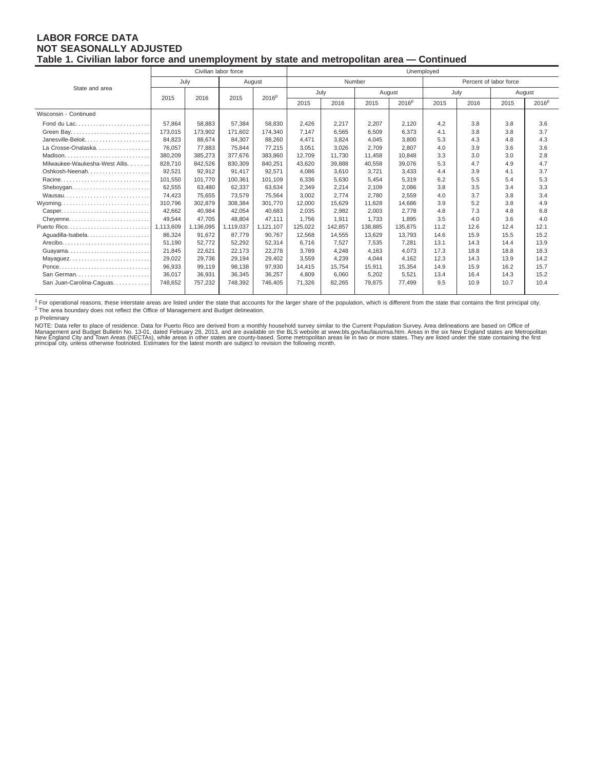|                                | Civilian labor force<br>Unemployed |           |           |                   |         |         |         |                   |      |      |                        |                   |
|--------------------------------|------------------------------------|-----------|-----------|-------------------|---------|---------|---------|-------------------|------|------|------------------------|-------------------|
|                                | July                               |           | August    |                   |         | Number  |         |                   |      |      | Percent of labor force |                   |
| State and area                 | 2015                               | 2016      | 2015      | 2016 <sup>p</sup> | July    |         | August  |                   |      | July |                        | August            |
|                                |                                    |           |           |                   | 2015    | 2016    | 2015    | 2016 <sup>p</sup> | 2015 | 2016 | 2015                   | 2016 <sup>p</sup> |
| Wisconsin - Continued          |                                    |           |           |                   |         |         |         |                   |      |      |                        |                   |
|                                | 57.864                             | 58.883    | 57.384    | 58.830            | 2,426   | 2.217   | 2,207   | 2.120             | 4.2  | 3.8  | 3.8                    | 3.6               |
|                                | 173,015                            | 173.902   | 171,602   | 174,340           | 7.147   | 6.565   | 6.509   | 6.373             | 4.1  | 3.8  | 3.8                    | 3.7               |
| Janesville-Beloit              | 84.823                             | 88,674    | 84,307    | 88,260            | 4.471   | 3.824   | 4.045   | 3.800             | 5.3  | 4.3  | 4.8                    | 4.3               |
| La Crosse-Onalaska             | 76.057                             | 77.883    | 75.844    | 77,215            | 3.051   | 3.026   | 2.709   | 2.807             | 4.0  | 3.9  | 3.6                    | 3.6               |
| Madison                        | 380,209                            | 385,273   | 377.676   | 383.860           | 12.709  | 11.730  | 11.458  | 10.848            | 3.3  | 3.0  | 3.0                    | 2.8               |
| Milwaukee-Waukesha-West Allis. | 828,710                            | 842,526   | 830,309   | 840,251           | 43.620  | 39,888  | 40,558  | 39,076            | 5.3  | 4.7  | 4.9                    | 4.7               |
| Oshkosh-Neenah                 | 92.521                             | 92.912    | 91.417    | 92.571            | 4.086   | 3.610   | 3.721   | 3.433             | 4.4  | 3.9  | 4.1                    | 3.7               |
| Racine                         | 101,550                            | 101,770   | 100,361   | 101.109           | 6,336   | 5.630   | 5.454   | 5,319             | 6.2  | 5.5  | 5.4                    | 5.3               |
|                                | 62,555                             | 63,480    | 62,337    | 63,634            | 2,349   | 2,214   | 2,109   | 2,086             | 3.8  | 3.5  | 3.4                    | 3.3               |
| Wausau                         | 74,423                             | 75.655    | 73.579    | 75,564            | 3.002   | 2.774   | 2.780   | 2,559             | 4.0  | 3.7  | 3.8                    | 3.4               |
|                                | 310,796                            | 302,879   | 308,384   | 301.770           | 12.000  | 15,629  | 11.628  | 14,686            | 3.9  | 5.2  | 3.8                    | 4.9               |
|                                | 42,662                             | 40,984    | 42,054    | 40,683            | 2,035   | 2,982   | 2,003   | 2,778             | 4.8  | 7.3  | 4.8                    | 6.8               |
|                                | 49.544                             | 47.705    | 48.804    | 47.111            | 1.756   | 1.911   | 1.733   | 1.895             | 3.5  | 4.0  | 3.6                    | 4.0               |
|                                | 1,113,609                          | 1,136,095 | 1,119,037 | 1,121,107         | 125,022 | 142,857 | 138,885 | 135,875           | 11.2 | 12.6 | 12.4                   | 12.1              |
|                                | 86,324                             | 91,672    | 87,779    | 90,767            | 12,568  | 14,555  | 13,629  | 13,793            | 14.6 | 15.9 | 15.5                   | 15.2              |
|                                | 51.190                             | 52,772    | 52,292    | 52,314            | 6.716   | 7.527   | 7.535   | 7.281             | 13.1 | 14.3 | 14.4                   | 13.9              |
|                                | 21,845                             | 22,621    | 22,173    | 22,278            | 3.789   | 4.248   | 4.163   | 4.073             | 17.3 | 18.8 | 18.8                   | 18.3              |
| Mayaguez                       | 29,022                             | 29.736    | 29,194    | 29,402            | 3,559   | 4.239   | 4,044   | 4.162             | 12.3 | 14.3 | 13.9                   | 14.2              |
|                                | 96,933                             | 99,119    | 98,138    | 97,930            | 14.415  | 15,754  | 15,911  | 15,354            | 14.9 | 15.9 | 16.2                   | 15.7              |
| San German                     | 36,017                             | 36,931    | 36,345    | 36,257            | 4.809   | 6.060   | 5,202   | 5,521             | 13.4 | 16.4 | 14.3                   | 15.2              |
| San Juan-Carolina-Caguas.      | 748,652                            | 757,232   | 748,392   | 746,405           | 71,326  | 82,265  | 79,875  | 77,499            | 9.5  | 10.9 | 10.7                   | 10.4              |
|                                |                                    |           |           |                   |         |         |         |                   |      |      |                        |                   |

<sup>1</sup> For operational reasons, these interstate areas are listed under the state that accounts for the larger share of the population, which is different from the state that contains the first principal city. <sup>2</sup> The area boundary does not reflect the Office of Management and Budget delineation.

p Preliminary

NOTE: Data refer to place of residence. Data for Puerto Rico are derived from a monthly household survey similar to the Current Population Survey. Area delineations are based on Office of<br>Management and Budget Bulletin No.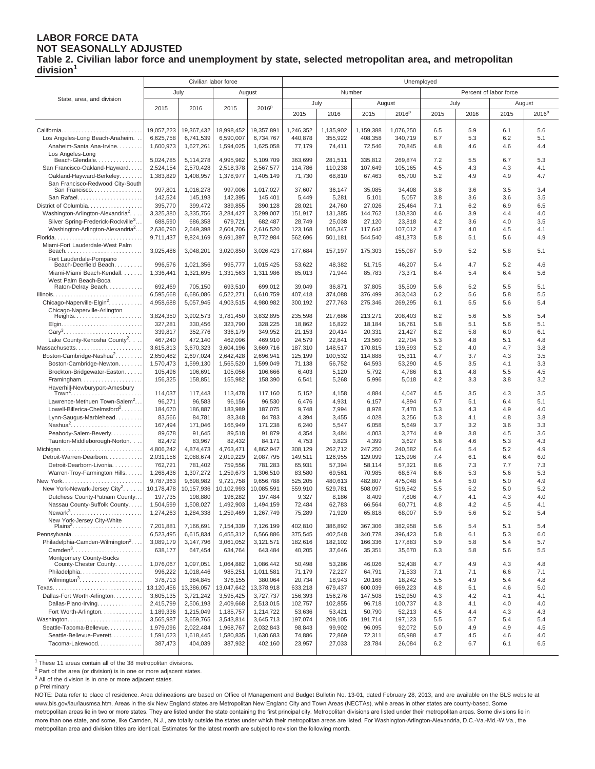#### **LABOR FORCE DATA NOT SEASONALLY ADJUSTED Table 2. Civilian labor force and unemployment by state, selected metropolitan area, and metropolitan division<sup>1</sup>**

|                                                   |                        | Civilian labor force   |                        |                        |                   |                   |                    |                    | Unemployed |            |                        |                   |
|---------------------------------------------------|------------------------|------------------------|------------------------|------------------------|-------------------|-------------------|--------------------|--------------------|------------|------------|------------------------|-------------------|
|                                                   |                        | July                   |                        | August                 |                   |                   | Number             |                    |            |            | Percent of labor force |                   |
| State, area, and division                         |                        |                        |                        |                        | July              |                   |                    | August             |            | July       | August                 |                   |
|                                                   | 2015                   | 2016                   | 2015                   | 2016 <sup>p</sup>      | 2015              | 2016              | 2015               | $2016^p$           | 2015       | 2016       | 2015                   | 2016 <sup>p</sup> |
|                                                   |                        |                        |                        |                        |                   |                   |                    |                    |            |            |                        |                   |
|                                                   | 19,057,223             | 19,367,432             | 18,998,452             | 19,357,891             | 1,246,352         | 1,135,902         | 1,159,388          | 1,076,250          | 6.5        | 5.9        | 6.1                    | 5.6               |
| Los Angeles-Long Beach-Anaheim.                   | 6.625.758              | 6.741.539              | 6,590,007              | 6,734,767              | 440,878           | 355,922           | 408,358            | 340,719            | 6.7        | 5.3        | 6.2                    | 5.1               |
| Anaheim-Santa Ana-Irvine                          | 1,600,973              | 1,627,261              | 1,594,025              | 1,625,058              | 77,179            | 74,411            | 72,546             | 70,845             | 4.8        | 4.6        | 4.6                    | 4.4               |
| Los Angeles-Long<br>Beach-Glendale.<br>.          | 5,024,785              | 5,114,278              | 4,995,982              | 5,109,709              | 363,699           | 281,511           | 335,812            | 269,874            | 7.2        | 5.5        | 6.7                    | 5.3               |
| San Francisco-Oakland-Hayward                     | 2,524,154              | 2,570,428              | 2,518,378              | 2,567,577              | 114,786           | 110,238           | 107,649            | 105,165            | 4.5        | 4.3        | 4.3                    | 4.1               |
| Oakland-Hayward-Berkeley                          | 1,383,829              | 1,408,957              | 1,378,977              | 1,405,149              | 71,730            | 68,810            | 67,463             | 65,700             | 5.2        | 4.9        | 4.9                    | 4.7               |
| San Francisco-Redwood City-South                  |                        |                        |                        |                        |                   |                   |                    |                    |            |            |                        |                   |
| San Francisco                                     | 997,801                | 1,016,278              | 997,006                | 1,017,027              | 37,607            | 36,147            | 35,085             | 34,408             | 3.8        | 3.6        | 3.5                    | 3.4               |
| San Rafael<br>District of Columbia                | 142,524<br>395,770     | 145,193<br>399.472     | 142,395<br>389,855     | 145,401<br>390,128     | 5,449<br>28,021   | 5,281<br>24,760   | 5,101<br>27,026    | 5,057<br>25,464    | 3.8<br>7.1 | 3.6<br>6.2 | 3.6<br>6.9             | 3.5<br>6.5        |
| Washington-Arlington-Alexandria <sup>2</sup>      | 3,325,380              | 3,335,756              | 3,284,427              | 3,299,007              | 151,917           | 131,385           | 144,762            | 130,830            | 4.6        | 3.9        | 4.4                    | 4.0               |
| Silver Spring-Frederick-Rockville <sup>3</sup>    | 688,590                | 686,358                | 679,721                | 682,487                | 28,749            | 25,038            | 27,120             | 23,818             | 4.2        | 3.6        | 4.0                    | 3.5               |
| Washington-Arlington-Alexandria <sup>2</sup>      | 2,636,790              | 2,649,398              | 2,604,706              | 2,616,520              | 123,168           | 106,347           | 117,642            | 107,012            | 4.7        | 4.0        | 4.5                    | 4.1               |
|                                                   | 9,711,437              | 9,824,169              | 9,691,397              | 9,772,984              | 562,696           | 501,181           | 544,540            | 481,373            | 5.8        | 5.1        | 5.6                    | 4.9               |
| Miami-Fort Lauderdale-West Palm                   |                        |                        |                        |                        |                   |                   |                    |                    |            |            |                        |                   |
| Fort Lauderdale-Pompano                           | 3,025,486              | 3,048,201              | 3,020,850              | 3,026,423              | 177,684           | 157,197           | 175,303            | 155,087            | 5.9        | 5.2        | 5.8                    | 5.1               |
| Beach-Deerfield Beach.                            | 996,576                | 1,021,356              | 995,777                | 1,015,425              | 53,622            | 48,382            | 51,715             | 46,207             | 5.4        | 4.7        | 5.2                    | 4.6               |
| Miami-Miami Beach-Kendall.                        | 1,336,441              | 1,321,695              | 1,331,563              | 1,311,986              | 85,013            | 71,944            | 85,783             | 73,371             | 6.4        | 5.4        | 6.4                    | 5.6               |
| West Palm Beach-Boca                              | 692,469                |                        |                        | 699.012                |                   |                   |                    |                    |            | 5.2        |                        |                   |
| Raton-Delray Beach                                | 6,595,668              | 705,150<br>6.686.086   | 693,510<br>6,522,271   | 6,610,759              | 39,049<br>407,418 | 36,871<br>374,088 | 37,805<br>376,499  | 35,509<br>363,043  | 5.6<br>6.2 | 5.6        | 5.5<br>5.8             | 5.1<br>5.5        |
| Chicago-Naperville-Elgin <sup>2</sup>             | 4,958,688              | 5,057,945              | 4,903,515              | 4,980,982              | 300,192           | 277,763           | 275,346            | 269,295            | 6.1        | 5.5        | 5.6                    | 5.4               |
| Chicago-Naperville-Arlington                      |                        |                        |                        |                        |                   |                   |                    |                    |            |            |                        |                   |
|                                                   | 3,824,350              | 3,902,573              | 3,781,450              | 3,832,895              | 235.598           | 217,686           | 213,271            | 208,403            | 6.2        | 5.6        | 5.6                    | 5.4               |
|                                                   | 327,281                | 330,456<br>352.776     | 323,790<br>336.179     | 328,225                | 18,862            | 16,822            | 18,184             | 16,761             | 5.8        | 5.1        | 5.6                    | 5.1               |
| Lake County-Kenosha County <sup>2</sup> .         | 339,817<br>467,240     | 472,140                | 462,096                | 349,952<br>469,910     | 21,153<br>24,579  | 20,414<br>22,841  | 20,331<br>23,560   | 21,427<br>22,704   | 6.2<br>5.3 | 5.8<br>4.8 | 6.0<br>5.1             | 6.1<br>4.8        |
|                                                   | 3,615,813              | 3,670,323              | 3,604,196              | 3,669,716              | 187,310           | 148,517           | 170,815            | 139,593            | 5.2        | 4.0        | 4.7                    | 3.8               |
| Boston-Cambridge-Nashua <sup>2</sup>              | 2,650,482              | 2,697,024              | 2,642,428              | 2,696,941              | 125,199           | 100,532           | 114,888            | 95,311             | 4.7        | 3.7        | 4.3                    | 3.5               |
| Boston-Cambridge-Newton.                          | 1,570,473              | 1,599,130              | 1,565,520              | 1,599,049              | 71,138            | 56,752            | 64,593             | 53,290             | 4.5        | 3.5        | 4.1                    | 3.3               |
| Brockton-Bridgewater-Easton.                      | 105,496                | 106,691                | 105,056                | 106,666                | 6,403             | 5,120             | 5,792              | 4,786              | 6.1        | 4.8        | 5.5                    | 4.5               |
| Framingham                                        | 156,325                | 158,851                | 155,982                | 158,390                | 6,541             | 5,268             | 5,996              | 5,018              | 4.2        | 3.3        | 3.8                    | 3.2               |
| Haverhill-Newburyport-Amesbury                    | 114,037                | 117,443                | 113,478                | 117,160                | 5,152             | 4,158             | 4,884              | 4,047              | 4.5        | 3.5        | 4.3                    | 3.5               |
| Lawrence-Methuen Town-Salem <sup>2</sup>          | 96,271                 | 96,583                 | 96,156                 | 96,530                 | 6,476             | 4,931             | 6,157              | 4,894              | 6.7        | 5.1        | 6.4                    | 5.1               |
| Lowell-Billerica-Chelmsford <sup>2</sup>          | 184,670                | 186,887                | 183,989                | 187,075                | 9,748             | 7,994             | 8,978              | 7,470              | 5.3        | 4.3        | 4.9                    | 4.0               |
| Lynn-Saugus-Marblehead                            | 83,566                 | 84,781                 | 83,348                 | 84,783                 | 4,394             | 3,455             | 4,028              | 3,256              | 5.3        | 4.1        | 4.8                    | 3.8               |
| Nashua <sup>2</sup>                               | 167,494                | 171,046                | 166,949                | 171,238                | 6,240             | 5,547             | 6,058              | 5,649              | 3.7        | 3.2        | 3.6                    | 3.3               |
| Peabody-Salem-Beverly                             | 89,678                 | 91,645                 | 89,518                 | 91,879                 | 4,354             | 3,484             | 4,003              | 3,274              | 4.9        | 3.8        | 4.5                    | 3.6               |
| Taunton-Middleborough-Norton.                     | 82,472                 | 83,967                 | 82,432<br>4,763,471    | 84,171                 | 4,753<br>308,129  | 3,823<br>262,712  | 4,399              | 3,627              | 5.8<br>6.4 | 4.6<br>5.4 | 5.3<br>5.2             | 4.3<br>4.9        |
| Detroit-Warren-Dearborn.                          | 4,806,242<br>2,031,156 | 4,874,473<br>2,088,674 | 2,019,229              | 4,862,947<br>2,087,795 | 149,511           | 126,955           | 247,250<br>129,099 | 240,582<br>125,996 | 7.4        | 6.1        | 6.4                    | 6.0               |
| Detroit-Dearborn-Livonia                          | 762,721                | 781,402                | 759,556                | 781,283                | 65,931            | 57,394            | 58,114             | 57,321             | 8.6        | 7.3        | 7.7                    | 7.3               |
| Warren-Troy-Farmington Hills.                     | 1,268,436              | 1,307,272              | 1,259,673              | 1,306,510              | 83,580            | 69,561            | 70,985             | 68,674             | 6.6        | 5.3        | 5.6                    | 5.3               |
| New York                                          | 9,787,363              | 9,698,982              | 9,721,758              | 9,656,788              | 525,205           | 480,613           | 482,807            | 475,048            | 5.4        | 5.0        | 5.0                    | 4.9               |
| New York-Newark-Jersey City <sup>2</sup> .        | 10,178,478             | 10,157,936             | 10,102,993             | 10,085,591             | 559,910           | 529,781           | 508,097            | 519,542            | 5.5        | 5.2        | 5.0                    | 5.2               |
| Dutchess County-Putnam County                     | 197,735                | 198,880                | 196,282                | 197,484                | 9,327             | 8,186             | 8,409              | 7,806              | 4.7        | 4.1        | 4.3                    | 4.0               |
| Nassau County-Suffolk County<br>$Newark3$         | 1,504,599              | 1,508,027<br>1,284,338 | 1,492,903              | 1,494,159              | 72,484            | 62,783            | 66,564             | 60,771<br>68,007   | 4.8        | 4.2        | 4.5                    | 4.1<br>5.4        |
| New York-Jersey City-White                        | 1,274,263              |                        | 1,259,469              | 1,267,749              | 75,289            | 71,920            | 65,818             |                    | 5.9        | 5.6        | 5.2                    |                   |
| Plains <sup>2</sup>                               | 7,201,881              | 7,166,691              | 7,154,339              | 7,126,199              | 402,810           | 386,892           | 367,306            | 382,958            | 5.6        | 5.4        | 5.1                    | 5.4               |
| Pennsylvania                                      | 6,523,495              | 6,615,834              | 6,455,312              | 6,566,886              | 375,545           | 402,548           | 340,778            | 396,423            | 5.8        | 6.1        | 5.3                    | 6.0               |
| Philadelphia-Camden-Wilmington <sup>2</sup>       | 3,089,179              | 3,147,796              | 3,061,052              | 3,121,571              | 182,616           | 182,102           | 166,336            | 177,883            | 5.9        | 5.8        | 5.4                    | 5.7               |
| Camden <sup>3</sup>                               | 638,177                | 647,454                | 634,764                | 643,484                | 40,205            | 37,646            | 35,351             | 35,670             | 6.3        | 5.8        | 5.6                    | 5.5               |
| Montgomery County-Bucks<br>County-Chester County. | 1,076,067              | 1,097,051              | 1,064,882              | 1,086,442              | 50,498            | 53,286            | 46,026             | 52,438             | 4.7        | 4.9        | 4.3                    | 4.8               |
| Philadelphia                                      | 996,222                | 1,018,446              | 985,251                | 1,011,581              | 71,179            | 72,227            | 64,791             | 71,533             | 7.1        | 7.1        | 6.6                    | 7.1               |
|                                                   | 378,713                | 384,845                | 376,155                | 380,064                | 20,734            | 18,943            | 20,168             | 18,242             | 5.5        | 4.9        | 5.4                    | 4.8               |
|                                                   | 13,120,456             | 13,386,057             | 13,047,642             | 13,378,918             | 633,218           | 679,437           | 600,039            | 669,223            | 4.8        | 5.1        | 4.6                    | 5.0               |
| Dallas-Fort Worth-Arlington.                      | 3,605,135              | 3,721,242              | 3,595,425              | 3,727,737              | 156,393           | 156,276           | 147,508            | 152.950            | 4.3        | 4.2        | 4.1                    | 4.1               |
| Dallas-Plano-Irving<br>Fort Worth-Arlington.      | 2,415,799              | 2,506,193<br>1,215,049 | 2,409,668<br>1,185,757 | 2,513,015<br>1,214,722 | 102,757<br>53,636 | 102,855<br>53,421 | 96,718<br>50,790   | 100,737<br>52,213  | 4.3<br>4.5 | 4.1<br>4.4 | 4.0<br>4.3             | 4.0<br>4.3        |
|                                                   | 1,189,336<br>3,565,987 | 3,659,765              | 3,543,814              | 3,645,713              | 197,074           | 209,105           | 191,714            | 197,123            | 5.5        | 5.7        | 5.4                    | 5.4               |
| Seattle-Tacoma-Bellevue                           | 1,979,096              | 2,022,484              | 1,968,767              | 2,032,843              | 98,843            | 99,902            | 96,095             | 92,072             | 5.0        | 4.9        | 4.9                    | 4.5               |
| Seattle-Bellevue-Everett                          | 1,591,623              | 1,618,445              | 1,580,835              | 1,630,683              | 74,886            | 72,869            | 72,311             | 65,988             | 4.7        | 4.5        | 4.6                    | 4.0               |
| Tacoma-Lakewood                                   | 387,473                | 404,039                | 387,932                | 402,160                | 23,957            | 27,033            | 23,784             | 26,084             | 6.2        | 6.7        | 6.1                    | 6.5               |
|                                                   |                        |                        |                        |                        |                   |                   |                    |                    |            |            |                        |                   |

<sup>1</sup> These 11 areas contain all of the 38 metropolitan divisions.

 $2$  Part of the area (or division) is in one or more adjacent states.

p Preliminary

NOTE: Data refer to place of residence. Area delineations are based on Office of Management and Budget Bulletin No. 13-01, dated February 28, 2013, and are available on the BLS website at www.bls.gov/lau/lausmsa.htm. Areas in the six New England states are Metropolitan New England City and Town Areas (NECTAs), while areas in other states are county-based. Some metropolitan areas lie in two or more states. They are listed under the state containing the first principal city. Metropolitan divisions are listed under their metropolitan areas. Some divisions lie in more than one state, and some, like Camden, N.J., are totally outside the states under which their metropolitan areas are listed. For Washington-Arlington-Alexandria, D.C.-Va.-Md.-W.Va., the metropolitan area and division titles are identical. Estimates for the latest month are subject to revision the following month.

<sup>&</sup>lt;sup>3</sup> All of the division is in one or more adjacent states.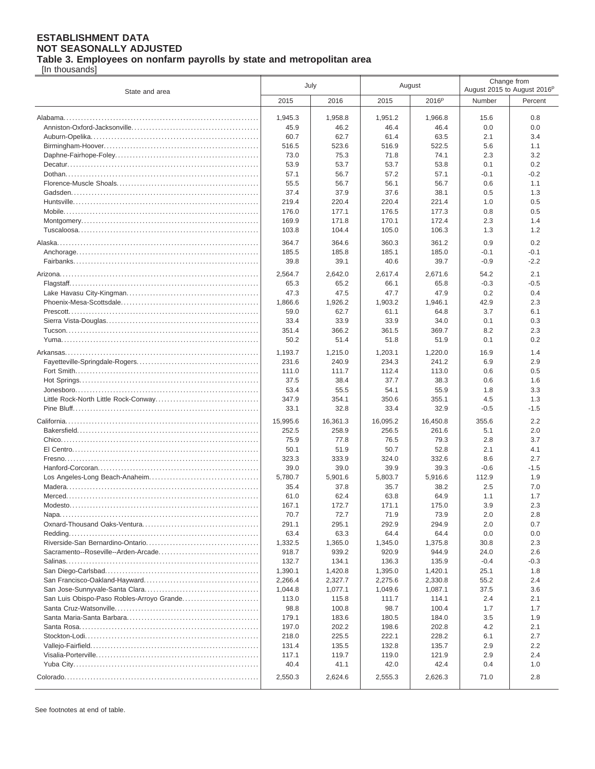**Table 3. Employees on nonfarm payrolls by state and metropolitan area**

[In thousands]

| State and area                            |          | July     |          | August            |        | Change from<br>August 2015 to August 2016 <sup>p</sup> |
|-------------------------------------------|----------|----------|----------|-------------------|--------|--------------------------------------------------------|
|                                           | 2015     | 2016     | 2015     | 2016 <sup>p</sup> | Number | Percent                                                |
|                                           | 1,945.3  | 1,958.8  | 1,951.2  | 1,966.8           | 15.6   | 0.8                                                    |
|                                           | 45.9     | 46.2     | 46.4     | 46.4              | 0.0    | 0.0                                                    |
|                                           | 60.7     | 62.7     | 61.4     | 63.5              | 2.1    | 3.4                                                    |
|                                           | 516.5    | 523.6    | 516.9    | 522.5             | 5.6    | 1.1                                                    |
|                                           | 73.0     | 75.3     | 71.8     | 74.1              | 2.3    | 3.2                                                    |
|                                           | 53.9     | 53.7     | 53.7     | 53.8              | 0.1    | 0.2                                                    |
|                                           | 57.1     | 56.7     | 57.2     | 57.1              | $-0.1$ | $-0.2$                                                 |
|                                           | 55.5     | 56.7     | 56.1     | 56.7              | 0.6    | 1.1                                                    |
|                                           | 37.4     | 37.9     | 37.6     | 38.1              | 0.5    | 1.3                                                    |
|                                           | 219.4    | 220.4    | 220.4    | 221.4             | 1.0    | 0.5                                                    |
|                                           | 176.0    | 177.1    | 176.5    | 177.3             | 0.8    | 0.5                                                    |
|                                           | 169.9    | 171.8    | 170.1    | 172.4             | 2.3    | 1.4                                                    |
|                                           | 103.8    | 104.4    | 105.0    | 106.3             | 1.3    | 1.2                                                    |
|                                           |          |          |          |                   |        |                                                        |
|                                           | 364.7    | 364.6    | 360.3    | 361.2             | 0.9    | 0.2                                                    |
|                                           | 185.5    | 185.8    | 185.1    | 185.0             | -0.1   | $-0.1$                                                 |
|                                           | 39.8     | 39.1     | 40.6     | 39.7              | $-0.9$ | $-2.2$                                                 |
|                                           | 2,564.7  | 2,642.0  | 2,617.4  | 2,671.6           | 54.2   | 2.1                                                    |
|                                           | 65.3     | 65.2     | 66.1     | 65.8              | $-0.3$ | $-0.5$                                                 |
|                                           | 47.3     | 47.5     | 47.7     | 47.9              | 0.2    | 0.4                                                    |
|                                           | 1.866.6  | 1,926.2  | 1.903.2  | 1,946.1           | 42.9   | 2.3                                                    |
|                                           | 59.0     | 62.7     | 61.1     | 64.8              | 3.7    | 6.1                                                    |
|                                           | 33.4     | 33.9     | 33.9     | 34.0              | 0.1    | 0.3                                                    |
|                                           | 351.4    | 366.2    | 361.5    | 369.7             | 8.2    | 2.3                                                    |
|                                           | 50.2     | 51.4     | 51.8     | 51.9              | 0.1    | 0.2                                                    |
|                                           |          |          |          |                   |        |                                                        |
|                                           | 1,193.7  | 1,215.0  | 1,203.1  | 1,220.0           | 16.9   | 1.4                                                    |
|                                           | 231.6    | 240.9    | 234.3    | 241.2             | 6.9    | 2.9                                                    |
|                                           | 111.0    | 111.7    | 112.4    | 113.0             | 0.6    | 0.5                                                    |
|                                           | 37.5     | 38.4     | 37.7     | 38.3              | 0.6    | 1.6                                                    |
|                                           | 53.4     | 55.5     | 54.1     | 55.9              | 1.8    | 3.3                                                    |
|                                           | 347.9    | 354.1    | 350.6    | 355.1             | 4.5    | 1.3                                                    |
|                                           | 33.1     | 32.8     | 33.4     | 32.9              | $-0.5$ | $-1.5$                                                 |
|                                           | 15,995.6 | 16,361.3 | 16,095.2 | 16,450.8          | 355.6  | 2.2                                                    |
|                                           | 252.5    | 258.9    | 256.5    | 261.6             | 5.1    | 2.0                                                    |
|                                           | 75.9     | 77.8     | 76.5     | 79.3              | 2.8    | 3.7                                                    |
|                                           | 50.1     | 51.9     | 50.7     | 52.8              | 2.1    | 4.1                                                    |
|                                           | 323.3    | 333.9    | 324.0    | 332.6             | 8.6    | 2.7                                                    |
|                                           | 39.0     | 39.0     | 39.9     | 39.3              | $-0.6$ | $-1.5$                                                 |
|                                           | 5,780.7  | 5,901.6  | 5.803.7  | 5,916.6           | 112.9  | 1.9                                                    |
|                                           | 35.4     | 37.8     | 35.7     | 38.2              | 2.5    | 7.0                                                    |
|                                           | 61.0     | 62.4     | 63.8     | 64.9              | 1.1    | 1.7                                                    |
|                                           | 167.1    | 172.7    | 171.1    | 175.0             | 3.9    | 2.3                                                    |
|                                           | 70.7     | 72.7     | 71.9     | 73.9              | 2.0    | 2.8                                                    |
|                                           | 291.1    | 295.1    | 292.9    | 294.9             | 2.0    | 0.7                                                    |
|                                           | 63.4     | 63.3     | 64.4     | 64.4              | 0.0    | 0.0                                                    |
|                                           | 1,332.5  | 1,365.0  | 1,345.0  | 1,375.8           | 30.8   | 2.3                                                    |
|                                           | 918.7    | 939.2    | 920.9    | 944.9             | 24.0   | 2.6                                                    |
|                                           | 132.7    | 134.1    | 136.3    | 135.9             | $-0.4$ | $-0.3$                                                 |
|                                           | 1,390.1  | 1,420.8  | 1,395.0  | 1,420.1           | 25.1   | 1.8                                                    |
|                                           | 2,266.4  | 2,327.7  | 2,275.6  | 2,330.8           | 55.2   | 2.4                                                    |
|                                           | 1,044.8  | 1,077.1  | 1,049.6  | 1,087.1           | 37.5   | 3.6                                                    |
| San Luis Obispo-Paso Robles-Arroyo Grande | 113.0    | 115.8    | 111.7    | 114.1             | 2.4    | 2.1                                                    |
|                                           | 98.8     | 100.8    | 98.7     | 100.4             | 1.7    | 1.7                                                    |
|                                           | 179.1    | 183.6    | 180.5    | 184.0             | 3.5    | 1.9                                                    |
|                                           | 197.0    | 202.2    | 198.6    | 202.8             | 4.2    | 2.1                                                    |
|                                           | 218.0    | 225.5    | 222.1    | 228.2             | 6.1    | 2.7                                                    |
|                                           | 131.4    | 135.5    | 132.8    | 135.7             | 2.9    | 2.2                                                    |
|                                           | 117.1    | 119.7    | 119.0    | 121.9             | 2.9    | 2.4                                                    |
|                                           | 40.4     | 41.1     | 42.0     | 42.4              | 0.4    | 1.0                                                    |
|                                           | 2,550.3  | 2,624.6  | 2,555.3  | 2,626.3           | 71.0   | 2.8                                                    |
|                                           |          |          |          |                   |        |                                                        |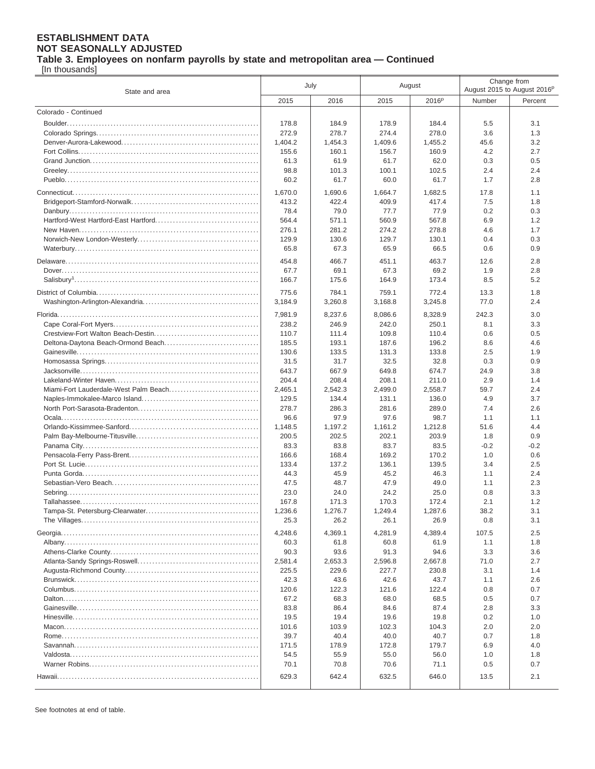**Table 3. Employees on nonfarm payrolls by state and metropolitan area — Continued**

[In thousands]

| State and area                        |                | July           | August         |                   |            | Change from<br>August 2015 to August 2016 <sup>p</sup> |
|---------------------------------------|----------------|----------------|----------------|-------------------|------------|--------------------------------------------------------|
|                                       | 2015           | 2016           | 2015           | 2016 <sup>p</sup> | Number     | Percent                                                |
| Colorado - Continued                  |                |                |                |                   |            |                                                        |
|                                       | 178.8          | 184.9          | 178.9          | 184.4             | 5.5        | 3.1                                                    |
|                                       | 272.9          | 278.7          | 274.4          | 278.0             | 3.6        | 1.3                                                    |
|                                       | 1,404.2        | 1,454.3        | 1,409.6        | 1,455.2           | 45.6       | 3.2                                                    |
|                                       | 155.6          | 160.1          | 156.7          | 160.9             | 4.2        | 2.7                                                    |
|                                       | 61.3           | 61.9           | 61.7           | 62.0              | 0.3        | 0.5                                                    |
|                                       | 98.8           | 101.3          | 100.1          | 102.5             | 2.4        | 2.4                                                    |
|                                       | 60.2           | 61.7           | 60.0           | 61.7              | 1.7        | 2.8                                                    |
|                                       | 1,670.0        | 1,690.6        | 1,664.7        | 1,682.5           | 17.8       | 1.1                                                    |
|                                       | 413.2          | 422.4          | 409.9          | 417.4             | 7.5        | 1.8                                                    |
|                                       | 78.4           | 79.0           | 77.7           | 77.9              | 0.2        | 0.3                                                    |
|                                       | 564.4          | 571.1          | 560.9          | 567.8             | 6.9        | 1.2                                                    |
|                                       | 276.1          | 281.2          | 274.2          | 278.8             | 4.6        | 1.7                                                    |
|                                       | 129.9          | 130.6          | 129.7          | 130.1             | 0.4        | 0.3                                                    |
|                                       | 65.8           | 67.3           | 65.9           | 66.5              | 0.6        | 0.9                                                    |
|                                       | 454.8          | 466.7          | 451.1          | 463.7             | 12.6       | 2.8                                                    |
|                                       | 67.7           | 69.1           | 67.3           | 69.2              | 1.9        | 2.8                                                    |
|                                       | 166.7          | 175.6          | 164.9          | 173.4             | 8.5        | 5.2                                                    |
|                                       | 775.6          | 784.1          | 759.1          | 772.4             | 13.3       | 1.8                                                    |
|                                       | 3,184.9        | 3,260.8        | 3,168.8        | 3,245.8           | 77.0       | 2.4                                                    |
|                                       |                |                |                |                   |            |                                                        |
|                                       | 7,981.9        | 8,237.6        | 8,086.6        | 8,328.9           | 242.3      | 3.0                                                    |
|                                       | 238.2          | 246.9          | 242.0          | 250.1             | 8.1        | 3.3                                                    |
| Deltona-Daytona Beach-Ormond Beach    | 110.7<br>185.5 | 111.4<br>193.1 | 109.8<br>187.6 | 110.4<br>196.2    | 0.6<br>8.6 | 0.5<br>4.6                                             |
|                                       | 130.6          | 133.5          | 131.3          | 133.8             | 2.5        | 1.9                                                    |
|                                       | 31.5           | 31.7           | 32.5           | 32.8              | 0.3        | 0.9                                                    |
|                                       | 643.7          | 667.9          | 649.8          | 674.7             | 24.9       | 3.8                                                    |
|                                       | 204.4          | 208.4          | 208.1          | 211.0             | 2.9        | 1.4                                                    |
| Miami-Fort Lauderdale-West Palm Beach | 2,465.1        | 2,542.3        | 2,499.0        | 2,558.7           | 59.7       | 2.4                                                    |
|                                       | 129.5          | 134.4          | 131.1          | 136.0             | 4.9        | 3.7                                                    |
|                                       | 278.7          | 286.3          | 281.6          | 289.0             | 7.4        | 2.6                                                    |
|                                       | 96.6           | 97.9           | 97.6           | 98.7              | 1.1        | 1.1                                                    |
|                                       | 1,148.5        | 1,197.2        | 1,161.2        | 1,212.8           | 51.6       | 4.4                                                    |
|                                       | 200.5          | 202.5          | 202.1          | 203.9             | 1.8        | 0.9                                                    |
|                                       | 83.3           | 83.8           | 83.7           | 83.5              | $-0.2$     | $-0.2$                                                 |
|                                       | 166.6          | 168.4          | 169.2          | 170.2             | 1.0        | 0.6                                                    |
|                                       | 133.4          | 137.2          | 136.1          | 139.5             | 3.4        | 2.5                                                    |
|                                       | 44.3<br>47.5   | 45.9<br>48.7   | 45.2<br>47.9   | 46.3<br>49.0      | 1.1<br>1.1 | 2.4<br>2.3                                             |
|                                       | 23.0           | 24.0           | 24.2           | 25.0              | 0.8        | 3.3                                                    |
|                                       | 167.8          | 171.3          | 170.3          | 172.4             | 2.1        | 1.2                                                    |
|                                       | 1,236.6        | 1,276.7        | 1,249.4        | 1,287.6           | 38.2       | 3.1                                                    |
|                                       | 25.3           | 26.2           | 26.1           | 26.9              | 0.8        | 3.1                                                    |
|                                       | 4,248.6        | 4,369.1        | 4,281.9        | 4,389.4           | 107.5      | 2.5                                                    |
|                                       | 60.3           | 61.8           | 60.8           | 61.9              | 1.1        | 1.8                                                    |
|                                       | 90.3           | 93.6           | 91.3           | 94.6              | 3.3        | 3.6                                                    |
|                                       | 2,581.4        | 2,653.3        | 2,596.8        | 2,667.8           | 71.0       | 2.7                                                    |
|                                       | 225.5          | 229.6          | 227.7          | 230.8             | 3.1        | 1.4                                                    |
|                                       | 42.3           | 43.6           | 42.6           | 43.7              | 1.1        | 2.6                                                    |
|                                       | 120.6          | 122.3          | 121.6          | 122.4             | 0.8        | 0.7                                                    |
|                                       | 67.2           | 68.3           | 68.0           | 68.5              | 0.5        | 0.7                                                    |
|                                       | 83.8           | 86.4           | 84.6           | 87.4              | 2.8        | 3.3                                                    |
|                                       | 19.5           | 19.4           | 19.6           | 19.8              | 0.2        | 1.0                                                    |
|                                       | 101.6          | 103.9          | 102.3          | 104.3             | 2.0        | 2.0                                                    |
|                                       | 39.7           | 40.4           | 40.0           | 40.7              | 0.7        | 1.8                                                    |
|                                       | 171.5          | 178.9          | 172.8          | 179.7             | 6.9        | 4.0                                                    |
|                                       | 54.5           | 55.9           | 55.0           | 56.0              | 1.0        | 1.8                                                    |
|                                       | 70.1           | 70.8           | 70.6           | 71.1              | 0.5        | 0.7                                                    |
|                                       | 629.3          | 642.4          | 632.5          | 646.0             | 13.5       | 2.1                                                    |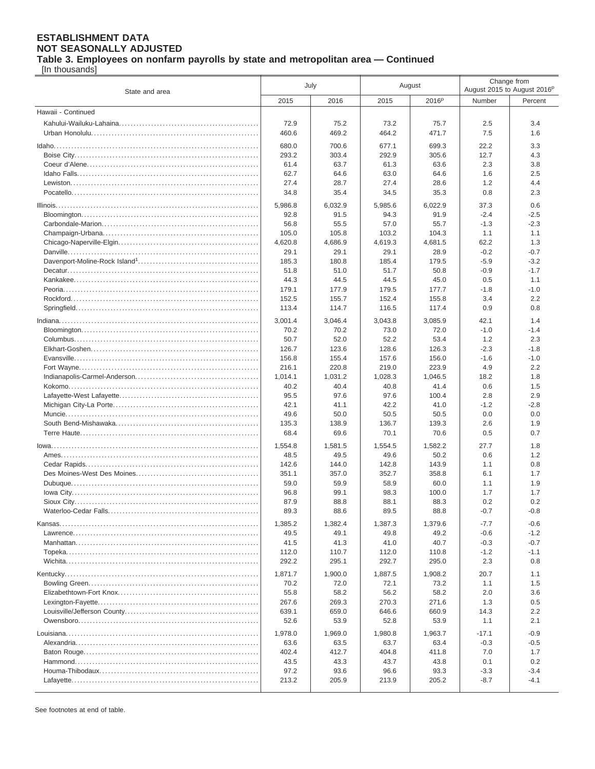**Table 3. Employees on nonfarm payrolls by state and metropolitan area — Continued**

[In thousands]

| State and area        |                | July           |                | August            | Change from<br>August 2015 to August 2016 <sup>p</sup> |               |
|-----------------------|----------------|----------------|----------------|-------------------|--------------------------------------------------------|---------------|
|                       | 2015           | 2016           | 2015           | 2016 <sup>p</sup> | Number                                                 | Percent       |
| Hawaii - Continued    |                |                |                |                   |                                                        |               |
|                       | 72.9           | 75.2           | 73.2           | 75.7              | 2.5                                                    | 3.4           |
|                       | 460.6          | 469.2          | 464.2          | 471.7             | 7.5                                                    | 1.6           |
|                       |                |                |                |                   |                                                        |               |
|                       | 680.0<br>293.2 | 700.6<br>303.4 | 677.1<br>292.9 | 699.3<br>305.6    | 22.2<br>12.7                                           | 3.3<br>4.3    |
|                       | 61.4           | 63.7           | 61.3           | 63.6              | 2.3                                                    | 3.8           |
|                       | 62.7           | 64.6           | 63.0           | 64.6              | 1.6                                                    | 2.5           |
|                       | 27.4           | 28.7           | 27.4           | 28.6              | 1.2                                                    | 4.4           |
|                       | 34.8           | 35.4           | 34.5           | 35.3              | 0.8                                                    | 2.3           |
|                       | 5,986.8        | 6,032.9        | 5,985.6        |                   | 37.3                                                   | 0.6           |
|                       | 92.8           | 91.5           | 94.3           | 6,022.9<br>91.9   | $-2.4$                                                 | $-2.5$        |
|                       | 56.8           | 55.5           | 57.0           | 55.7              | $-1.3$                                                 | $-2.3$        |
|                       | 105.0          | 105.8          | 103.2          | 104.3             | 1.1                                                    | 1.1           |
|                       | 4,620.8        | 4,686.9        | 4,619.3        | 4,681.5           | 62.2                                                   | 1.3           |
|                       | 29.1           | 29.1           | 29.1           | 28.9              | $-0.2$                                                 | $-0.7$        |
|                       | 185.3          | 180.8          | 185.4          | 179.5             | $-5.9$                                                 | $-3.2$        |
|                       | 51.8           | 51.0           | 51.7           | 50.8              | $-0.9$                                                 | $-1.7$        |
|                       | 44.3           | 44.5           | 44.5           | 45.0              | 0.5                                                    | 1.1           |
|                       | 179.1          | 177.9          | 179.5          | 177.7             | $-1.8$                                                 | $-1.0$        |
|                       | 152.5          | 155.7          | 152.4          | 155.8             | 3.4                                                    | 2.2           |
|                       | 113.4          | 114.7          | 116.5          | 117.4             | 0.9                                                    | 0.8           |
|                       | 3,001.4        | 3,046.4        | 3,043.8        | 3,085.9           | 42.1                                                   | 1.4           |
|                       | 70.2           | 70.2           | 73.0           | 72.0              | $-1.0$                                                 | $-1.4$        |
|                       | 50.7           | 52.0           | 52.2           | 53.4              | 1.2                                                    | 2.3           |
|                       | 126.7          | 123.6          | 128.6          | 126.3             | $-2.3$                                                 | $-1.8$        |
|                       | 156.8          | 155.4          | 157.6          | 156.0             | $-1.6$                                                 | $-1.0$        |
|                       | 216.1          | 220.8          | 219.0          | 223.9             | 4.9                                                    | 2.2           |
|                       | 1,014.1        | 1,031.2        | 1,028.3        | 1,046.5           | 18.2                                                   | 1.8           |
|                       | 40.2           | 40.4           | 40.8           | 41.4              | 0.6                                                    | 1.5           |
|                       | 95.5           | 97.6           | 97.6           | 100.4             | 2.8                                                    | 2.9           |
|                       | 42.1<br>49.6   | 41.1<br>50.0   | 42.2<br>50.5   | 41.0<br>50.5      | $-1.2$<br>0.0                                          | $-2.8$<br>0.0 |
|                       | 135.3          | 138.9          | 136.7          | 139.3             | 2.6                                                    | 1.9           |
|                       | 68.4           | 69.6           | 70.1           | 70.6              | 0.5                                                    | 0.7           |
|                       |                |                |                |                   |                                                        |               |
|                       | 1,554.8        | 1,581.5        | 1,554.5        | 1,582.2           | 27.7                                                   | 1.8           |
|                       | 48.5<br>142.6  | 49.5<br>144.0  | 49.6<br>142.8  | 50.2<br>143.9     | 0.6<br>1.1                                             | 1.2<br>0.8    |
|                       | 351.1          | 357.0          | 352.7          | 358.8             | 6.1                                                    | 1.7           |
|                       | 59.0           | 59.9           | 58.9           | 60.0              | 1.1                                                    | 1.9           |
|                       | 96.8           | 99.1           | 98.3           | 100.0             | 1.7                                                    | 1.7           |
|                       | 87.9           | 88.8           | 88.1           | 88.3              | 0.2                                                    | 0.2           |
| Waterloo-Cedar Falls. | 89.3           | 88.6           | 89.5           | 88.8              | $-0.7$                                                 | $-0.8$        |
|                       | 1,385.2        | 1,382.4        | 1,387.3        | 1,379.6           | $-7.7$                                                 | -0.6          |
|                       | 49.5           | 49.1           | 49.8           | 49.2              | $-0.6$                                                 | $-1.2$        |
|                       | 41.5           | 41.3           | 41.0           | 40.7              | $-0.3$                                                 | $-0.7$        |
|                       | 112.0          | 110.7          | 112.0          | 110.8             | $-1.2$                                                 | $-1.1$        |
|                       | 292.2          | 295.1          | 292.7          | 295.0             | 2.3                                                    | 0.8           |
|                       | 1,871.7        | 1,900.0        | 1,887.5        | 1,908.2           | 20.7                                                   | 1.1           |
|                       | 70.2           | 72.0           | 72.1           | 73.2              | 1.1                                                    | 1.5           |
|                       | 55.8           | 58.2           | 56.2           | 58.2              | 2.0                                                    | 3.6           |
|                       | 267.6          | 269.3          | 270.3          | 271.6             | 1.3                                                    | 0.5           |
|                       | 639.1          | 659.0          | 646.6          | 660.9             | 14.3                                                   | 2.2           |
|                       | 52.6           | 53.9           | 52.8           | 53.9              | 1.1                                                    | 2.1           |
|                       | 1,978.0        | 1,969.0        | 1,980.8        | 1,963.7           | $-17.1$                                                | $-0.9$        |
|                       | 63.6           | 63.5           | 63.7           | 63.4              | $-0.3$                                                 | $-0.5$        |
|                       | 402.4          | 412.7          | 404.8          | 411.8             | 7.0                                                    | 1.7           |
|                       | 43.5           | 43.3           | 43.7           | 43.8              | 0.1                                                    | 0.2           |
|                       | 97.2           | 93.6           | 96.6           | 93.3              | $-3.3$                                                 | -3.4          |
|                       | 213.2          | 205.9          | 213.9          | 205.2             | $-8.7$                                                 | -4.1          |
|                       |                |                |                |                   |                                                        |               |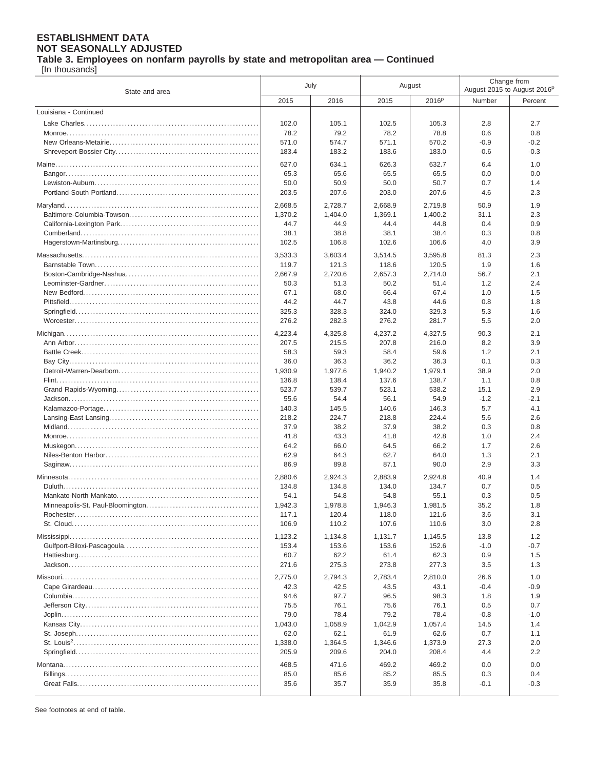**Table 3. Employees on nonfarm payrolls by state and metropolitan area — Continued**

[In thousands]

| State and area        | July             |                 | August          |                   | Change from<br>August 2015 to August 2016 <sup>p</sup> |            |
|-----------------------|------------------|-----------------|-----------------|-------------------|--------------------------------------------------------|------------|
|                       | 2015             | 2016            | 2015            | 2016 <sup>P</sup> | Number                                                 | Percent    |
| Louisiana - Continued |                  |                 |                 |                   |                                                        |            |
|                       | 102.0            | 105.1           | 102.5           | 105.3             | 2.8                                                    | 2.7        |
|                       | 78.2             | 79.2            | 78.2            | 78.8              | 0.6                                                    | 0.8        |
|                       | 571.0            | 574.7           | 571.1           | 570.2             | $-0.9$                                                 | $-0.2$     |
|                       | 183.4            | 183.2           | 183.6           | 183.0             | $-0.6$                                                 | $-0.3$     |
|                       | 627.0            | 634.1           | 626.3           | 632.7             | 6.4                                                    | 1.0        |
|                       | 65.3             | 65.6            | 65.5            | 65.5              | 0.0                                                    | 0.0        |
|                       | 50.0             | 50.9            | 50.0            | 50.7              | 0.7                                                    | 1.4        |
|                       | 203.5            | 207.6           | 203.0           | 207.6             | 4.6                                                    | 2.3        |
|                       | 2.668.5          | 2,728.7         | 2,668.9         | 2,719.8           | 50.9                                                   | 1.9        |
|                       | 1.370.2          | 1,404.0         | 1,369.1         | 1,400.2           | 31.1                                                   | 2.3        |
|                       | 44.7             | 44.9            | 44.4            | 44.8              | 0.4                                                    | 0.9        |
|                       | 38.1             | 38.8            | 38.1            | 38.4              | 0.3                                                    | 0.8        |
|                       | 102.5            | 106.8           | 102.6           | 106.6             | 4.0                                                    | 3.9        |
|                       |                  |                 |                 |                   |                                                        |            |
|                       | 3,533.3          | 3,603.4         | 3,514.5         | 3,595.8           | 81.3                                                   | 2.3        |
|                       | 119.7<br>2,667.9 | 121.3           | 118.6           | 120.5             | 1.9                                                    | 1.6<br>2.1 |
|                       | 50.3             | 2,720.6<br>51.3 | 2,657.3<br>50.2 | 2,714.0<br>51.4   | 56.7<br>1.2                                            | 2.4        |
|                       | 67.1             | 68.0            | 66.4            | 67.4              | 1.0                                                    | 1.5        |
|                       | 44.2             | 44.7            | 43.8            | 44.6              | 0.8                                                    | 1.8        |
|                       | 325.3            | 328.3           | 324.0           | 329.3             | 5.3                                                    | 1.6        |
|                       | 276.2            | 282.3           | 276.2           | 281.7             | 5.5                                                    | 2.0        |
|                       |                  |                 |                 |                   |                                                        |            |
|                       | 4,223.4          | 4,325.8         | 4,237.2         | 4,327.5           | 90.3                                                   | 2.1<br>3.9 |
|                       | 207.5<br>58.3    | 215.5<br>59.3   | 207.8<br>58.4   | 216.0<br>59.6     | 8.2<br>1.2                                             | 2.1        |
|                       | 36.0             | 36.3            | 36.2            | 36.3              | 0.1                                                    | 0.3        |
|                       | 1,930.9          | 1,977.6         | 1,940.2         | 1,979.1           | 38.9                                                   | 2.0        |
|                       | 136.8            | 138.4           | 137.6           | 138.7             | 1.1                                                    | 0.8        |
|                       | 523.7            | 539.7           | 523.1           | 538.2             | 15.1                                                   | 2.9        |
|                       | 55.6             | 54.4            | 56.1            | 54.9              | $-1.2$                                                 | $-2.1$     |
|                       | 140.3            | 145.5           | 140.6           | 146.3             | 5.7                                                    | 4.1        |
|                       | 218.2            | 224.7           | 218.8           | 224.4             | 5.6                                                    | 2.6        |
|                       | 37.9             | 38.2            | 37.9            | 38.2              | 0.3                                                    | 0.8        |
|                       | 41.8             | 43.3            | 41.8            | 42.8              | 1.0                                                    | 2.4        |
|                       | 64.2             | 66.0            | 64.5            | 66.2              | 1.7                                                    | 2.6        |
|                       | 62.9             | 64.3            | 62.7            | 64.0              | 1.3                                                    | 2.1        |
|                       | 86.9             | 89.8            | 87.1            | 90.0              | 2.9                                                    | 3.3        |
|                       | 2,880.6          | 2,924.3         | 2,883.9         | 2,924.8           | 40.9                                                   | 1.4        |
|                       | 134.8            | 134.8           | 134.0           | 134.7             | 0.7                                                    | 0.5        |
|                       | 54.1             | 54.8            | 54.8            | 55.1              | 0.3                                                    | 0.5        |
|                       | 1,942.3          | 1.978.8         | 1,946.3         | 1,981.5           | 35.2                                                   | 1.8        |
|                       | 117.1            | 120.4           | 118.0           | 121.6             | 3.6                                                    | 3.1        |
|                       | 106.9            | 110.2           | 107.6           | 110.6             | 3.0                                                    | 2.8        |
|                       | 1,123.2          | 1,134.8         | 1,131.7         | 1,145.5           | 13.8                                                   | 1.2        |
|                       | 153.4            | 153.6           | 153.6           | 152.6             | $-1.0$                                                 | $-0.7$     |
|                       | 60.7             | 62.2            | 61.4            | 62.3              | 0.9                                                    | 1.5        |
|                       | 271.6            | 275.3           | 273.8           | 277.3             | 3.5                                                    | 1.3        |
|                       | 2,775.0          | 2,794.3         | 2,783.4         | 2,810.0           | 26.6                                                   | 1.0        |
|                       | 42.3             | 42.5            | 43.5            | 43.1              | $-0.4$                                                 | $-0.9$     |
|                       | 94.6             | 97.7            | 96.5            | 98.3              | 1.8                                                    | 1.9        |
|                       | 75.5             | 76.1            | 75.6            | 76.1              | 0.5                                                    | 0.7        |
|                       | 79.0             | 78.4            | 79.2            | 78.4              | $-0.8$                                                 | $-1.0$     |
|                       | 1,043.0          | 1,058.9         | 1,042.9         | 1,057.4           | 14.5                                                   | 1.4        |
|                       | 62.0             | 62.1            | 61.9            | 62.6              | 0.7                                                    | 1.1        |
|                       | 1,338.0          | 1,364.5         | 1,346.6         | 1,373.9           | 27.3                                                   | 2.0        |
|                       | 205.9            | 209.6           | 204.0           | 208.4             | 4.4                                                    | 2.2        |
|                       | 468.5            | 471.6           | 469.2           | 469.2             | 0.0                                                    | 0.0        |
|                       | 85.0             | 85.6            | 85.2            | 85.5              | 0.3                                                    | 0.4        |
|                       | 35.6             | 35.7            | 35.9            | 35.8              | $-0.1$                                                 | $-0.3$     |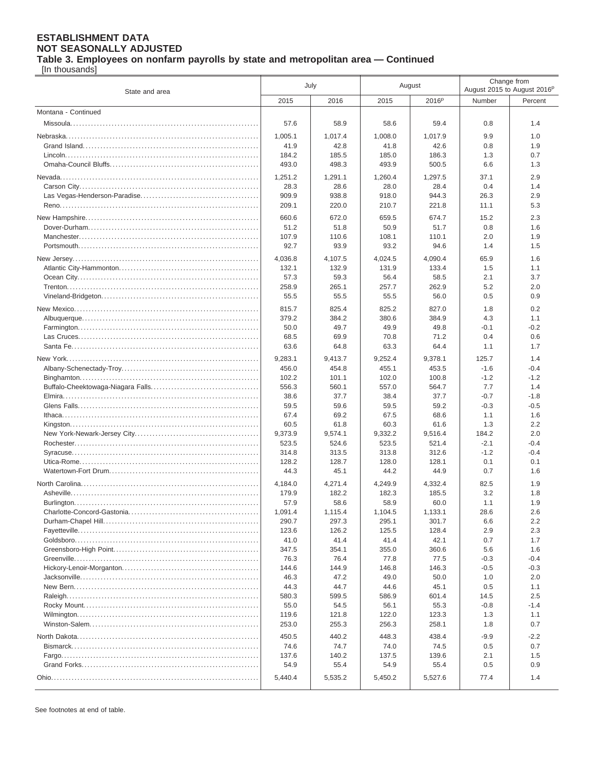**Table 3. Employees on nonfarm payrolls by state and metropolitan area — Continued**

[In thousands]

| State and area             | July             |                  | August           |                   | Change from<br>August 2015 to August 2016 <sup>p</sup> |                  |
|----------------------------|------------------|------------------|------------------|-------------------|--------------------------------------------------------|------------------|
|                            | 2015             | 2016             | 2015             | 2016 <sup>P</sup> | Number                                                 | Percent          |
| Montana - Continued        |                  |                  |                  |                   |                                                        |                  |
|                            | 57.6             | 58.9             | 58.6             | 59.4              | 0.8                                                    | 1.4              |
|                            | 1,005.1          | 1,017.4          | 1,008.0          | 1,017.9           | 9.9                                                    | 1.0              |
|                            | 41.9             | 42.8             | 41.8             | 42.6              | 0.8                                                    | 1.9              |
|                            | 184.2            | 185.5            | 185.0            | 186.3             | 1.3                                                    | 0.7              |
|                            | 493.0            | 498.3            | 493.9            | 500.5             | 6.6                                                    | 1.3              |
|                            | 1,251.2          | 1,291.1          | 1,260.4          | 1,297.5           | 37.1                                                   | 2.9              |
|                            | 28.3             | 28.6             | 28.0             | 28.4              | 0.4                                                    | 1.4              |
|                            | 909.9            | 938.8            | 918.0            | 944.3             | 26.3                                                   | 2.9              |
|                            | 209.1            | 220.0            | 210.7            | 221.8             | 11.1                                                   | 5.3              |
|                            | 660.6            | 672.0            | 659.5            | 674.7             | 15.2                                                   | 2.3              |
|                            | 51.2             | 51.8             | 50.9             | 51.7              | 0.8                                                    | 1.6              |
|                            | 107.9            | 110.6            | 108.1            | 110.1             | 2.0                                                    | 1.9              |
|                            | 92.7             | 93.9             | 93.2             | 94.6              | 1.4                                                    | 1.5              |
|                            | 4,036.8          | 4,107.5          | 4,024.5          | 4,090.4           | 65.9                                                   | 1.6              |
|                            | 132.1            | 132.9            | 131.9            | 133.4             | 1.5                                                    | 1.1              |
|                            | 57.3             | 59.3             | 56.4             | 58.5              | 2.1                                                    | 3.7              |
|                            | 258.9            | 265.1            | 257.7            | 262.9             | 5.2                                                    | 2.0              |
|                            | 55.5             | 55.5             | 55.5             | 56.0              | 0.5                                                    | 0.9              |
|                            | 815.7            | 825.4            | 825.2            | 827.0             | 1.8                                                    | 0.2              |
|                            | 379.2            | 384.2            | 380.6            | 384.9             | 4.3                                                    | 1.1              |
|                            | 50.0             | 49.7             | 49.9             | 49.8              | $-0.1$                                                 | $-0.2$           |
|                            | 68.5             | 69.9             | 70.8             | 71.2              | 0.4                                                    | 0.6              |
|                            | 63.6             | 64.8             | 63.3             | 64.4              | 1.1                                                    | 1.7              |
|                            | 9,283.1          | 9,413.7          | 9,252.4          | 9,378.1           | 125.7                                                  | 1.4              |
|                            | 456.0            | 454.8            | 455.1            | 453.5             | $-1.6$                                                 | $-0.4$           |
|                            | 102.2            | 101.1            | 102.0            | 100.8             | $-1.2$                                                 | $-1.2$           |
|                            | 556.3            | 560.1            | 557.0            | 564.7             | 7.7                                                    | 1.4              |
|                            | 38.6             | 37.7             | 38.4             | 37.7              | $-0.7$                                                 | $-1.8$           |
|                            | 59.5             | 59.6             | 59.5             | 59.2              | $-0.3$                                                 | $-0.5$           |
|                            | 67.4             | 69.2             | 67.5             | 68.6              | 1.1                                                    | 1.6              |
|                            | 60.5             | 61.8             | 60.3             | 61.6              | 1.3                                                    | 2.2              |
|                            | 9,373.9          | 9,574.1          | 9,332.2          | 9,516.4           | 184.2                                                  | 2.0              |
|                            | 523.5<br>314.8   | 524.6<br>313.5   | 523.5<br>313.8   | 521.4<br>312.6    | $-2.1$<br>$-1.2$                                       | $-0.4$<br>$-0.4$ |
|                            | 128.2            | 128.7            | 128.0            | 128.1             | 0.1                                                    | 0.1              |
|                            | 44.3             | 45.1             | 44.2             | 44.9              | 0.7                                                    | 1.6              |
|                            |                  |                  |                  |                   |                                                        |                  |
|                            | 4,184.0<br>179.9 | 4,271.4<br>182.2 | 4,249.9<br>182.3 | 4,332.4<br>185.5  | 82.5<br>3.2                                            | 1.9<br>1.8       |
|                            | 57.9             | 58.6             | 58.9             | 60.0              | 1.1                                                    | 1.9              |
| Charlotte-Concord-Gastonia | 1,091.4          | 1,115.4          | 1,104.5          | 1,133.1           | 28.6                                                   | 2.6              |
|                            | 290.7            | 297.3            | 295.1            | 301.7             | 6.6                                                    | 2.2              |
|                            | 123.6            | 126.2            | 125.5            | 128.4             | 2.9                                                    | 2.3              |
|                            | 41.0             | 41.4             | 41.4             | 42.1              | 0.7                                                    | 1.7              |
|                            | 347.5            | 354.1            | 355.0            | 360.6             | 5.6                                                    | 1.6              |
|                            | 76.3             | 76.4             | 77.8             | 77.5              | $-0.3$                                                 | $-0.4$           |
|                            | 144.6            | 144.9            | 146.8            | 146.3             | $-0.5$                                                 | $-0.3$           |
|                            | 46.3             | 47.2             | 49.0             | 50.0              | 1.0                                                    | 2.0              |
|                            | 44.3             | 44.7             | 44.6             | 45.1              | 0.5                                                    | 1.1              |
|                            | 580.3<br>55.0    | 599.5<br>54.5    | 586.9<br>56.1    | 601.4<br>55.3     | 14.5<br>$-0.8$                                         | 2.5<br>$-1.4$    |
|                            | 119.6            | 121.8            | 122.0            | 123.3             | 1.3                                                    | 1.1              |
|                            | 253.0            | 255.3            | 256.3            | 258.1             | 1.8                                                    | 0.7              |
|                            |                  |                  |                  |                   |                                                        |                  |
|                            | 450.5<br>74.6    | 440.2            | 448.3            | 438.4<br>74.5     | $-9.9$                                                 | $-2.2$<br>0.7    |
|                            | 137.6            | 74.7<br>140.2    | 74.0<br>137.5    | 139.6             | 0.5<br>2.1                                             | 1.5              |
|                            | 54.9             | 55.4             | 54.9             | 55.4              | 0.5                                                    | 0.9              |
|                            |                  |                  |                  |                   |                                                        |                  |
|                            | 5,440.4          | 5,535.2          | 5,450.2          | 5,527.6           | 77.4                                                   | 1.4              |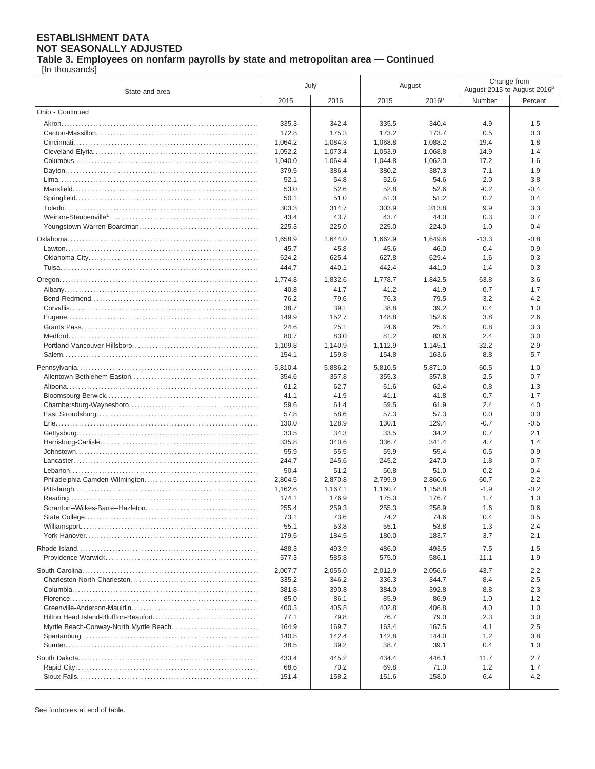**Table 3. Employees on nonfarm payrolls by state and metropolitan area — Continued**

[In thousands]

| State and area   | July          |               | August        |                   | Change from<br>August 2015 to August 2016 <sup>p</sup> |               |
|------------------|---------------|---------------|---------------|-------------------|--------------------------------------------------------|---------------|
|                  | 2015          | 2016          | 2015          | 2016 <sup>P</sup> | Number                                                 | Percent       |
| Ohio - Continued |               |               |               |                   |                                                        |               |
|                  | 335.3         | 342.4         | 335.5         | 340.4             | 4.9                                                    | 1.5           |
|                  | 172.8         | 175.3         | 173.2         | 173.7             | 0.5                                                    | 0.3           |
|                  | 1,064.2       | 1,084.3       | 1,068.8       | 1,088.2           | 19.4                                                   | 1.8           |
|                  | 1,052.2       | 1,073.4       | 1,053.9       | 1,068.8           | 14.9                                                   | 1.4           |
|                  | 1,040.0       | 1,064.4       | 1,044.8       | 1,062.0           | 17.2                                                   | 1.6           |
|                  | 379.5         | 386.4         | 380.2         | 387.3             | 7.1                                                    | 1.9           |
|                  | 52.1          | 54.8          | 52.6          | 54.6              | 2.0                                                    | 3.8           |
|                  | 53.0          | 52.6          | 52.8          | 52.6              | $-0.2$                                                 | $-0.4$        |
|                  | 50.1          | 51.0          | 51.0          | 51.2              | 0.2                                                    | 0.4           |
|                  | 303.3         | 314.7         | 303.9         | 313.8             | 9.9                                                    | 3.3           |
|                  | 43.4          | 43.7          | 43.7          | 44.0              | 0.3                                                    | 0.7           |
|                  | 225.3         | 225.0         | 225.0         | 224.0             | $-1.0$                                                 | $-0.4$        |
|                  | 1,658.9       | 1,644.0       | 1,662.9       | 1,649.6           | $-13.3$                                                | $-0.8$        |
|                  | 45.7          | 45.8          | 45.6          | 46.0              | 0.4                                                    | 0.9           |
|                  | 624.2         | 625.4         | 627.8         | 629.4             | 1.6                                                    | 0.3           |
|                  | 444.7         | 440.1         | 442.4         | 441.0             | $-1.4$                                                 | $-0.3$        |
|                  | 1,774.8       | 1,832.6       | 1.778.7       | 1,842.5           | 63.8                                                   | 3.6           |
|                  | 40.8          | 41.7          | 41.2          | 41.9              | 0.7                                                    | 1.7           |
|                  | 76.2          | 79.6          | 76.3          | 79.5              | 3.2                                                    | 4.2           |
|                  | 38.7          | 39.1          | 38.8          | 39.2              | 0.4                                                    | 1.0           |
|                  | 149.9         | 152.7         | 148.8         | 152.6             | 3.8                                                    | 2.6           |
|                  | 24.6          | 25.1          | 24.6          | 25.4              | 0.8                                                    | 3.3           |
|                  | 80.7          | 83.0          | 81.2          | 83.6              | 2.4                                                    | 3.0           |
|                  | 1,109.8       | 1,140.9       | 1,112.9       | 1,145.1           | 32.2                                                   | 2.9           |
|                  | 154.1         | 159.8         | 154.8         | 163.6             | 8.8                                                    | 5.7           |
|                  | 5,810.4       | 5,886.2       | 5,810.5       | 5,871.0           | 60.5                                                   | 1.0           |
|                  | 354.6         | 357.8         | 355.3         | 357.8             | 2.5                                                    | 0.7           |
|                  | 61.2          | 62.7          | 61.6          | 62.4              | 0.8                                                    | 1.3           |
|                  | 41.1          | 41.9          | 41.1          | 41.8              | 0.7                                                    | 1.7           |
|                  | 59.6          | 61.4          | 59.5          | 61.9              | 2.4                                                    | 4.0           |
|                  | 57.8          | 58.6          | 57.3          | 57.3              | 0.0                                                    | 0.0           |
|                  | 130.0         | 128.9         | 130.1         | 129.4             | $-0.7$                                                 | $-0.5$        |
|                  | 33.5          | 34.3          | 33.5          | 34.2              | 0.7                                                    | 2.1           |
|                  | 335.8         | 340.6         | 336.7         | 341.4             | 4.7                                                    | 1.4           |
|                  | 55.9          | 55.5          | 55.9          | 55.4              | $-0.5$                                                 | $-0.9$        |
|                  | 244.7         | 245.6         | 245.2         | 247.0             | 1.8                                                    | 0.7           |
|                  | 50.4          | 51.2          | 50.8          | 51.0              | 0.2                                                    | 0.4           |
|                  | 2,804.5       | 2,870.8       | 2,799.9       | 2,860.6           | 60.7                                                   | 2.2           |
|                  | 1,162.6       | 1,167.1       | 1,160.7       | 1,158.8           | $-1.9$                                                 | $-0.2$        |
|                  | 174.1         | 176.9         | 175.0         | 176.7             | 1.7                                                    | 1.0           |
|                  | 255.4         | 259.3         | 255.3         | 256.9             | 1.6                                                    | 0.6           |
|                  | 73.1          | 73.6          | 74.2          | 74.6              | 0.4<br>$-1.3$                                          | 0.5<br>$-2.4$ |
|                  | 55.1<br>179.5 | 53.8<br>184.5 | 55.1<br>180.0 | 53.8<br>183.7     | 3.7                                                    | 2.1           |
|                  |               |               |               |                   |                                                        |               |
|                  | 488.3         | 493.9         | 486.0         | 493.5             | 7.5                                                    | 1.5           |
|                  | 577.3         | 585.8         | 575.0         | 586.1             | 11.1                                                   | 1.9           |
|                  | 2.007.7       | 2,055.0       | 2,012.9       | 2,056.6           | 43.7                                                   | 2.2           |
|                  | 335.2         | 346.2         | 336.3         | 344.7             | 8.4                                                    | 2.5           |
|                  | 381.8         | 390.8         | 384.0         | 392.8             | 8.8                                                    | 2.3           |
|                  | 85.0          | 86.1          | 85.9          | 86.9              | 1.0                                                    | 1.2           |
|                  | 400.3         | 405.8         | 402.8         | 406.8             | 4.0                                                    | 1.0           |
|                  | 77.1          | 79.8          | 76.7          | 79.0              | 2.3                                                    | 3.0           |
|                  | 164.9         | 169.7         | 163.4         | 167.5             | 4.1                                                    | 2.5           |
|                  | 140.8         | 142.4         | 142.8         | 144.0             | 1.2                                                    | 0.8           |
|                  | 38.5          | 39.2          | 38.7          | 39.1              | 0.4                                                    | 1.0           |
|                  | 433.4         | 445.2         | 434.4         | 446.1             | 11.7                                                   | 2.7           |
|                  | 68.6          | 70.2          | 69.8          | 71.0              | 1.2                                                    | 1.7           |
|                  | 151.4         | 158.2         | 151.6         | 158.0             | 6.4                                                    | 4.2           |
|                  |               |               |               |                   |                                                        |               |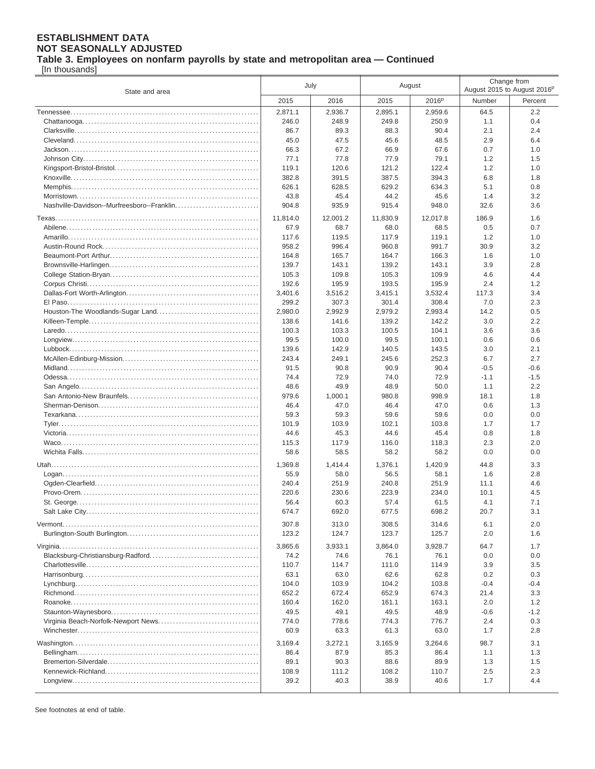**Table 3. Employees on nonfarm payrolls by state and metropolitan area — Continued**

[In thousands]

| State and area                             | July            |                 | August        |                   | Change from<br>August 2015 to August 2016 <sup>p</sup> |            |
|--------------------------------------------|-----------------|-----------------|---------------|-------------------|--------------------------------------------------------|------------|
|                                            | 2015            | 2016            | 2015          | 2016 <sup>p</sup> | Number                                                 | Percent    |
|                                            | 2.871.1         | 2,936.7         | 2,895.1       | 2,959.6           | 64.5                                                   | 2.2        |
|                                            | 246.0           | 248.9           | 249.8         | 250.9             | 1.1                                                    | 0.4        |
|                                            | 86.7            | 89.3            | 88.3          | 90.4              | 2.1                                                    | 2.4        |
|                                            | 45.0            | 47.5            | 45.6          | 48.5              | 2.9                                                    | 6.4        |
|                                            | 66.3<br>77.1    | 67.2<br>77.8    | 66.9<br>77.9  | 67.6<br>79.1      | 0.7<br>1.2                                             | 1.0<br>1.5 |
|                                            | 119.1           | 120.6           | 121.2         | 122.4             | 1.2                                                    | 1.0        |
|                                            | 382.8           | 391.5           | 387.5         | 394.3             | 6.8                                                    | 1.8        |
|                                            | 626.1           | 628.5           | 629.2         | 634.3             | 5.1                                                    | 0.8        |
|                                            | 43.8            | 45.4            | 44.2          | 45.6              | 1.4                                                    | 3.2        |
| Nashville-Davidson--Murfreesboro--Franklin | 904.8           | 935.9           | 915.4         | 948.0             | 32.6                                                   | 3.6        |
|                                            | 11,814.0        | 12,001.2        | 11,830.9      | 12,017.8          | 186.9                                                  | 1.6        |
|                                            | 67.9            | 68.7            | 68.0          | 68.5              | 0.5                                                    | 0.7        |
|                                            | 117.6           | 119.5           | 117.9         | 119.1             | 1.2                                                    | 1.0        |
|                                            | 958.2           | 996.4           | 960.8         | 991.7             | 30.9                                                   | 3.2        |
|                                            | 164.8           | 165.7           | 164.7         | 166.3             | 1.6                                                    | 1.0        |
|                                            | 139.7           | 143.1           | 139.2         | 143.1             | 3.9                                                    | 2.8        |
|                                            | 105.3           | 109.8           | 105.3         | 109.9             | 4.6                                                    | 4.4        |
|                                            | 192.6           | 195.9           | 193.5         | 195.9             | 2.4                                                    | 1.2        |
|                                            | 3,401.6         | 3,516.2         | 3,415.1       | 3,532.4           | 117.3                                                  | 3.4        |
|                                            | 299.2           | 307.3           | 301.4         | 308.4             | 7.0                                                    | 2.3        |
|                                            | 2.980.0         | 2,992.9         | 2,979.2       | 2.993.4           | 14.2                                                   | 0.5        |
|                                            | 138.6           | 141.6           | 139.2         | 142.2             | 3.0                                                    | 2.2        |
|                                            | 100.3<br>99.5   | 103.3<br>100.0  | 100.5<br>99.5 | 104.1<br>100.1    | 3.6<br>0.6                                             | 3.6<br>0.6 |
|                                            | 139.6           | 142.9           | 140.5         | 143.5             | 3.0                                                    | 2.1        |
|                                            | 243.4           | 249.1           | 245.6         | 252.3             | 6.7                                                    | 2.7        |
|                                            | 91.5            | 90.8            | 90.9          | 90.4              | $-0.5$                                                 | $-0.6$     |
|                                            | 74.4            | 72.9            | 74.0          | 72.9              | $-1.1$                                                 | $-1.5$     |
|                                            | 48.6            | 49.9            | 48.9          | 50.0              | 1.1                                                    | 2.2        |
|                                            | 979.6           | 1,000.1         | 980.8         | 998.9             | 18.1                                                   | 1.8        |
|                                            | 46.4            | 47.0            | 46.4          | 47.0              | 0.6                                                    | 1.3        |
|                                            | 59.3            | 59.3            | 59.6          | 59.6              | 0.0                                                    | 0.0        |
|                                            | 101.9           | 103.9           | 102.1         | 103.8             | 1.7                                                    | 1.7        |
|                                            | 44.6            | 45.3            | 44.6          | 45.4              | 0.8                                                    | 1.8        |
|                                            | 115.3           | 117.9           | 116.0         | 118.3             | 2.3                                                    | 2.0        |
|                                            | 58.6            | 58.5            | 58.2          | 58.2              | 0.0                                                    | 0.0        |
|                                            | 1,369.8         | 1.414.4         | 1.376.1       | 1,420.9           | 44.8                                                   | 3.3        |
|                                            | 55.9<br>240.4   | 58.0            | 56.5<br>240.8 | 58.1<br>251.9     | 1.6                                                    | 2.8<br>4.6 |
|                                            | 220.6           | 251.9<br>230.6  | 223.9         | 234.0             | 11.1<br>10.1                                           | 4.5        |
|                                            | 56.4            | 60.3            | 57.4          | 61.5              | 4.1                                                    | 7.1        |
|                                            | 674.7           | 692.0           | 677.5         | 698.2             | 20.7                                                   | 3.1        |
|                                            | 307.8           | 313.0           | 308.5         | 314.6             | 6.1                                                    | 2.0        |
|                                            | 123.2           | 124.7           | 123.7         | 125.7             | 2.0                                                    | 1.6        |
|                                            |                 |                 | 3.864.0       |                   |                                                        |            |
|                                            | 3,865.6<br>74.2 | 3,933.1<br>74.6 | 76.1          | 3,928.7<br>76.1   | 64.7<br>0.0                                            | 1.7<br>0.0 |
|                                            | 110.7           | 114.7           | 111.0         | 114.9             | 3.9                                                    | 3.5        |
|                                            | 63.1            | 63.0            | 62.6          | 62.8              | 0.2                                                    | 0.3        |
|                                            | 104.0           | 103.9           | 104.2         | 103.8             | $-0.4$                                                 | $-0.4$     |
|                                            | 652.2           | 672.4           | 652.9         | 674.3             | 21.4                                                   | 3.3        |
|                                            | 160.4           | 162.0           | 161.1         | 163.1             | 2.0                                                    | 1.2        |
|                                            | 49.5            | 49.1            | 49.5          | 48.9              | $-0.6$                                                 | $-1.2$     |
|                                            | 774.0           | 778.6           | 774.3         | 776.7             | 2.4                                                    | 0.3        |
|                                            | 60.9            | 63.3            | 61.3          | 63.0              | 1.7                                                    | 2.8        |
|                                            | 3,169.4         | 3,272.1         | 3,165.9       | 3,264.6           | 98.7                                                   | 3.1        |
|                                            | 86.4            | 87.9            | 85.3          | 86.4              | 1.1                                                    | 1.3        |
|                                            | 89.1            | 90.3            | 88.6          | 89.9              | 1.3                                                    | 1.5        |
|                                            | 108.9           | 111.2           | 108.2         | 110.7             | 2.5                                                    | 2.3        |
|                                            | 39.2            | 40.3            | 38.9          | 40.6              | 1.7                                                    | 4.4        |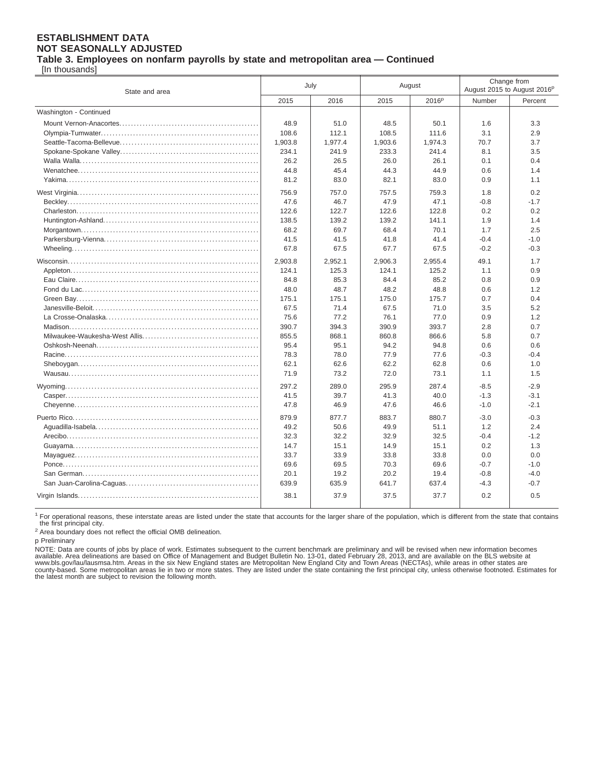#### **ESTABLISHMENT DATA NOT SEASONALLY ADJUSTED Table 3. Employees on nonfarm payrolls by state and metropolitan area — Continued**

[In thousands]

| State and area         | July    |         | August  |                   | Change from<br>August 2015 to August 2016 <sup>p</sup> |         |
|------------------------|---------|---------|---------|-------------------|--------------------------------------------------------|---------|
|                        | 2015    | 2016    | 2015    | 2016 <sup>P</sup> | Number                                                 | Percent |
| Washington - Continued |         |         |         |                   |                                                        |         |
|                        | 48.9    | 51.0    | 48.5    | 50.1              | 1.6                                                    | 3.3     |
|                        | 108.6   | 112.1   | 108.5   | 111.6             | 3.1                                                    | 2.9     |
|                        | 1,903.8 | 1.977.4 | 1,903.6 | 1,974.3           | 70.7                                                   | 3.7     |
|                        | 234.1   | 241.9   | 233.3   | 241.4             | 8.1                                                    | 3.5     |
|                        | 26.2    | 26.5    | 26.0    | 26.1              | 0.1                                                    | 0.4     |
|                        | 44.8    | 45.4    | 44.3    | 44.9              | 0.6                                                    | 1.4     |
|                        | 81.2    | 83.0    | 82.1    | 83.0              | 0.9                                                    | 1.1     |
|                        | 756.9   | 757.0   | 757.5   | 759.3             | 1.8                                                    | 0.2     |
|                        | 47.6    | 46.7    | 47.9    | 47.1              | $-0.8$                                                 | $-1.7$  |
|                        | 122.6   | 122.7   | 122.6   | 122.8             | 0.2                                                    | 0.2     |
|                        | 138.5   | 139.2   | 139.2   | 141.1             | 1.9                                                    | 1.4     |
|                        | 68.2    | 69.7    | 68.4    | 70.1              | 1.7                                                    | 2.5     |
|                        | 41.5    | 41.5    | 41.8    | 41.4              | $-0.4$                                                 | $-1.0$  |
|                        | 67.8    | 67.5    | 67.7    | 67.5              | $-0.2$                                                 | $-0.3$  |
|                        | 2,903.8 | 2,952.1 | 2,906.3 | 2,955.4           | 49.1                                                   | 1.7     |
|                        | 124.1   | 125.3   | 124.1   | 125.2             | 1.1                                                    | 0.9     |
|                        | 84.8    | 85.3    | 84.4    | 85.2              | 0.8                                                    | 0.9     |
|                        | 48.0    | 48.7    | 48.2    | 48.8              | 0.6                                                    | 1.2     |
|                        | 175.1   | 175.1   | 175.0   | 175.7             | 0.7                                                    | 0.4     |
|                        | 67.5    | 71.4    | 67.5    | 71.0              | 3.5                                                    | 5.2     |
|                        | 75.6    | 77.2    | 76.1    | 77.0              | 0.9                                                    | 1.2     |
|                        | 390.7   | 394.3   | 390.9   | 393.7             | 2.8                                                    | 0.7     |
|                        | 855.5   | 868.1   | 860.8   | 866.6             | 5.8                                                    | 0.7     |
|                        | 95.4    | 95.1    | 94.2    | 94.8              | 0.6                                                    | 0.6     |
|                        | 78.3    | 78.0    | 77.9    | 77.6              | $-0.3$                                                 | $-0.4$  |
|                        | 62.1    | 62.6    | 62.2    | 62.8              | 0.6                                                    | 1.0     |
|                        | 71.9    | 73.2    | 72.0    | 73.1              | 1.1                                                    | 1.5     |
|                        | 297.2   | 289.0   | 295.9   | 287.4             | $-8.5$                                                 | $-2.9$  |
|                        | 41.5    | 39.7    | 41.3    | 40.0              | $-1.3$                                                 | $-3.1$  |
|                        | 47.8    | 46.9    | 47.6    | 46.6              | $-1.0$                                                 | $-2.1$  |
|                        | 879.9   | 877.7   | 883.7   | 880.7             | $-3.0$                                                 | $-0.3$  |
|                        | 49.2    | 50.6    | 49.9    | 51.1              | 1.2                                                    | 2.4     |
|                        | 32.3    | 32.2    | 32.9    | 32.5              | $-0.4$                                                 | $-1.2$  |
|                        | 14.7    | 15.1    | 14.9    | 15.1              | 0.2                                                    | 1.3     |
|                        | 33.7    | 33.9    | 33.8    | 33.8              | 0.0                                                    | 0.0     |
|                        | 69.6    | 69.5    | 70.3    | 69.6              | $-0.7$                                                 | $-1.0$  |
|                        | 20.1    | 19.2    | 20.2    | 19.4              | $-0.8$                                                 | $-4.0$  |
|                        | 639.9   | 635.9   | 641.7   | 637.4             | $-4.3$                                                 | $-0.7$  |
|                        | 38.1    | 37.9    | 37.5    | 37.7              | 0.2                                                    | 0.5     |

<sup>1</sup> For operational reasons, these interstate areas are listed under the state that accounts for the larger share of the population, which is different from the state that contains the first principal city.

<sup>2</sup> Area boundary does not reflect the official OMB delineation.

p Preliminary

NOTE: Data are counts of jobs by place of work. Estimates subsequent to the current benchmark are preliminary and will be revised when new information becomes<br>available. Area delineations are based on Office of Management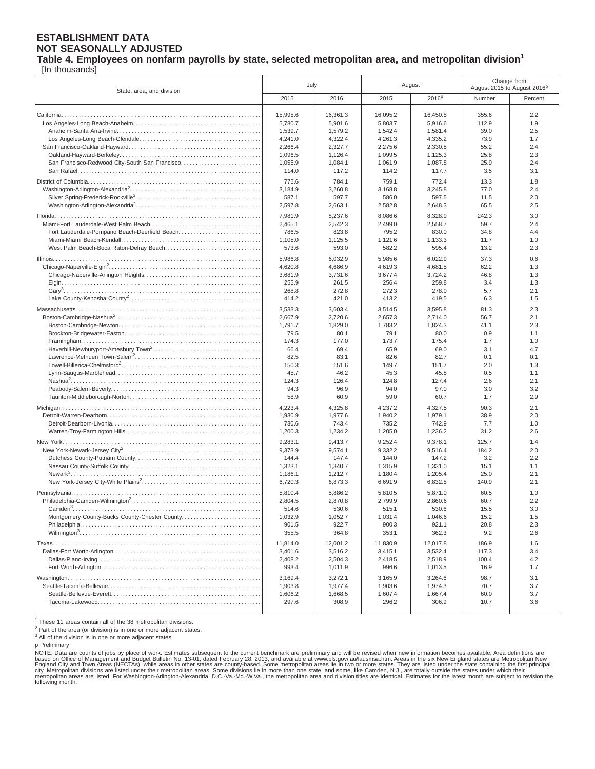**Table 4. Employees on nonfarm payrolls by state, selected metropolitan area, and metropolitan division<sup>1</sup>**

[In thousands]

| State, area, and division                      | July               |                    | August             |                    | Change from<br>August 2015 to August 2016 <sup>p</sup> |            |
|------------------------------------------------|--------------------|--------------------|--------------------|--------------------|--------------------------------------------------------|------------|
|                                                | 2015               | 2016               | 2015               | 2016 <sup>p</sup>  | Number                                                 | Percent    |
|                                                | 15,995.6           | 16,361.3           | 16,095.2           | 16,450.8           | 355.6                                                  | 2.2        |
|                                                | 5,780.7            | 5,901.6            | 5,803.7            | 5,916.6            | 112.9                                                  | 1.9        |
|                                                | 1,539.7            | 1,579.2            | 1.542.4            | 1,581.4            | 39.0                                                   | 2.5        |
|                                                | 4,241.0            | 4,322.4            | 4,261.3            | 4,335.2            | 73.9                                                   | 1.7        |
|                                                | 2,266.4            | 2,327.7            | 2,275.6            | 2,330.8            | 55.2                                                   | 2.4        |
|                                                | 1,096.5            | 1,126.4            | 1,099.5            | 1,125.3            | 25.8                                                   | 2.3        |
| San Francisco-Redwood City-South San Francisco | 1,055.9            | 1,084.1            | 1,061.9            | 1,087.8            | 25.9                                                   | 2.4        |
|                                                | 114.0              | 117.2              | 114.2              | 117.7              | 3.5                                                    | 3.1        |
|                                                | 775.6              | 784.1              | 759.1              | 772.4              | 13.3                                                   | 1.8        |
|                                                | 3,184.9            | 3,260.8            | 3.168.8            | 3,245.8            | 77.0                                                   | 2.4        |
|                                                | 587.1              | 597.7              | 586.0              | 597.5              | 11.5                                                   | 2.0        |
|                                                | 2,597.8            | 2,663.1            | 2,582.8            | 2,648.3            | 65.5                                                   | 2.5        |
|                                                | 7,981.9            | 8,237.6            | 8,086.6            | 8,328.9            | 242.3                                                  | 3.0        |
|                                                | 2,465.1            | 2,542.3            | 2,499.0            | 2,558.7            | 59.7                                                   | 2.4        |
| Fort Lauderdale-Pompano Beach-Deerfield Beach  | 786.5              | 823.8              | 795.2              | 830.0              | 34.8                                                   | 4.4        |
|                                                | 1,105.0            | 1,125.5            | 1,121.6            | 1,133.3            | 11.7                                                   | 1.0        |
|                                                | 573.6              | 593.0              | 582.2              | 595.4              | 13.2                                                   | 2.3        |
|                                                | 5,986.8            | 6,032.9            | 5,985.6            | 6,022.9            | 37.3                                                   | 0.6        |
|                                                | 4,620.8            | 4,686.9            | 4,619.3            | 4,681.5            | 62.2                                                   | 1.3        |
|                                                | 3,681.9            | 3,731.6            | 3,677.4            | 3,724.2            | 46.8                                                   | 1.3        |
|                                                | 255.9              | 261.5              | 256.4              | 259.8              | 3.4                                                    | 1.3        |
|                                                | 268.8              | 272.8              | 272.3              | 278.0              | 5.7                                                    | 2.1        |
|                                                | 414.2              | 421.0              | 413.2              | 419.5              | 6.3                                                    | 1.5        |
|                                                | 3,533.3            | 3,603.4            | 3,514.5            | 3,595.8            | 81.3                                                   | 2.3        |
|                                                | 2,667.9            | 2,720.6            | 2,657.3            | 2,714.0            | 56.7                                                   | 2.1        |
|                                                | 1,791.7            | 1,829.0            | 1,783.2            | 1,824.3            | 41.1                                                   | 2.3        |
|                                                | 79.5               | 80.1               | 79.1               | 80.0               | 0.9                                                    | 1.1        |
|                                                | 174.3              | 177.0              | 173.7              | 175.4              | 1.7                                                    | 1.0        |
|                                                | 66.4               | 69.4               | 65.9               | 69.0               | 3.1                                                    | 4.7        |
|                                                | 82.5               | 83.1               | 82.6               | 82.7               | 0.1                                                    | 0.1        |
|                                                | 150.3              | 151.6              | 149.7              | 151.7              | 2.0                                                    | 1.3        |
|                                                | 45.7               | 46.2               | 45.3               | 45.8               | 0.5                                                    | 1.1        |
|                                                | 124.3              | 126.4              | 124.8              | 127.4              | 2.6                                                    | 2.1        |
|                                                | 94.3<br>58.9       | 96.9               | 94.0<br>59.0       | 97.0<br>60.7       | 3.0<br>1.7                                             | 3.2<br>2.9 |
|                                                |                    | 60.9               |                    |                    |                                                        |            |
|                                                | 4,223.4            | 4,325.8            | 4,237.2            | 4,327.5            | 90.3                                                   | 2.1        |
|                                                | 1,930.9            | 1,977.6            | 1,940.2            | 1,979.1            | 38.9                                                   | 2.0        |
|                                                | 730.6              | 743.4              | 735.2              | 742.9              | 7.7                                                    | 1.0        |
|                                                | 1,200.3            | 1,234.2            | 1,205.0            | 1,236.2            | 31.2                                                   | 2.6        |
|                                                | 9,283.1            | 9,413.7            | 9,252.4            | 9,378.1            | 125.7                                                  | 1.4        |
|                                                | 9,373.9            | 9,574.1            | 9,332.2            | 9,516.4            | 184.2                                                  | 2.0        |
|                                                | 144.4<br>1,323.1   | 147.4<br>1,340.7   | 144.0<br>1,315.9   | 147.2<br>1,331.0   | 3.2<br>15.1                                            | 2.2<br>1.1 |
|                                                | 1,186.1            | 1,212.7            | 1,180.4            | 1,205.4            | 25.0                                                   | 2.1        |
|                                                | 6,720.3            | 6,873.3            | 6,691.9            | 6,832.8            | 140.9                                                  | 2.1        |
|                                                |                    |                    |                    |                    |                                                        |            |
|                                                | 5,810.4<br>2,804.5 | 5,886.2<br>2,870.8 | 5,810.5<br>2,799.9 | 5,871.0<br>2,860.6 | 60.5<br>60.7                                           | 1.0<br>2.2 |
|                                                | 514.6              | 530.6              | 515.1              | 530.6              | 15.5                                                   | 3.0        |
| Montgomery County-Bucks County-Chester County  | 1,032.9            | 1,052.7            | 1,031.4            | 1,046.6            | 15.2                                                   | 1.5        |
|                                                | 901.5              | 922.7              | 900.3              | 921.1              | 20.8                                                   | 2.3        |
|                                                | 355.5              | 364.8              | 353.1              | 362.3              | 9.2                                                    | 2.6        |
|                                                |                    |                    |                    |                    |                                                        |            |
|                                                | 11,814.0           | 12,001.2           | 11,830.9           | 12,017.8           | 186.9                                                  | 1.6        |
|                                                | 3,401.6            | 3,516.2            | 3,415.1            | 3,532.4            | 117.3                                                  | 3.4        |
|                                                | 2,408.2<br>993.4   | 2,504.3<br>1,011.9 | 2,418.5<br>996.6   | 2,518.9<br>1,013.5 | 100.4<br>16.9                                          | 4.2<br>1.7 |
|                                                |                    |                    |                    |                    |                                                        |            |
|                                                | 3,169.4            | 3,272.1            | 3,165.9            | 3,264.6            | 98.7                                                   | 3.1        |
|                                                | 1,903.8            | 1,977.4            | 1,903.6            | 1,974.3            | 70.7                                                   | 3.7        |
|                                                | 1,606.2            | 1,668.5            | 1,607.4            | 1,667.4            | 60.0                                                   | 3.7        |
|                                                | 297.6              | 308.9              | 296.2              | 306.9              | 10.7                                                   | 3.6        |

 $1$  These 11 areas contain all of the 38 metropolitan divisions.

<sup>2</sup> Part of the area (or division) is in one or more adjacent states.

<sup>3</sup> All of the division is in one or more adjacent states.

p Preliminary

NOTE: Data are counts of jobs by place of work. Estimates subsequent to the current benchmark are preliminary and will be revised when new information becomes available. Area definitions are<br>based on Office of Management a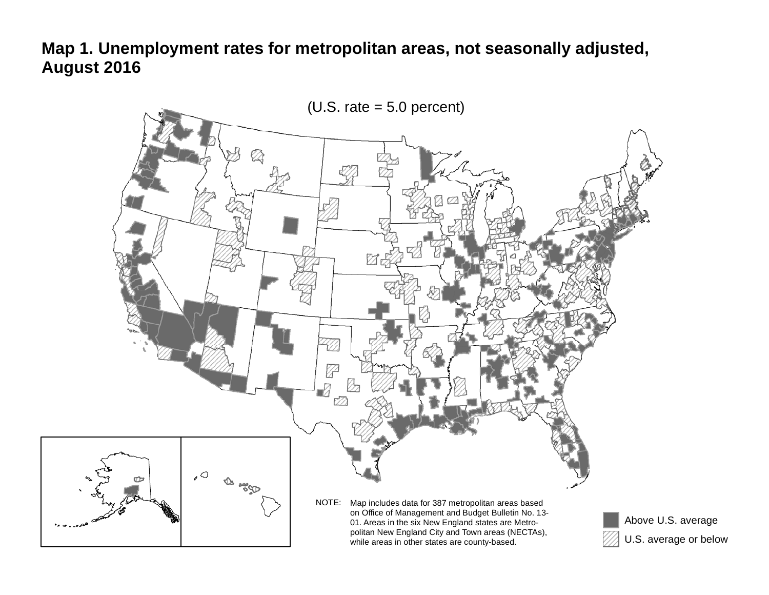# **Map 1. Unemployment rates for metropolitan areas, not seasonally adjusted, August 2016**